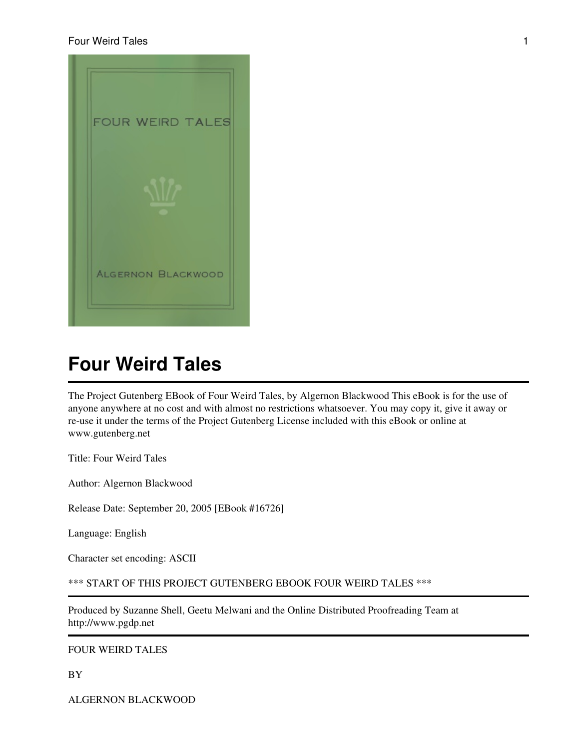

The Project Gutenberg EBook of Four Weird Tales, by Algernon Blackwood This eBook is for the use of anyone anywhere at no cost and with almost no restrictions whatsoever. You may copy it, give it away or re-use it under the terms of the Project Gutenberg License included with this eBook or online at www.gutenberg.net

Title: Four Weird Tales

Author: Algernon Blackwood

Release Date: September 20, 2005 [EBook #16726]

Language: English

Character set encoding: ASCII

\*\*\* START OF THIS PROJECT GUTENBERG EBOOK FOUR WEIRD TALES \*\*\*

Produced by Suzanne Shell, Geetu Melwani and the Online Distributed Proofreading Team at http://www.pgdp.net

#### FOUR WEIRD TALES

BY

ALGERNON BLACKWOOD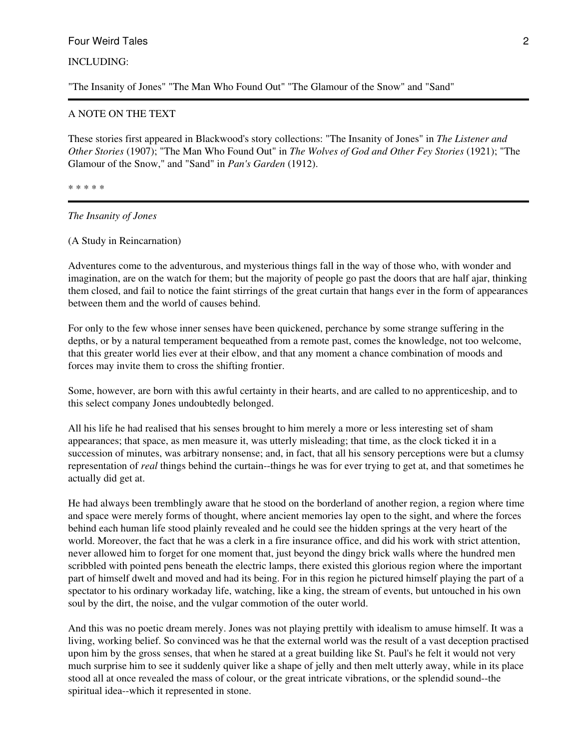## INCLUDING:

"The Insanity of Jones" "The Man Who Found Out" "The Glamour of the Snow" and "Sand"

#### A NOTE ON THE TEXT

These stories first appeared in Blackwood's story collections: "The Insanity of Jones" in *The Listener and Other Stories* (1907); "The Man Who Found Out" in *The Wolves of God and Other Fey Stories* (1921); "The Glamour of the Snow," and "Sand" in *Pan's Garden* (1912).

\* \* \* \* \*

*The Insanity of Jones*

(A Study in Reincarnation)

Adventures come to the adventurous, and mysterious things fall in the way of those who, with wonder and imagination, are on the watch for them; but the majority of people go past the doors that are half ajar, thinking them closed, and fail to notice the faint stirrings of the great curtain that hangs ever in the form of appearances between them and the world of causes behind.

For only to the few whose inner senses have been quickened, perchance by some strange suffering in the depths, or by a natural temperament bequeathed from a remote past, comes the knowledge, not too welcome, that this greater world lies ever at their elbow, and that any moment a chance combination of moods and forces may invite them to cross the shifting frontier.

Some, however, are born with this awful certainty in their hearts, and are called to no apprenticeship, and to this select company Jones undoubtedly belonged.

All his life he had realised that his senses brought to him merely a more or less interesting set of sham appearances; that space, as men measure it, was utterly misleading; that time, as the clock ticked it in a succession of minutes, was arbitrary nonsense; and, in fact, that all his sensory perceptions were but a clumsy representation of *real* things behind the curtain--things he was for ever trying to get at, and that sometimes he actually did get at.

He had always been tremblingly aware that he stood on the borderland of another region, a region where time and space were merely forms of thought, where ancient memories lay open to the sight, and where the forces behind each human life stood plainly revealed and he could see the hidden springs at the very heart of the world. Moreover, the fact that he was a clerk in a fire insurance office, and did his work with strict attention, never allowed him to forget for one moment that, just beyond the dingy brick walls where the hundred men scribbled with pointed pens beneath the electric lamps, there existed this glorious region where the important part of himself dwelt and moved and had its being. For in this region he pictured himself playing the part of a spectator to his ordinary workaday life, watching, like a king, the stream of events, but untouched in his own soul by the dirt, the noise, and the vulgar commotion of the outer world.

And this was no poetic dream merely. Jones was not playing prettily with idealism to amuse himself. It was a living, working belief. So convinced was he that the external world was the result of a vast deception practised upon him by the gross senses, that when he stared at a great building like St. Paul's he felt it would not very much surprise him to see it suddenly quiver like a shape of jelly and then melt utterly away, while in its place stood all at once revealed the mass of colour, or the great intricate vibrations, or the splendid sound--the spiritual idea--which it represented in stone.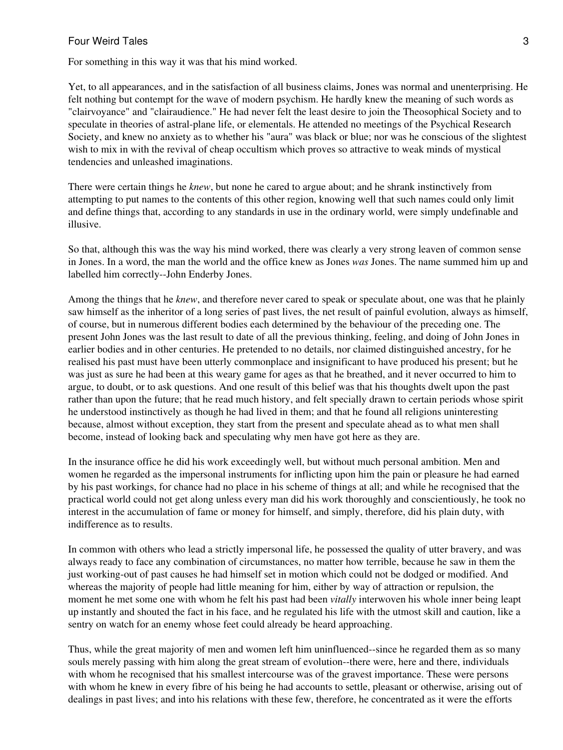For something in this way it was that his mind worked.

Yet, to all appearances, and in the satisfaction of all business claims, Jones was normal and unenterprising. He felt nothing but contempt for the wave of modern psychism. He hardly knew the meaning of such words as "clairvoyance" and "clairaudience." He had never felt the least desire to join the Theosophical Society and to speculate in theories of astral-plane life, or elementals. He attended no meetings of the Psychical Research Society, and knew no anxiety as to whether his "aura" was black or blue; nor was he conscious of the slightest wish to mix in with the revival of cheap occultism which proves so attractive to weak minds of mystical tendencies and unleashed imaginations.

There were certain things he *knew*, but none he cared to argue about; and he shrank instinctively from attempting to put names to the contents of this other region, knowing well that such names could only limit and define things that, according to any standards in use in the ordinary world, were simply undefinable and illusive.

So that, although this was the way his mind worked, there was clearly a very strong leaven of common sense in Jones. In a word, the man the world and the office knew as Jones *was* Jones. The name summed him up and labelled him correctly--John Enderby Jones.

Among the things that he *knew*, and therefore never cared to speak or speculate about, one was that he plainly saw himself as the inheritor of a long series of past lives, the net result of painful evolution, always as himself, of course, but in numerous different bodies each determined by the behaviour of the preceding one. The present John Jones was the last result to date of all the previous thinking, feeling, and doing of John Jones in earlier bodies and in other centuries. He pretended to no details, nor claimed distinguished ancestry, for he realised his past must have been utterly commonplace and insignificant to have produced his present; but he was just as sure he had been at this weary game for ages as that he breathed, and it never occurred to him to argue, to doubt, or to ask questions. And one result of this belief was that his thoughts dwelt upon the past rather than upon the future; that he read much history, and felt specially drawn to certain periods whose spirit he understood instinctively as though he had lived in them; and that he found all religions uninteresting because, almost without exception, they start from the present and speculate ahead as to what men shall become, instead of looking back and speculating why men have got here as they are.

In the insurance office he did his work exceedingly well, but without much personal ambition. Men and women he regarded as the impersonal instruments for inflicting upon him the pain or pleasure he had earned by his past workings, for chance had no place in his scheme of things at all; and while he recognised that the practical world could not get along unless every man did his work thoroughly and conscientiously, he took no interest in the accumulation of fame or money for himself, and simply, therefore, did his plain duty, with indifference as to results.

In common with others who lead a strictly impersonal life, he possessed the quality of utter bravery, and was always ready to face any combination of circumstances, no matter how terrible, because he saw in them the just working-out of past causes he had himself set in motion which could not be dodged or modified. And whereas the majority of people had little meaning for him, either by way of attraction or repulsion, the moment he met some one with whom he felt his past had been *vitally* interwoven his whole inner being leapt up instantly and shouted the fact in his face, and he regulated his life with the utmost skill and caution, like a sentry on watch for an enemy whose feet could already be heard approaching.

Thus, while the great majority of men and women left him uninfluenced--since he regarded them as so many souls merely passing with him along the great stream of evolution--there were, here and there, individuals with whom he recognised that his smallest intercourse was of the gravest importance. These were persons with whom he knew in every fibre of his being he had accounts to settle, pleasant or otherwise, arising out of dealings in past lives; and into his relations with these few, therefore, he concentrated as it were the efforts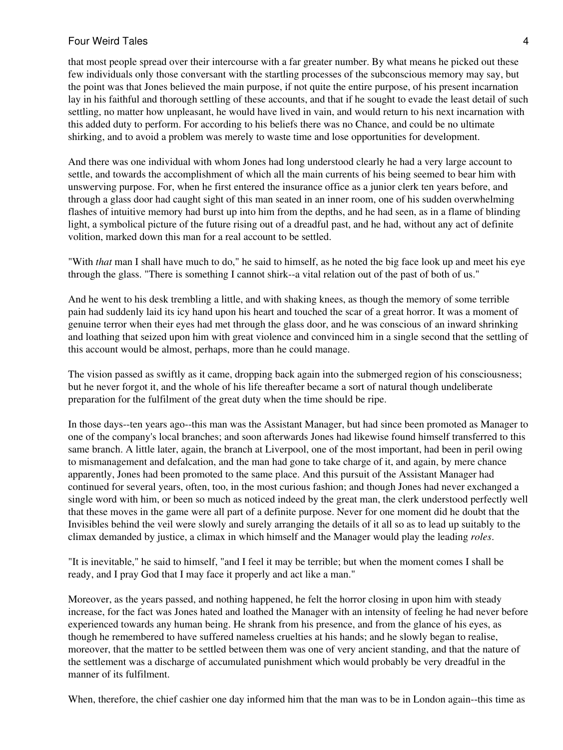that most people spread over their intercourse with a far greater number. By what means he picked out these few individuals only those conversant with the startling processes of the subconscious memory may say, but the point was that Jones believed the main purpose, if not quite the entire purpose, of his present incarnation lay in his faithful and thorough settling of these accounts, and that if he sought to evade the least detail of such settling, no matter how unpleasant, he would have lived in vain, and would return to his next incarnation with this added duty to perform. For according to his beliefs there was no Chance, and could be no ultimate shirking, and to avoid a problem was merely to waste time and lose opportunities for development.

And there was one individual with whom Jones had long understood clearly he had a very large account to settle, and towards the accomplishment of which all the main currents of his being seemed to bear him with unswerving purpose. For, when he first entered the insurance office as a junior clerk ten years before, and through a glass door had caught sight of this man seated in an inner room, one of his sudden overwhelming flashes of intuitive memory had burst up into him from the depths, and he had seen, as in a flame of blinding light, a symbolical picture of the future rising out of a dreadful past, and he had, without any act of definite volition, marked down this man for a real account to be settled.

"With *that* man I shall have much to do," he said to himself, as he noted the big face look up and meet his eye through the glass. "There is something I cannot shirk--a vital relation out of the past of both of us."

And he went to his desk trembling a little, and with shaking knees, as though the memory of some terrible pain had suddenly laid its icy hand upon his heart and touched the scar of a great horror. It was a moment of genuine terror when their eyes had met through the glass door, and he was conscious of an inward shrinking and loathing that seized upon him with great violence and convinced him in a single second that the settling of this account would be almost, perhaps, more than he could manage.

The vision passed as swiftly as it came, dropping back again into the submerged region of his consciousness; but he never forgot it, and the whole of his life thereafter became a sort of natural though undeliberate preparation for the fulfilment of the great duty when the time should be ripe.

In those days--ten years ago--this man was the Assistant Manager, but had since been promoted as Manager to one of the company's local branches; and soon afterwards Jones had likewise found himself transferred to this same branch. A little later, again, the branch at Liverpool, one of the most important, had been in peril owing to mismanagement and defalcation, and the man had gone to take charge of it, and again, by mere chance apparently, Jones had been promoted to the same place. And this pursuit of the Assistant Manager had continued for several years, often, too, in the most curious fashion; and though Jones had never exchanged a single word with him, or been so much as noticed indeed by the great man, the clerk understood perfectly well that these moves in the game were all part of a definite purpose. Never for one moment did he doubt that the Invisibles behind the veil were slowly and surely arranging the details of it all so as to lead up suitably to the climax demanded by justice, a climax in which himself and the Manager would play the leading *roles*.

"It is inevitable," he said to himself, "and I feel it may be terrible; but when the moment comes I shall be ready, and I pray God that I may face it properly and act like a man."

Moreover, as the years passed, and nothing happened, he felt the horror closing in upon him with steady increase, for the fact was Jones hated and loathed the Manager with an intensity of feeling he had never before experienced towards any human being. He shrank from his presence, and from the glance of his eyes, as though he remembered to have suffered nameless cruelties at his hands; and he slowly began to realise, moreover, that the matter to be settled between them was one of very ancient standing, and that the nature of the settlement was a discharge of accumulated punishment which would probably be very dreadful in the manner of its fulfilment.

When, therefore, the chief cashier one day informed him that the man was to be in London again--this time as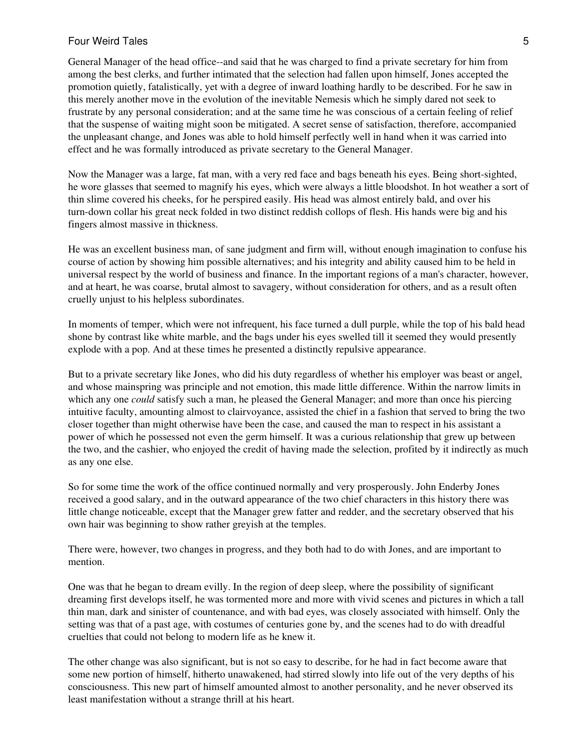General Manager of the head office--and said that he was charged to find a private secretary for him from among the best clerks, and further intimated that the selection had fallen upon himself, Jones accepted the promotion quietly, fatalistically, yet with a degree of inward loathing hardly to be described. For he saw in this merely another move in the evolution of the inevitable Nemesis which he simply dared not seek to frustrate by any personal consideration; and at the same time he was conscious of a certain feeling of relief that the suspense of waiting might soon be mitigated. A secret sense of satisfaction, therefore, accompanied the unpleasant change, and Jones was able to hold himself perfectly well in hand when it was carried into effect and he was formally introduced as private secretary to the General Manager.

Now the Manager was a large, fat man, with a very red face and bags beneath his eyes. Being short-sighted, he wore glasses that seemed to magnify his eyes, which were always a little bloodshot. In hot weather a sort of thin slime covered his cheeks, for he perspired easily. His head was almost entirely bald, and over his turn-down collar his great neck folded in two distinct reddish collops of flesh. His hands were big and his fingers almost massive in thickness.

He was an excellent business man, of sane judgment and firm will, without enough imagination to confuse his course of action by showing him possible alternatives; and his integrity and ability caused him to be held in universal respect by the world of business and finance. In the important regions of a man's character, however, and at heart, he was coarse, brutal almost to savagery, without consideration for others, and as a result often cruelly unjust to his helpless subordinates.

In moments of temper, which were not infrequent, his face turned a dull purple, while the top of his bald head shone by contrast like white marble, and the bags under his eyes swelled till it seemed they would presently explode with a pop. And at these times he presented a distinctly repulsive appearance.

But to a private secretary like Jones, who did his duty regardless of whether his employer was beast or angel, and whose mainspring was principle and not emotion, this made little difference. Within the narrow limits in which any one *could* satisfy such a man, he pleased the General Manager; and more than once his piercing intuitive faculty, amounting almost to clairvoyance, assisted the chief in a fashion that served to bring the two closer together than might otherwise have been the case, and caused the man to respect in his assistant a power of which he possessed not even the germ himself. It was a curious relationship that grew up between the two, and the cashier, who enjoyed the credit of having made the selection, profited by it indirectly as much as any one else.

So for some time the work of the office continued normally and very prosperously. John Enderby Jones received a good salary, and in the outward appearance of the two chief characters in this history there was little change noticeable, except that the Manager grew fatter and redder, and the secretary observed that his own hair was beginning to show rather greyish at the temples.

There were, however, two changes in progress, and they both had to do with Jones, and are important to mention.

One was that he began to dream evilly. In the region of deep sleep, where the possibility of significant dreaming first develops itself, he was tormented more and more with vivid scenes and pictures in which a tall thin man, dark and sinister of countenance, and with bad eyes, was closely associated with himself. Only the setting was that of a past age, with costumes of centuries gone by, and the scenes had to do with dreadful cruelties that could not belong to modern life as he knew it.

The other change was also significant, but is not so easy to describe, for he had in fact become aware that some new portion of himself, hitherto unawakened, had stirred slowly into life out of the very depths of his consciousness. This new part of himself amounted almost to another personality, and he never observed its least manifestation without a strange thrill at his heart.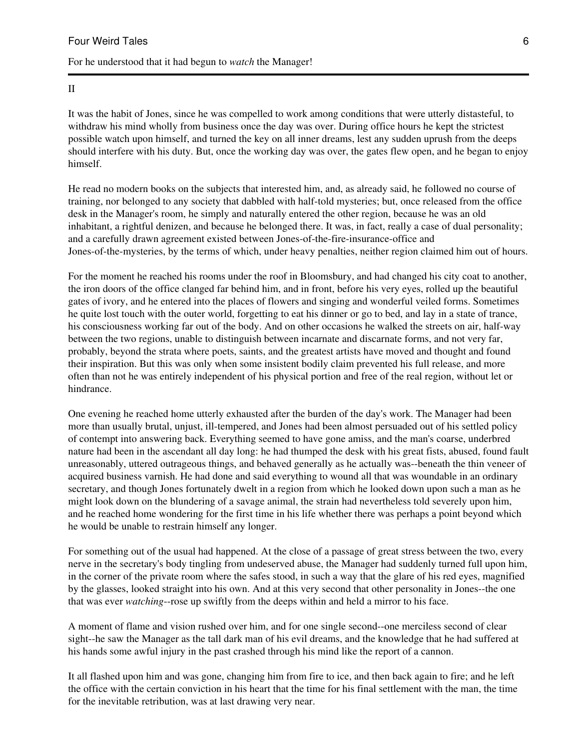## For he understood that it had begun to *watch* the Manager!

#### II

It was the habit of Jones, since he was compelled to work among conditions that were utterly distasteful, to withdraw his mind wholly from business once the day was over. During office hours he kept the strictest possible watch upon himself, and turned the key on all inner dreams, lest any sudden uprush from the deeps should interfere with his duty. But, once the working day was over, the gates flew open, and he began to enjoy himself.

He read no modern books on the subjects that interested him, and, as already said, he followed no course of training, nor belonged to any society that dabbled with half-told mysteries; but, once released from the office desk in the Manager's room, he simply and naturally entered the other region, because he was an old inhabitant, a rightful denizen, and because he belonged there. It was, in fact, really a case of dual personality; and a carefully drawn agreement existed between Jones-of-the-fire-insurance-office and Jones-of-the-mysteries, by the terms of which, under heavy penalties, neither region claimed him out of hours.

For the moment he reached his rooms under the roof in Bloomsbury, and had changed his city coat to another, the iron doors of the office clanged far behind him, and in front, before his very eyes, rolled up the beautiful gates of ivory, and he entered into the places of flowers and singing and wonderful veiled forms. Sometimes he quite lost touch with the outer world, forgetting to eat his dinner or go to bed, and lay in a state of trance, his consciousness working far out of the body. And on other occasions he walked the streets on air, half-way between the two regions, unable to distinguish between incarnate and discarnate forms, and not very far, probably, beyond the strata where poets, saints, and the greatest artists have moved and thought and found their inspiration. But this was only when some insistent bodily claim prevented his full release, and more often than not he was entirely independent of his physical portion and free of the real region, without let or hindrance.

One evening he reached home utterly exhausted after the burden of the day's work. The Manager had been more than usually brutal, unjust, ill-tempered, and Jones had been almost persuaded out of his settled policy of contempt into answering back. Everything seemed to have gone amiss, and the man's coarse, underbred nature had been in the ascendant all day long: he had thumped the desk with his great fists, abused, found fault unreasonably, uttered outrageous things, and behaved generally as he actually was--beneath the thin veneer of acquired business varnish. He had done and said everything to wound all that was woundable in an ordinary secretary, and though Jones fortunately dwelt in a region from which he looked down upon such a man as he might look down on the blundering of a savage animal, the strain had nevertheless told severely upon him, and he reached home wondering for the first time in his life whether there was perhaps a point beyond which he would be unable to restrain himself any longer.

For something out of the usual had happened. At the close of a passage of great stress between the two, every nerve in the secretary's body tingling from undeserved abuse, the Manager had suddenly turned full upon him, in the corner of the private room where the safes stood, in such a way that the glare of his red eyes, magnified by the glasses, looked straight into his own. And at this very second that other personality in Jones--the one that was ever *watching*--rose up swiftly from the deeps within and held a mirror to his face.

A moment of flame and vision rushed over him, and for one single second--one merciless second of clear sight--he saw the Manager as the tall dark man of his evil dreams, and the knowledge that he had suffered at his hands some awful injury in the past crashed through his mind like the report of a cannon.

It all flashed upon him and was gone, changing him from fire to ice, and then back again to fire; and he left the office with the certain conviction in his heart that the time for his final settlement with the man, the time for the inevitable retribution, was at last drawing very near.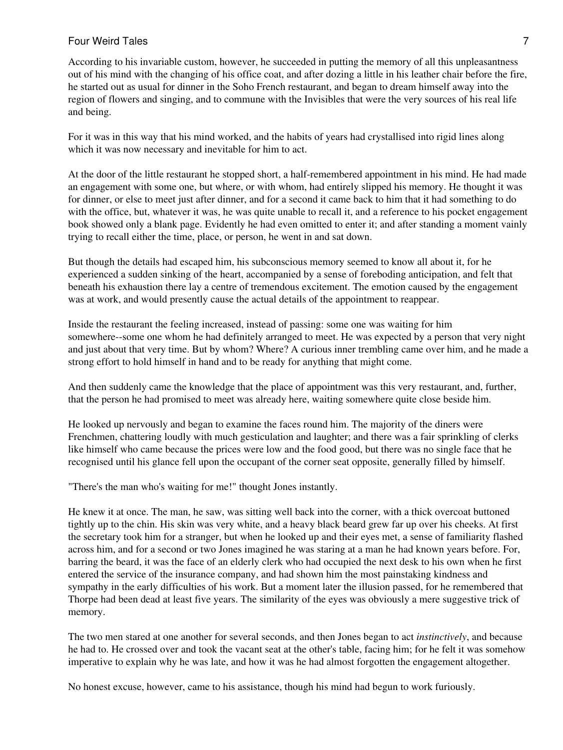According to his invariable custom, however, he succeeded in putting the memory of all this unpleasantness out of his mind with the changing of his office coat, and after dozing a little in his leather chair before the fire, he started out as usual for dinner in the Soho French restaurant, and began to dream himself away into the region of flowers and singing, and to commune with the Invisibles that were the very sources of his real life and being.

For it was in this way that his mind worked, and the habits of years had crystallised into rigid lines along which it was now necessary and inevitable for him to act.

At the door of the little restaurant he stopped short, a half-remembered appointment in his mind. He had made an engagement with some one, but where, or with whom, had entirely slipped his memory. He thought it was for dinner, or else to meet just after dinner, and for a second it came back to him that it had something to do with the office, but, whatever it was, he was quite unable to recall it, and a reference to his pocket engagement book showed only a blank page. Evidently he had even omitted to enter it; and after standing a moment vainly trying to recall either the time, place, or person, he went in and sat down.

But though the details had escaped him, his subconscious memory seemed to know all about it, for he experienced a sudden sinking of the heart, accompanied by a sense of foreboding anticipation, and felt that beneath his exhaustion there lay a centre of tremendous excitement. The emotion caused by the engagement was at work, and would presently cause the actual details of the appointment to reappear.

Inside the restaurant the feeling increased, instead of passing: some one was waiting for him somewhere--some one whom he had definitely arranged to meet. He was expected by a person that very night and just about that very time. But by whom? Where? A curious inner trembling came over him, and he made a strong effort to hold himself in hand and to be ready for anything that might come.

And then suddenly came the knowledge that the place of appointment was this very restaurant, and, further, that the person he had promised to meet was already here, waiting somewhere quite close beside him.

He looked up nervously and began to examine the faces round him. The majority of the diners were Frenchmen, chattering loudly with much gesticulation and laughter; and there was a fair sprinkling of clerks like himself who came because the prices were low and the food good, but there was no single face that he recognised until his glance fell upon the occupant of the corner seat opposite, generally filled by himself.

"There's the man who's waiting for me!" thought Jones instantly.

He knew it at once. The man, he saw, was sitting well back into the corner, with a thick overcoat buttoned tightly up to the chin. His skin was very white, and a heavy black beard grew far up over his cheeks. At first the secretary took him for a stranger, but when he looked up and their eyes met, a sense of familiarity flashed across him, and for a second or two Jones imagined he was staring at a man he had known years before. For, barring the beard, it was the face of an elderly clerk who had occupied the next desk to his own when he first entered the service of the insurance company, and had shown him the most painstaking kindness and sympathy in the early difficulties of his work. But a moment later the illusion passed, for he remembered that Thorpe had been dead at least five years. The similarity of the eyes was obviously a mere suggestive trick of memory.

The two men stared at one another for several seconds, and then Jones began to act *instinctively*, and because he had to. He crossed over and took the vacant seat at the other's table, facing him; for he felt it was somehow imperative to explain why he was late, and how it was he had almost forgotten the engagement altogether.

No honest excuse, however, came to his assistance, though his mind had begun to work furiously.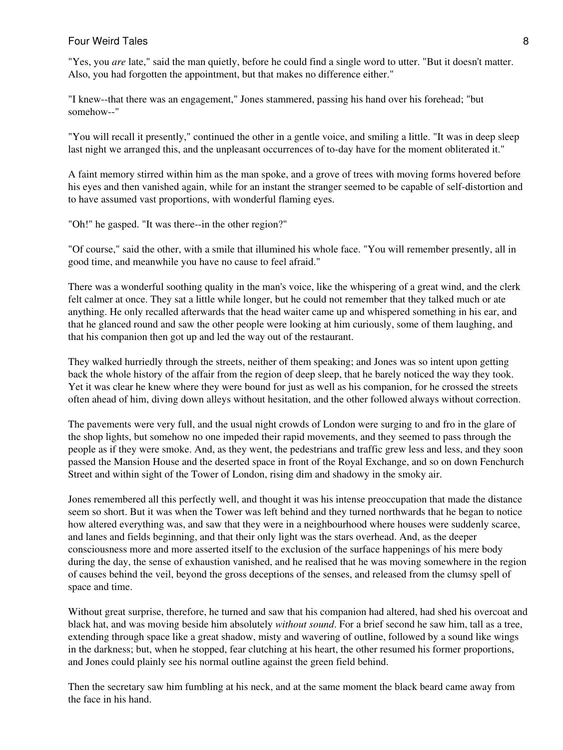"Yes, you *are* late," said the man quietly, before he could find a single word to utter. "But it doesn't matter. Also, you had forgotten the appointment, but that makes no difference either."

"I knew--that there was an engagement," Jones stammered, passing his hand over his forehead; "but somehow--"

"You will recall it presently," continued the other in a gentle voice, and smiling a little. "It was in deep sleep last night we arranged this, and the unpleasant occurrences of to-day have for the moment obliterated it."

A faint memory stirred within him as the man spoke, and a grove of trees with moving forms hovered before his eyes and then vanished again, while for an instant the stranger seemed to be capable of self-distortion and to have assumed vast proportions, with wonderful flaming eyes.

"Oh!" he gasped. "It was there--in the other region?"

"Of course," said the other, with a smile that illumined his whole face. "You will remember presently, all in good time, and meanwhile you have no cause to feel afraid."

There was a wonderful soothing quality in the man's voice, like the whispering of a great wind, and the clerk felt calmer at once. They sat a little while longer, but he could not remember that they talked much or ate anything. He only recalled afterwards that the head waiter came up and whispered something in his ear, and that he glanced round and saw the other people were looking at him curiously, some of them laughing, and that his companion then got up and led the way out of the restaurant.

They walked hurriedly through the streets, neither of them speaking; and Jones was so intent upon getting back the whole history of the affair from the region of deep sleep, that he barely noticed the way they took. Yet it was clear he knew where they were bound for just as well as his companion, for he crossed the streets often ahead of him, diving down alleys without hesitation, and the other followed always without correction.

The pavements were very full, and the usual night crowds of London were surging to and fro in the glare of the shop lights, but somehow no one impeded their rapid movements, and they seemed to pass through the people as if they were smoke. And, as they went, the pedestrians and traffic grew less and less, and they soon passed the Mansion House and the deserted space in front of the Royal Exchange, and so on down Fenchurch Street and within sight of the Tower of London, rising dim and shadowy in the smoky air.

Jones remembered all this perfectly well, and thought it was his intense preoccupation that made the distance seem so short. But it was when the Tower was left behind and they turned northwards that he began to notice how altered everything was, and saw that they were in a neighbourhood where houses were suddenly scarce, and lanes and fields beginning, and that their only light was the stars overhead. And, as the deeper consciousness more and more asserted itself to the exclusion of the surface happenings of his mere body during the day, the sense of exhaustion vanished, and he realised that he was moving somewhere in the region of causes behind the veil, beyond the gross deceptions of the senses, and released from the clumsy spell of space and time.

Without great surprise, therefore, he turned and saw that his companion had altered, had shed his overcoat and black hat, and was moving beside him absolutely *without sound*. For a brief second he saw him, tall as a tree, extending through space like a great shadow, misty and wavering of outline, followed by a sound like wings in the darkness; but, when he stopped, fear clutching at his heart, the other resumed his former proportions, and Jones could plainly see his normal outline against the green field behind.

Then the secretary saw him fumbling at his neck, and at the same moment the black beard came away from the face in his hand.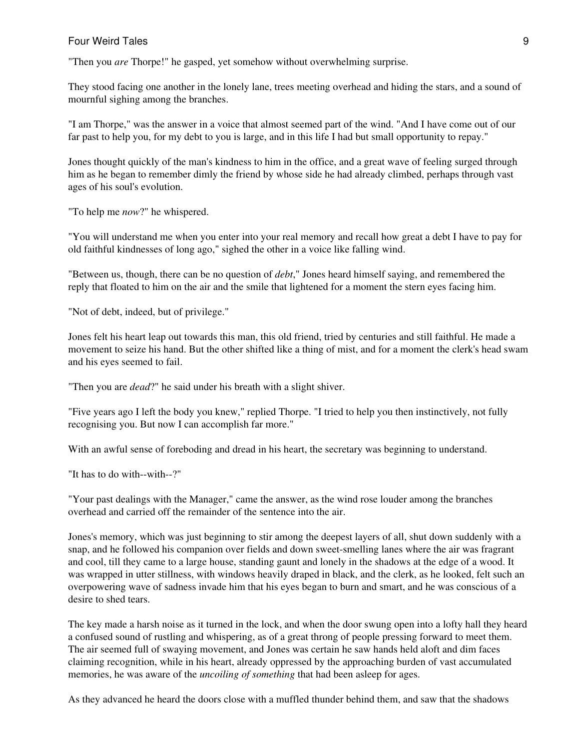"Then you *are* Thorpe!" he gasped, yet somehow without overwhelming surprise.

They stood facing one another in the lonely lane, trees meeting overhead and hiding the stars, and a sound of mournful sighing among the branches.

"I am Thorpe," was the answer in a voice that almost seemed part of the wind. "And I have come out of our far past to help you, for my debt to you is large, and in this life I had but small opportunity to repay."

Jones thought quickly of the man's kindness to him in the office, and a great wave of feeling surged through him as he began to remember dimly the friend by whose side he had already climbed, perhaps through vast ages of his soul's evolution.

"To help me *now*?" he whispered.

"You will understand me when you enter into your real memory and recall how great a debt I have to pay for old faithful kindnesses of long ago," sighed the other in a voice like falling wind.

"Between us, though, there can be no question of *debt*," Jones heard himself saying, and remembered the reply that floated to him on the air and the smile that lightened for a moment the stern eyes facing him.

"Not of debt, indeed, but of privilege."

Jones felt his heart leap out towards this man, this old friend, tried by centuries and still faithful. He made a movement to seize his hand. But the other shifted like a thing of mist, and for a moment the clerk's head swam and his eyes seemed to fail.

"Then you are *dead*?" he said under his breath with a slight shiver.

"Five years ago I left the body you knew," replied Thorpe. "I tried to help you then instinctively, not fully recognising you. But now I can accomplish far more."

With an awful sense of foreboding and dread in his heart, the secretary was beginning to understand.

"It has to do with--with--?"

"Your past dealings with the Manager," came the answer, as the wind rose louder among the branches overhead and carried off the remainder of the sentence into the air.

Jones's memory, which was just beginning to stir among the deepest layers of all, shut down suddenly with a snap, and he followed his companion over fields and down sweet-smelling lanes where the air was fragrant and cool, till they came to a large house, standing gaunt and lonely in the shadows at the edge of a wood. It was wrapped in utter stillness, with windows heavily draped in black, and the clerk, as he looked, felt such an overpowering wave of sadness invade him that his eyes began to burn and smart, and he was conscious of a desire to shed tears.

The key made a harsh noise as it turned in the lock, and when the door swung open into a lofty hall they heard a confused sound of rustling and whispering, as of a great throng of people pressing forward to meet them. The air seemed full of swaying movement, and Jones was certain he saw hands held aloft and dim faces claiming recognition, while in his heart, already oppressed by the approaching burden of vast accumulated memories, he was aware of the *uncoiling of something* that had been asleep for ages.

As they advanced he heard the doors close with a muffled thunder behind them, and saw that the shadows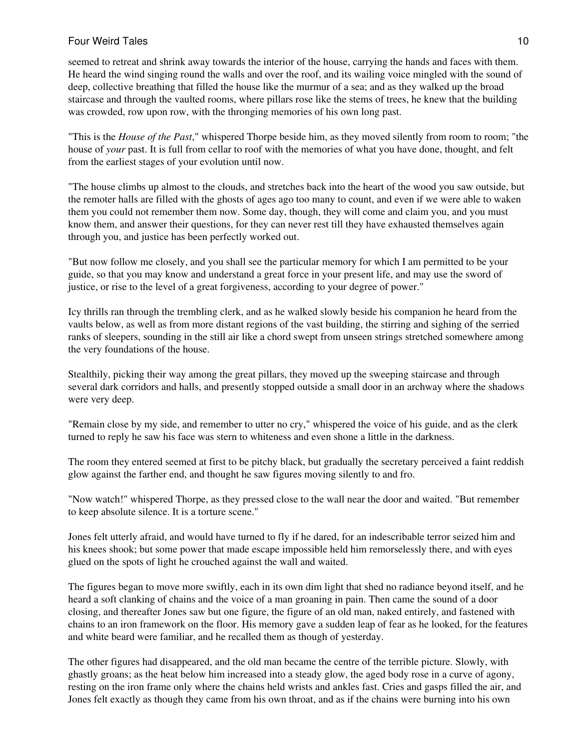seemed to retreat and shrink away towards the interior of the house, carrying the hands and faces with them. He heard the wind singing round the walls and over the roof, and its wailing voice mingled with the sound of deep, collective breathing that filled the house like the murmur of a sea; and as they walked up the broad staircase and through the vaulted rooms, where pillars rose like the stems of trees, he knew that the building was crowded, row upon row, with the thronging memories of his own long past.

"This is the *House of the Past*," whispered Thorpe beside him, as they moved silently from room to room; "the house of *your* past. It is full from cellar to roof with the memories of what you have done, thought, and felt from the earliest stages of your evolution until now.

"The house climbs up almost to the clouds, and stretches back into the heart of the wood you saw outside, but the remoter halls are filled with the ghosts of ages ago too many to count, and even if we were able to waken them you could not remember them now. Some day, though, they will come and claim you, and you must know them, and answer their questions, for they can never rest till they have exhausted themselves again through you, and justice has been perfectly worked out.

"But now follow me closely, and you shall see the particular memory for which I am permitted to be your guide, so that you may know and understand a great force in your present life, and may use the sword of justice, or rise to the level of a great forgiveness, according to your degree of power."

Icy thrills ran through the trembling clerk, and as he walked slowly beside his companion he heard from the vaults below, as well as from more distant regions of the vast building, the stirring and sighing of the serried ranks of sleepers, sounding in the still air like a chord swept from unseen strings stretched somewhere among the very foundations of the house.

Stealthily, picking their way among the great pillars, they moved up the sweeping staircase and through several dark corridors and halls, and presently stopped outside a small door in an archway where the shadows were very deep.

"Remain close by my side, and remember to utter no cry," whispered the voice of his guide, and as the clerk turned to reply he saw his face was stern to whiteness and even shone a little in the darkness.

The room they entered seemed at first to be pitchy black, but gradually the secretary perceived a faint reddish glow against the farther end, and thought he saw figures moving silently to and fro.

"Now watch!" whispered Thorpe, as they pressed close to the wall near the door and waited. "But remember to keep absolute silence. It is a torture scene."

Jones felt utterly afraid, and would have turned to fly if he dared, for an indescribable terror seized him and his knees shook; but some power that made escape impossible held him remorselessly there, and with eyes glued on the spots of light he crouched against the wall and waited.

The figures began to move more swiftly, each in its own dim light that shed no radiance beyond itself, and he heard a soft clanking of chains and the voice of a man groaning in pain. Then came the sound of a door closing, and thereafter Jones saw but one figure, the figure of an old man, naked entirely, and fastened with chains to an iron framework on the floor. His memory gave a sudden leap of fear as he looked, for the features and white beard were familiar, and he recalled them as though of yesterday.

The other figures had disappeared, and the old man became the centre of the terrible picture. Slowly, with ghastly groans; as the heat below him increased into a steady glow, the aged body rose in a curve of agony, resting on the iron frame only where the chains held wrists and ankles fast. Cries and gasps filled the air, and Jones felt exactly as though they came from his own throat, and as if the chains were burning into his own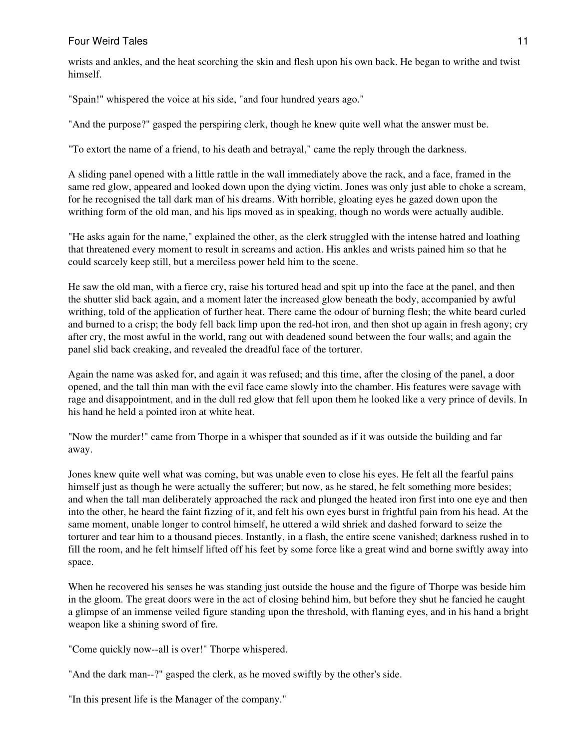# **Four Weird Tales** 11 **Four Weird Tales** 11

wrists and ankles, and the heat scorching the skin and flesh upon his own back. He began to writhe and twist himself.

"Spain!" whispered the voice at his side, "and four hundred years ago."

"And the purpose?" gasped the perspiring clerk, though he knew quite well what the answer must be.

"To extort the name of a friend, to his death and betrayal," came the reply through the darkness.

A sliding panel opened with a little rattle in the wall immediately above the rack, and a face, framed in the same red glow, appeared and looked down upon the dying victim. Jones was only just able to choke a scream, for he recognised the tall dark man of his dreams. With horrible, gloating eyes he gazed down upon the writhing form of the old man, and his lips moved as in speaking, though no words were actually audible.

"He asks again for the name," explained the other, as the clerk struggled with the intense hatred and loathing that threatened every moment to result in screams and action. His ankles and wrists pained him so that he could scarcely keep still, but a merciless power held him to the scene.

He saw the old man, with a fierce cry, raise his tortured head and spit up into the face at the panel, and then the shutter slid back again, and a moment later the increased glow beneath the body, accompanied by awful writhing, told of the application of further heat. There came the odour of burning flesh; the white beard curled and burned to a crisp; the body fell back limp upon the red-hot iron, and then shot up again in fresh agony; cry after cry, the most awful in the world, rang out with deadened sound between the four walls; and again the panel slid back creaking, and revealed the dreadful face of the torturer.

Again the name was asked for, and again it was refused; and this time, after the closing of the panel, a door opened, and the tall thin man with the evil face came slowly into the chamber. His features were savage with rage and disappointment, and in the dull red glow that fell upon them he looked like a very prince of devils. In his hand he held a pointed iron at white heat.

"Now the murder!" came from Thorpe in a whisper that sounded as if it was outside the building and far away.

Jones knew quite well what was coming, but was unable even to close his eyes. He felt all the fearful pains himself just as though he were actually the sufferer; but now, as he stared, he felt something more besides; and when the tall man deliberately approached the rack and plunged the heated iron first into one eye and then into the other, he heard the faint fizzing of it, and felt his own eyes burst in frightful pain from his head. At the same moment, unable longer to control himself, he uttered a wild shriek and dashed forward to seize the torturer and tear him to a thousand pieces. Instantly, in a flash, the entire scene vanished; darkness rushed in to fill the room, and he felt himself lifted off his feet by some force like a great wind and borne swiftly away into space.

When he recovered his senses he was standing just outside the house and the figure of Thorpe was beside him in the gloom. The great doors were in the act of closing behind him, but before they shut he fancied he caught a glimpse of an immense veiled figure standing upon the threshold, with flaming eyes, and in his hand a bright weapon like a shining sword of fire.

"Come quickly now--all is over!" Thorpe whispered.

"And the dark man--?" gasped the clerk, as he moved swiftly by the other's side.

"In this present life is the Manager of the company."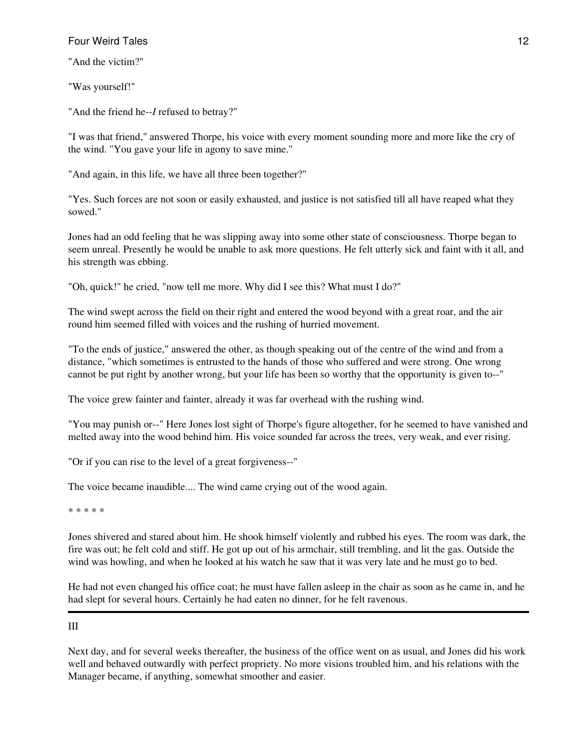"And the victim?"

"Was yourself!"

"And the friend he--*I* refused to betray?"

"I was that friend," answered Thorpe, his voice with every moment sounding more and more like the cry of the wind. "You gave your life in agony to save mine."

"And again, in this life, we have all three been together?"

"Yes. Such forces are not soon or easily exhausted, and justice is not satisfied till all have reaped what they sowed."

Jones had an odd feeling that he was slipping away into some other state of consciousness. Thorpe began to seem unreal. Presently he would be unable to ask more questions. He felt utterly sick and faint with it all, and his strength was ebbing.

"Oh, quick!" he cried, "now tell me more. Why did I see this? What must I do?"

The wind swept across the field on their right and entered the wood beyond with a great roar, and the air round him seemed filled with voices and the rushing of hurried movement.

"To the ends of justice," answered the other, as though speaking out of the centre of the wind and from a distance, "which sometimes is entrusted to the hands of those who suffered and were strong. One wrong cannot be put right by another wrong, but your life has been so worthy that the opportunity is given to--"

The voice grew fainter and fainter, already it was far overhead with the rushing wind.

"You may punish or--" Here Jones lost sight of Thorpe's figure altogether, for he seemed to have vanished and melted away into the wood behind him. His voice sounded far across the trees, very weak, and ever rising.

"Or if you can rise to the level of a great forgiveness--"

The voice became inaudible.... The wind came crying out of the wood again.

\* \* \* \* \*

Jones shivered and stared about him. He shook himself violently and rubbed his eyes. The room was dark, the fire was out; he felt cold and stiff. He got up out of his armchair, still trembling, and lit the gas. Outside the wind was howling, and when he looked at his watch he saw that it was very late and he must go to bed.

He had not even changed his office coat; he must have fallen asleep in the chair as soon as he came in, and he had slept for several hours. Certainly he had eaten no dinner, for he felt ravenous.

# III

Next day, and for several weeks thereafter, the business of the office went on as usual, and Jones did his work well and behaved outwardly with perfect propriety. No more visions troubled him, and his relations with the Manager became, if anything, somewhat smoother and easier.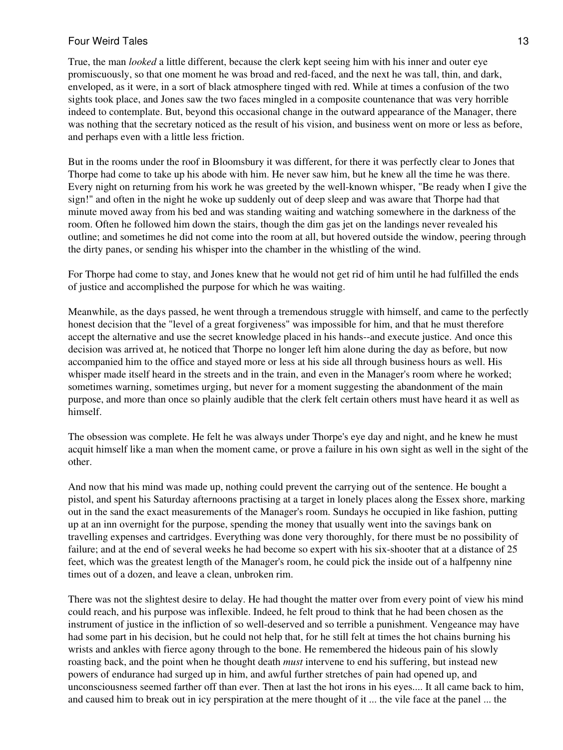True, the man *looked* a little different, because the clerk kept seeing him with his inner and outer eye promiscuously, so that one moment he was broad and red-faced, and the next he was tall, thin, and dark, enveloped, as it were, in a sort of black atmosphere tinged with red. While at times a confusion of the two sights took place, and Jones saw the two faces mingled in a composite countenance that was very horrible indeed to contemplate. But, beyond this occasional change in the outward appearance of the Manager, there was nothing that the secretary noticed as the result of his vision, and business went on more or less as before, and perhaps even with a little less friction.

But in the rooms under the roof in Bloomsbury it was different, for there it was perfectly clear to Jones that Thorpe had come to take up his abode with him. He never saw him, but he knew all the time he was there. Every night on returning from his work he was greeted by the well-known whisper, "Be ready when I give the sign!" and often in the night he woke up suddenly out of deep sleep and was aware that Thorpe had that minute moved away from his bed and was standing waiting and watching somewhere in the darkness of the room. Often he followed him down the stairs, though the dim gas jet on the landings never revealed his outline; and sometimes he did not come into the room at all, but hovered outside the window, peering through the dirty panes, or sending his whisper into the chamber in the whistling of the wind.

For Thorpe had come to stay, and Jones knew that he would not get rid of him until he had fulfilled the ends of justice and accomplished the purpose for which he was waiting.

Meanwhile, as the days passed, he went through a tremendous struggle with himself, and came to the perfectly honest decision that the "level of a great forgiveness" was impossible for him, and that he must therefore accept the alternative and use the secret knowledge placed in his hands--and execute justice. And once this decision was arrived at, he noticed that Thorpe no longer left him alone during the day as before, but now accompanied him to the office and stayed more or less at his side all through business hours as well. His whisper made itself heard in the streets and in the train, and even in the Manager's room where he worked; sometimes warning, sometimes urging, but never for a moment suggesting the abandonment of the main purpose, and more than once so plainly audible that the clerk felt certain others must have heard it as well as himself.

The obsession was complete. He felt he was always under Thorpe's eye day and night, and he knew he must acquit himself like a man when the moment came, or prove a failure in his own sight as well in the sight of the other.

And now that his mind was made up, nothing could prevent the carrying out of the sentence. He bought a pistol, and spent his Saturday afternoons practising at a target in lonely places along the Essex shore, marking out in the sand the exact measurements of the Manager's room. Sundays he occupied in like fashion, putting up at an inn overnight for the purpose, spending the money that usually went into the savings bank on travelling expenses and cartridges. Everything was done very thoroughly, for there must be no possibility of failure; and at the end of several weeks he had become so expert with his six-shooter that at a distance of 25 feet, which was the greatest length of the Manager's room, he could pick the inside out of a halfpenny nine times out of a dozen, and leave a clean, unbroken rim.

There was not the slightest desire to delay. He had thought the matter over from every point of view his mind could reach, and his purpose was inflexible. Indeed, he felt proud to think that he had been chosen as the instrument of justice in the infliction of so well-deserved and so terrible a punishment. Vengeance may have had some part in his decision, but he could not help that, for he still felt at times the hot chains burning his wrists and ankles with fierce agony through to the bone. He remembered the hideous pain of his slowly roasting back, and the point when he thought death *must* intervene to end his suffering, but instead new powers of endurance had surged up in him, and awful further stretches of pain had opened up, and unconsciousness seemed farther off than ever. Then at last the hot irons in his eyes.... It all came back to him, and caused him to break out in icy perspiration at the mere thought of it ... the vile face at the panel ... the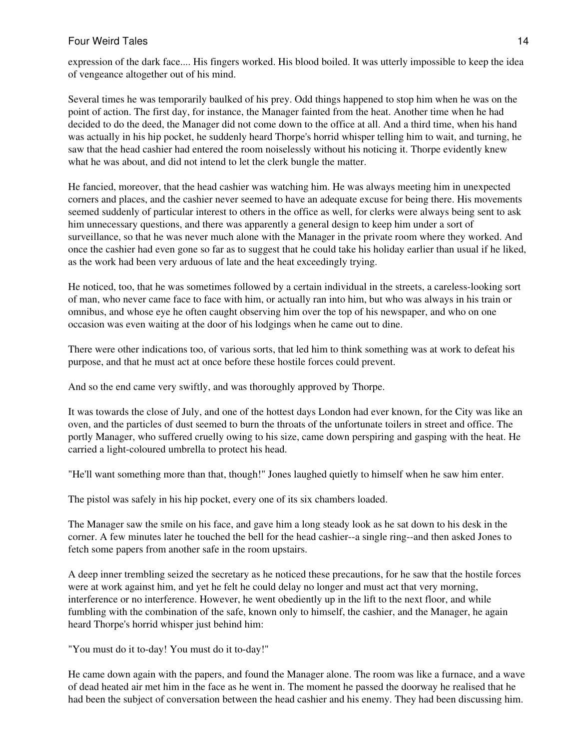expression of the dark face.... His fingers worked. His blood boiled. It was utterly impossible to keep the idea of vengeance altogether out of his mind.

Several times he was temporarily baulked of his prey. Odd things happened to stop him when he was on the point of action. The first day, for instance, the Manager fainted from the heat. Another time when he had decided to do the deed, the Manager did not come down to the office at all. And a third time, when his hand was actually in his hip pocket, he suddenly heard Thorpe's horrid whisper telling him to wait, and turning, he saw that the head cashier had entered the room noiselessly without his noticing it. Thorpe evidently knew what he was about, and did not intend to let the clerk bungle the matter.

He fancied, moreover, that the head cashier was watching him. He was always meeting him in unexpected corners and places, and the cashier never seemed to have an adequate excuse for being there. His movements seemed suddenly of particular interest to others in the office as well, for clerks were always being sent to ask him unnecessary questions, and there was apparently a general design to keep him under a sort of surveillance, so that he was never much alone with the Manager in the private room where they worked. And once the cashier had even gone so far as to suggest that he could take his holiday earlier than usual if he liked, as the work had been very arduous of late and the heat exceedingly trying.

He noticed, too, that he was sometimes followed by a certain individual in the streets, a careless-looking sort of man, who never came face to face with him, or actually ran into him, but who was always in his train or omnibus, and whose eye he often caught observing him over the top of his newspaper, and who on one occasion was even waiting at the door of his lodgings when he came out to dine.

There were other indications too, of various sorts, that led him to think something was at work to defeat his purpose, and that he must act at once before these hostile forces could prevent.

And so the end came very swiftly, and was thoroughly approved by Thorpe.

It was towards the close of July, and one of the hottest days London had ever known, for the City was like an oven, and the particles of dust seemed to burn the throats of the unfortunate toilers in street and office. The portly Manager, who suffered cruelly owing to his size, came down perspiring and gasping with the heat. He carried a light-coloured umbrella to protect his head.

"He'll want something more than that, though!" Jones laughed quietly to himself when he saw him enter.

The pistol was safely in his hip pocket, every one of its six chambers loaded.

The Manager saw the smile on his face, and gave him a long steady look as he sat down to his desk in the corner. A few minutes later he touched the bell for the head cashier--a single ring--and then asked Jones to fetch some papers from another safe in the room upstairs.

A deep inner trembling seized the secretary as he noticed these precautions, for he saw that the hostile forces were at work against him, and yet he felt he could delay no longer and must act that very morning, interference or no interference. However, he went obediently up in the lift to the next floor, and while fumbling with the combination of the safe, known only to himself, the cashier, and the Manager, he again heard Thorpe's horrid whisper just behind him:

"You must do it to-day! You must do it to-day!"

He came down again with the papers, and found the Manager alone. The room was like a furnace, and a wave of dead heated air met him in the face as he went in. The moment he passed the doorway he realised that he had been the subject of conversation between the head cashier and his enemy. They had been discussing him.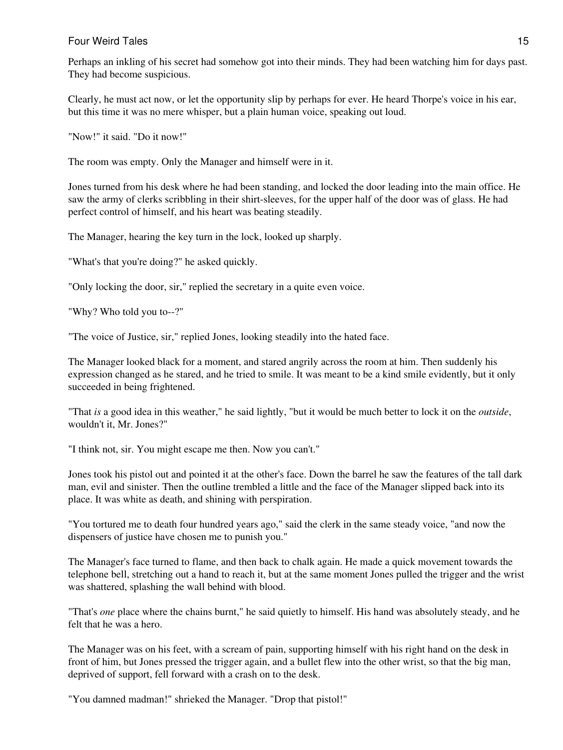Perhaps an inkling of his secret had somehow got into their minds. They had been watching him for days past. They had become suspicious.

Clearly, he must act now, or let the opportunity slip by perhaps for ever. He heard Thorpe's voice in his ear, but this time it was no mere whisper, but a plain human voice, speaking out loud.

"Now!" it said. "Do it now!"

The room was empty. Only the Manager and himself were in it.

Jones turned from his desk where he had been standing, and locked the door leading into the main office. He saw the army of clerks scribbling in their shirt-sleeves, for the upper half of the door was of glass. He had perfect control of himself, and his heart was beating steadily.

The Manager, hearing the key turn in the lock, looked up sharply.

"What's that you're doing?" he asked quickly.

"Only locking the door, sir," replied the secretary in a quite even voice.

"Why? Who told you to--?"

"The voice of Justice, sir," replied Jones, looking steadily into the hated face.

The Manager looked black for a moment, and stared angrily across the room at him. Then suddenly his expression changed as he stared, and he tried to smile. It was meant to be a kind smile evidently, but it only succeeded in being frightened.

"That *is* a good idea in this weather," he said lightly, "but it would be much better to lock it on the *outside*, wouldn't it, Mr. Jones?"

"I think not, sir. You might escape me then. Now you can't."

Jones took his pistol out and pointed it at the other's face. Down the barrel he saw the features of the tall dark man, evil and sinister. Then the outline trembled a little and the face of the Manager slipped back into its place. It was white as death, and shining with perspiration.

"You tortured me to death four hundred years ago," said the clerk in the same steady voice, "and now the dispensers of justice have chosen me to punish you."

The Manager's face turned to flame, and then back to chalk again. He made a quick movement towards the telephone bell, stretching out a hand to reach it, but at the same moment Jones pulled the trigger and the wrist was shattered, splashing the wall behind with blood.

"That's *one* place where the chains burnt," he said quietly to himself. His hand was absolutely steady, and he felt that he was a hero.

The Manager was on his feet, with a scream of pain, supporting himself with his right hand on the desk in front of him, but Jones pressed the trigger again, and a bullet flew into the other wrist, so that the big man, deprived of support, fell forward with a crash on to the desk.

"You damned madman!" shrieked the Manager. "Drop that pistol!"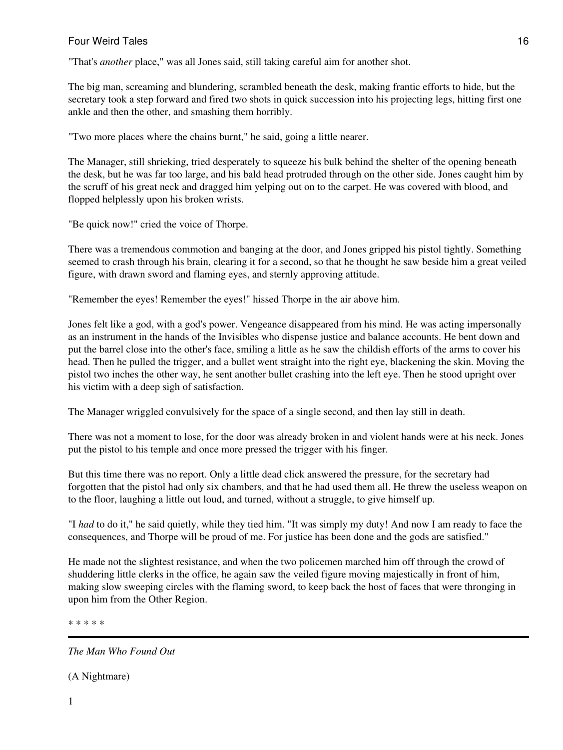"That's *another* place," was all Jones said, still taking careful aim for another shot.

The big man, screaming and blundering, scrambled beneath the desk, making frantic efforts to hide, but the secretary took a step forward and fired two shots in quick succession into his projecting legs, hitting first one ankle and then the other, and smashing them horribly.

"Two more places where the chains burnt," he said, going a little nearer.

The Manager, still shrieking, tried desperately to squeeze his bulk behind the shelter of the opening beneath the desk, but he was far too large, and his bald head protruded through on the other side. Jones caught him by the scruff of his great neck and dragged him yelping out on to the carpet. He was covered with blood, and flopped helplessly upon his broken wrists.

"Be quick now!" cried the voice of Thorpe.

There was a tremendous commotion and banging at the door, and Jones gripped his pistol tightly. Something seemed to crash through his brain, clearing it for a second, so that he thought he saw beside him a great veiled figure, with drawn sword and flaming eyes, and sternly approving attitude.

"Remember the eyes! Remember the eyes!" hissed Thorpe in the air above him.

Jones felt like a god, with a god's power. Vengeance disappeared from his mind. He was acting impersonally as an instrument in the hands of the Invisibles who dispense justice and balance accounts. He bent down and put the barrel close into the other's face, smiling a little as he saw the childish efforts of the arms to cover his head. Then he pulled the trigger, and a bullet went straight into the right eye, blackening the skin. Moving the pistol two inches the other way, he sent another bullet crashing into the left eye. Then he stood upright over his victim with a deep sigh of satisfaction.

The Manager wriggled convulsively for the space of a single second, and then lay still in death.

There was not a moment to lose, for the door was already broken in and violent hands were at his neck. Jones put the pistol to his temple and once more pressed the trigger with his finger.

But this time there was no report. Only a little dead click answered the pressure, for the secretary had forgotten that the pistol had only six chambers, and that he had used them all. He threw the useless weapon on to the floor, laughing a little out loud, and turned, without a struggle, to give himself up.

"I *had* to do it," he said quietly, while they tied him. "It was simply my duty! And now I am ready to face the consequences, and Thorpe will be proud of me. For justice has been done and the gods are satisfied."

He made not the slightest resistance, and when the two policemen marched him off through the crowd of shuddering little clerks in the office, he again saw the veiled figure moving majestically in front of him, making slow sweeping circles with the flaming sword, to keep back the host of faces that were thronging in upon him from the Other Region.

\* \* \* \* \*

*The Man Who Found Out*

(A Nightmare)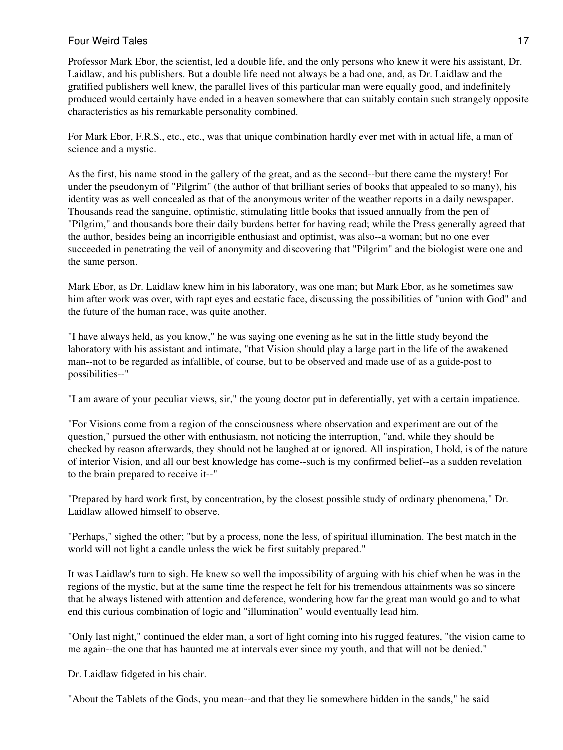# Four Weird Tales **17** and 17 and 17 and 17 and 17 and 17 and 17 and 17 and 17 and 17 and 17 and 17 and 17 and 17 and 17 and 17 and 17 and 17 and 17 and 17 and 17 and 17 and 17 and 17 and 17 and 17 and 17 and 17 and 17 and

Professor Mark Ebor, the scientist, led a double life, and the only persons who knew it were his assistant, Dr. Laidlaw, and his publishers. But a double life need not always be a bad one, and, as Dr. Laidlaw and the gratified publishers well knew, the parallel lives of this particular man were equally good, and indefinitely produced would certainly have ended in a heaven somewhere that can suitably contain such strangely opposite characteristics as his remarkable personality combined.

For Mark Ebor, F.R.S., etc., etc., was that unique combination hardly ever met with in actual life, a man of science and a mystic.

As the first, his name stood in the gallery of the great, and as the second--but there came the mystery! For under the pseudonym of "Pilgrim" (the author of that brilliant series of books that appealed to so many), his identity was as well concealed as that of the anonymous writer of the weather reports in a daily newspaper. Thousands read the sanguine, optimistic, stimulating little books that issued annually from the pen of "Pilgrim," and thousands bore their daily burdens better for having read; while the Press generally agreed that the author, besides being an incorrigible enthusiast and optimist, was also--a woman; but no one ever succeeded in penetrating the veil of anonymity and discovering that "Pilgrim" and the biologist were one and the same person.

Mark Ebor, as Dr. Laidlaw knew him in his laboratory, was one man; but Mark Ebor, as he sometimes saw him after work was over, with rapt eyes and ecstatic face, discussing the possibilities of "union with God" and the future of the human race, was quite another.

"I have always held, as you know," he was saying one evening as he sat in the little study beyond the laboratory with his assistant and intimate, "that Vision should play a large part in the life of the awakened man--not to be regarded as infallible, of course, but to be observed and made use of as a guide-post to possibilities--"

"I am aware of your peculiar views, sir," the young doctor put in deferentially, yet with a certain impatience.

"For Visions come from a region of the consciousness where observation and experiment are out of the question," pursued the other with enthusiasm, not noticing the interruption, "and, while they should be checked by reason afterwards, they should not be laughed at or ignored. All inspiration, I hold, is of the nature of interior Vision, and all our best knowledge has come--such is my confirmed belief--as a sudden revelation to the brain prepared to receive it--"

"Prepared by hard work first, by concentration, by the closest possible study of ordinary phenomena," Dr. Laidlaw allowed himself to observe.

"Perhaps," sighed the other; "but by a process, none the less, of spiritual illumination. The best match in the world will not light a candle unless the wick be first suitably prepared."

It was Laidlaw's turn to sigh. He knew so well the impossibility of arguing with his chief when he was in the regions of the mystic, but at the same time the respect he felt for his tremendous attainments was so sincere that he always listened with attention and deference, wondering how far the great man would go and to what end this curious combination of logic and "illumination" would eventually lead him.

"Only last night," continued the elder man, a sort of light coming into his rugged features, "the vision came to me again--the one that has haunted me at intervals ever since my youth, and that will not be denied."

Dr. Laidlaw fidgeted in his chair.

"About the Tablets of the Gods, you mean--and that they lie somewhere hidden in the sands," he said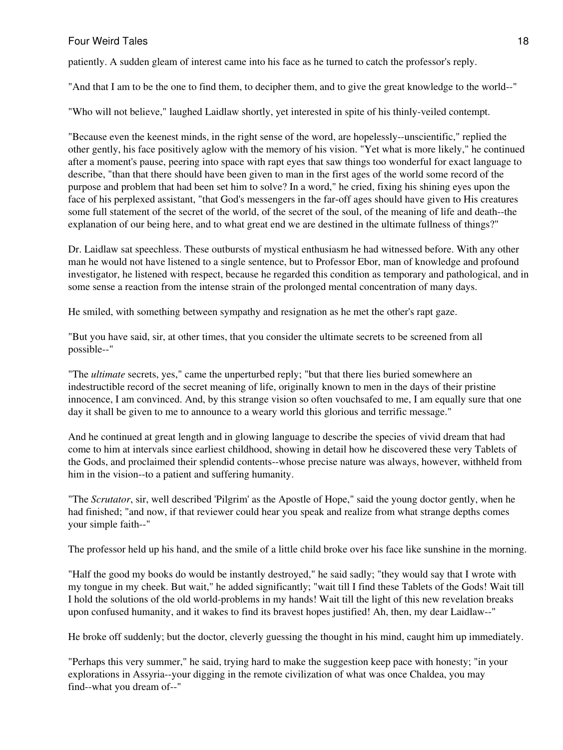patiently. A sudden gleam of interest came into his face as he turned to catch the professor's reply.

"And that I am to be the one to find them, to decipher them, and to give the great knowledge to the world--"

"Who will not believe," laughed Laidlaw shortly, yet interested in spite of his thinly-veiled contempt.

"Because even the keenest minds, in the right sense of the word, are hopelessly--unscientific," replied the other gently, his face positively aglow with the memory of his vision. "Yet what is more likely," he continued after a moment's pause, peering into space with rapt eyes that saw things too wonderful for exact language to describe, "than that there should have been given to man in the first ages of the world some record of the purpose and problem that had been set him to solve? In a word," he cried, fixing his shining eyes upon the face of his perplexed assistant, "that God's messengers in the far-off ages should have given to His creatures some full statement of the secret of the world, of the secret of the soul, of the meaning of life and death--the explanation of our being here, and to what great end we are destined in the ultimate fullness of things?"

Dr. Laidlaw sat speechless. These outbursts of mystical enthusiasm he had witnessed before. With any other man he would not have listened to a single sentence, but to Professor Ebor, man of knowledge and profound investigator, he listened with respect, because he regarded this condition as temporary and pathological, and in some sense a reaction from the intense strain of the prolonged mental concentration of many days.

He smiled, with something between sympathy and resignation as he met the other's rapt gaze.

"But you have said, sir, at other times, that you consider the ultimate secrets to be screened from all possible--"

"The *ultimate* secrets, yes," came the unperturbed reply; "but that there lies buried somewhere an indestructible record of the secret meaning of life, originally known to men in the days of their pristine innocence, I am convinced. And, by this strange vision so often vouchsafed to me, I am equally sure that one day it shall be given to me to announce to a weary world this glorious and terrific message."

And he continued at great length and in glowing language to describe the species of vivid dream that had come to him at intervals since earliest childhood, showing in detail how he discovered these very Tablets of the Gods, and proclaimed their splendid contents--whose precise nature was always, however, withheld from him in the vision--to a patient and suffering humanity.

"The *Scrutator*, sir, well described 'Pilgrim' as the Apostle of Hope," said the young doctor gently, when he had finished; "and now, if that reviewer could hear you speak and realize from what strange depths comes your simple faith--"

The professor held up his hand, and the smile of a little child broke over his face like sunshine in the morning.

"Half the good my books do would be instantly destroyed," he said sadly; "they would say that I wrote with my tongue in my cheek. But wait," he added significantly; "wait till I find these Tablets of the Gods! Wait till I hold the solutions of the old world-problems in my hands! Wait till the light of this new revelation breaks upon confused humanity, and it wakes to find its bravest hopes justified! Ah, then, my dear Laidlaw--"

He broke off suddenly; but the doctor, cleverly guessing the thought in his mind, caught him up immediately.

"Perhaps this very summer," he said, trying hard to make the suggestion keep pace with honesty; "in your explorations in Assyria--your digging in the remote civilization of what was once Chaldea, you may find--what you dream of--"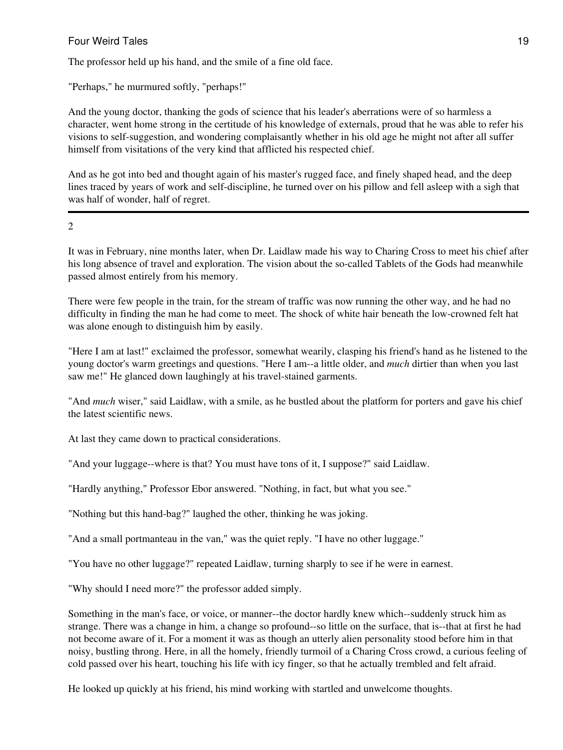# Four Weird Tales **19** and the set of the set of the set of the set of the set of the set of the set of the set of the set of the set of the set of the set of the set of the set of the set of the set of the set of the set o

The professor held up his hand, and the smile of a fine old face.

"Perhaps," he murmured softly, "perhaps!"

And the young doctor, thanking the gods of science that his leader's aberrations were of so harmless a character, went home strong in the certitude of his knowledge of externals, proud that he was able to refer his visions to self-suggestion, and wondering complaisantly whether in his old age he might not after all suffer himself from visitations of the very kind that afflicted his respected chief.

And as he got into bed and thought again of his master's rugged face, and finely shaped head, and the deep lines traced by years of work and self-discipline, he turned over on his pillow and fell asleep with a sigh that was half of wonder, half of regret.

 $\mathcal{L}$ 

It was in February, nine months later, when Dr. Laidlaw made his way to Charing Cross to meet his chief after his long absence of travel and exploration. The vision about the so-called Tablets of the Gods had meanwhile passed almost entirely from his memory.

There were few people in the train, for the stream of traffic was now running the other way, and he had no difficulty in finding the man he had come to meet. The shock of white hair beneath the low-crowned felt hat was alone enough to distinguish him by easily.

"Here I am at last!" exclaimed the professor, somewhat wearily, clasping his friend's hand as he listened to the young doctor's warm greetings and questions. "Here I am--a little older, and *much* dirtier than when you last saw me!" He glanced down laughingly at his travel-stained garments.

"And *much* wiser," said Laidlaw, with a smile, as he bustled about the platform for porters and gave his chief the latest scientific news.

At last they came down to practical considerations.

"And your luggage--where is that? You must have tons of it, I suppose?" said Laidlaw.

"Hardly anything," Professor Ebor answered. "Nothing, in fact, but what you see."

"Nothing but this hand-bag?" laughed the other, thinking he was joking.

"And a small portmanteau in the van," was the quiet reply. "I have no other luggage."

"You have no other luggage?" repeated Laidlaw, turning sharply to see if he were in earnest.

"Why should I need more?" the professor added simply.

Something in the man's face, or voice, or manner--the doctor hardly knew which--suddenly struck him as strange. There was a change in him, a change so profound--so little on the surface, that is--that at first he had not become aware of it. For a moment it was as though an utterly alien personality stood before him in that noisy, bustling throng. Here, in all the homely, friendly turmoil of a Charing Cross crowd, a curious feeling of cold passed over his heart, touching his life with icy finger, so that he actually trembled and felt afraid.

He looked up quickly at his friend, his mind working with startled and unwelcome thoughts.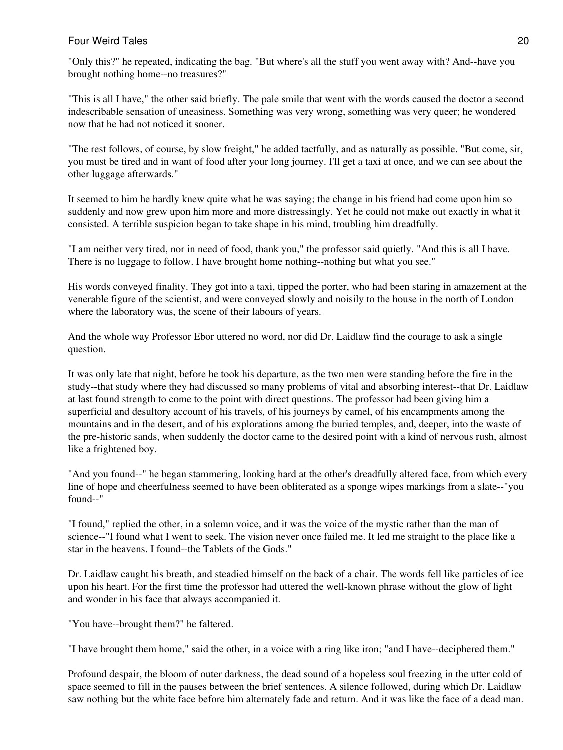"Only this?" he repeated, indicating the bag. "But where's all the stuff you went away with? And--have you brought nothing home--no treasures?"

"This is all I have," the other said briefly. The pale smile that went with the words caused the doctor a second indescribable sensation of uneasiness. Something was very wrong, something was very queer; he wondered now that he had not noticed it sooner.

"The rest follows, of course, by slow freight," he added tactfully, and as naturally as possible. "But come, sir, you must be tired and in want of food after your long journey. I'll get a taxi at once, and we can see about the other luggage afterwards."

It seemed to him he hardly knew quite what he was saying; the change in his friend had come upon him so suddenly and now grew upon him more and more distressingly. Yet he could not make out exactly in what it consisted. A terrible suspicion began to take shape in his mind, troubling him dreadfully.

"I am neither very tired, nor in need of food, thank you," the professor said quietly. "And this is all I have. There is no luggage to follow. I have brought home nothing--nothing but what you see."

His words conveyed finality. They got into a taxi, tipped the porter, who had been staring in amazement at the venerable figure of the scientist, and were conveyed slowly and noisily to the house in the north of London where the laboratory was, the scene of their labours of years.

And the whole way Professor Ebor uttered no word, nor did Dr. Laidlaw find the courage to ask a single question.

It was only late that night, before he took his departure, as the two men were standing before the fire in the study--that study where they had discussed so many problems of vital and absorbing interest--that Dr. Laidlaw at last found strength to come to the point with direct questions. The professor had been giving him a superficial and desultory account of his travels, of his journeys by camel, of his encampments among the mountains and in the desert, and of his explorations among the buried temples, and, deeper, into the waste of the pre-historic sands, when suddenly the doctor came to the desired point with a kind of nervous rush, almost like a frightened boy.

"And you found--" he began stammering, looking hard at the other's dreadfully altered face, from which every line of hope and cheerfulness seemed to have been obliterated as a sponge wipes markings from a slate--"you found--"

"I found," replied the other, in a solemn voice, and it was the voice of the mystic rather than the man of science--"I found what I went to seek. The vision never once failed me. It led me straight to the place like a star in the heavens. I found--the Tablets of the Gods."

Dr. Laidlaw caught his breath, and steadied himself on the back of a chair. The words fell like particles of ice upon his heart. For the first time the professor had uttered the well-known phrase without the glow of light and wonder in his face that always accompanied it.

"You have--brought them?" he faltered.

"I have brought them home," said the other, in a voice with a ring like iron; "and I have--deciphered them."

Profound despair, the bloom of outer darkness, the dead sound of a hopeless soul freezing in the utter cold of space seemed to fill in the pauses between the brief sentences. A silence followed, during which Dr. Laidlaw saw nothing but the white face before him alternately fade and return. And it was like the face of a dead man.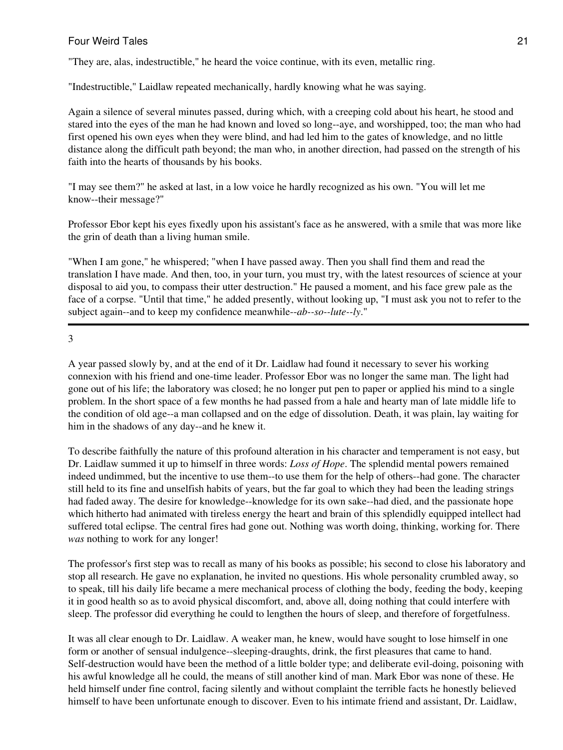"They are, alas, indestructible," he heard the voice continue, with its even, metallic ring.

"Indestructible," Laidlaw repeated mechanically, hardly knowing what he was saying.

Again a silence of several minutes passed, during which, with a creeping cold about his heart, he stood and stared into the eyes of the man he had known and loved so long--aye, and worshipped, too; the man who had first opened his own eyes when they were blind, and had led him to the gates of knowledge, and no little distance along the difficult path beyond; the man who, in another direction, had passed on the strength of his faith into the hearts of thousands by his books.

"I may see them?" he asked at last, in a low voice he hardly recognized as his own. "You will let me know--their message?"

Professor Ebor kept his eyes fixedly upon his assistant's face as he answered, with a smile that was more like the grin of death than a living human smile.

"When I am gone," he whispered; "when I have passed away. Then you shall find them and read the translation I have made. And then, too, in your turn, you must try, with the latest resources of science at your disposal to aid you, to compass their utter destruction." He paused a moment, and his face grew pale as the face of a corpse. "Until that time," he added presently, without looking up, "I must ask you not to refer to the subject again--and to keep my confidence meanwhile--*ab--so--lute--ly*."

3

A year passed slowly by, and at the end of it Dr. Laidlaw had found it necessary to sever his working connexion with his friend and one-time leader. Professor Ebor was no longer the same man. The light had gone out of his life; the laboratory was closed; he no longer put pen to paper or applied his mind to a single problem. In the short space of a few months he had passed from a hale and hearty man of late middle life to the condition of old age--a man collapsed and on the edge of dissolution. Death, it was plain, lay waiting for him in the shadows of any day--and he knew it.

To describe faithfully the nature of this profound alteration in his character and temperament is not easy, but Dr. Laidlaw summed it up to himself in three words: *Loss of Hope*. The splendid mental powers remained indeed undimmed, but the incentive to use them--to use them for the help of others--had gone. The character still held to its fine and unselfish habits of years, but the far goal to which they had been the leading strings had faded away. The desire for knowledge--knowledge for its own sake--had died, and the passionate hope which hitherto had animated with tireless energy the heart and brain of this splendidly equipped intellect had suffered total eclipse. The central fires had gone out. Nothing was worth doing, thinking, working for. There *was* nothing to work for any longer!

The professor's first step was to recall as many of his books as possible; his second to close his laboratory and stop all research. He gave no explanation, he invited no questions. His whole personality crumbled away, so to speak, till his daily life became a mere mechanical process of clothing the body, feeding the body, keeping it in good health so as to avoid physical discomfort, and, above all, doing nothing that could interfere with sleep. The professor did everything he could to lengthen the hours of sleep, and therefore of forgetfulness.

It was all clear enough to Dr. Laidlaw. A weaker man, he knew, would have sought to lose himself in one form or another of sensual indulgence--sleeping-draughts, drink, the first pleasures that came to hand. Self-destruction would have been the method of a little bolder type; and deliberate evil-doing, poisoning with his awful knowledge all he could, the means of still another kind of man. Mark Ebor was none of these. He held himself under fine control, facing silently and without complaint the terrible facts he honestly believed himself to have been unfortunate enough to discover. Even to his intimate friend and assistant, Dr. Laidlaw,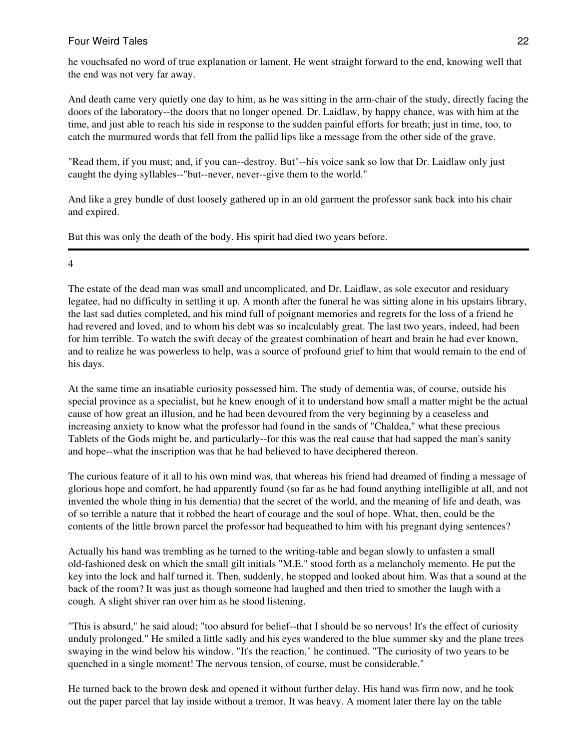he vouchsafed no word of true explanation or lament. He went straight forward to the end, knowing well that the end was not very far away.

And death came very quietly one day to him, as he was sitting in the arm-chair of the study, directly facing the doors of the laboratory--the doors that no longer opened. Dr. Laidlaw, by happy chance, was with him at the time, and just able to reach his side in response to the sudden painful efforts for breath; just in time, too, to catch the murmured words that fell from the pallid lips like a message from the other side of the grave.

"Read them, if you must; and, if you can--destroy. But"--his voice sank so low that Dr. Laidlaw only just caught the dying syllables--"but--never, never--give them to the world."

And like a grey bundle of dust loosely gathered up in an old garment the professor sank back into his chair and expired.

But this was only the death of the body. His spirit had died two years before.

# 4

The estate of the dead man was small and uncomplicated, and Dr. Laidlaw, as sole executor and residuary legatee, had no difficulty in settling it up. A month after the funeral he was sitting alone in his upstairs library, the last sad duties completed, and his mind full of poignant memories and regrets for the loss of a friend he had revered and loved, and to whom his debt was so incalculably great. The last two years, indeed, had been for him terrible. To watch the swift decay of the greatest combination of heart and brain he had ever known, and to realize he was powerless to help, was a source of profound grief to him that would remain to the end of his days.

At the same time an insatiable curiosity possessed him. The study of dementia was, of course, outside his special province as a specialist, but he knew enough of it to understand how small a matter might be the actual cause of how great an illusion, and he had been devoured from the very beginning by a ceaseless and increasing anxiety to know what the professor had found in the sands of "Chaldea," what these precious Tablets of the Gods might be, and particularly--for this was the real cause that had sapped the man's sanity and hope--what the inscription was that he had believed to have deciphered thereon.

The curious feature of it all to his own mind was, that whereas his friend had dreamed of finding a message of glorious hope and comfort, he had apparently found (so far as he had found anything intelligible at all, and not invented the whole thing in his dementia) that the secret of the world, and the meaning of life and death, was of so terrible a nature that it robbed the heart of courage and the soul of hope. What, then, could be the contents of the little brown parcel the professor had bequeathed to him with his pregnant dying sentences?

Actually his hand was trembling as he turned to the writing-table and began slowly to unfasten a small old-fashioned desk on which the small gilt initials "M.E." stood forth as a melancholy memento. He put the key into the lock and half turned it. Then, suddenly, he stopped and looked about him. Was that a sound at the back of the room? It was just as though someone had laughed and then tried to smother the laugh with a cough. A slight shiver ran over him as he stood listening.

"This is absurd," he said aloud; "too absurd for belief--that I should be so nervous! It's the effect of curiosity unduly prolonged." He smiled a little sadly and his eyes wandered to the blue summer sky and the plane trees swaying in the wind below his window. "It's the reaction," he continued. "The curiosity of two years to be quenched in a single moment! The nervous tension, of course, must be considerable."

He turned back to the brown desk and opened it without further delay. His hand was firm now, and he took out the paper parcel that lay inside without a tremor. It was heavy. A moment later there lay on the table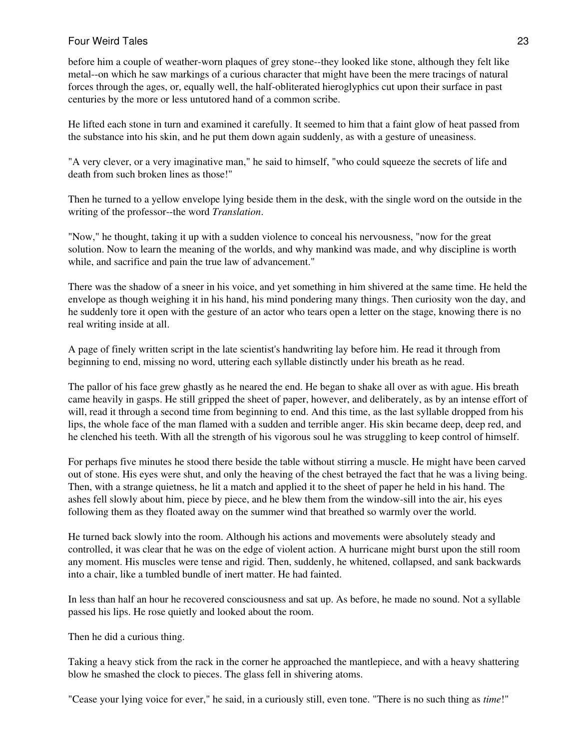before him a couple of weather-worn plaques of grey stone--they looked like stone, although they felt like metal--on which he saw markings of a curious character that might have been the mere tracings of natural forces through the ages, or, equally well, the half-obliterated hieroglyphics cut upon their surface in past centuries by the more or less untutored hand of a common scribe.

He lifted each stone in turn and examined it carefully. It seemed to him that a faint glow of heat passed from the substance into his skin, and he put them down again suddenly, as with a gesture of uneasiness.

"A very clever, or a very imaginative man," he said to himself, "who could squeeze the secrets of life and death from such broken lines as those!"

Then he turned to a yellow envelope lying beside them in the desk, with the single word on the outside in the writing of the professor--the word *Translation*.

"Now," he thought, taking it up with a sudden violence to conceal his nervousness, "now for the great solution. Now to learn the meaning of the worlds, and why mankind was made, and why discipline is worth while, and sacrifice and pain the true law of advancement."

There was the shadow of a sneer in his voice, and yet something in him shivered at the same time. He held the envelope as though weighing it in his hand, his mind pondering many things. Then curiosity won the day, and he suddenly tore it open with the gesture of an actor who tears open a letter on the stage, knowing there is no real writing inside at all.

A page of finely written script in the late scientist's handwriting lay before him. He read it through from beginning to end, missing no word, uttering each syllable distinctly under his breath as he read.

The pallor of his face grew ghastly as he neared the end. He began to shake all over as with ague. His breath came heavily in gasps. He still gripped the sheet of paper, however, and deliberately, as by an intense effort of will, read it through a second time from beginning to end. And this time, as the last syllable dropped from his lips, the whole face of the man flamed with a sudden and terrible anger. His skin became deep, deep red, and he clenched his teeth. With all the strength of his vigorous soul he was struggling to keep control of himself.

For perhaps five minutes he stood there beside the table without stirring a muscle. He might have been carved out of stone. His eyes were shut, and only the heaving of the chest betrayed the fact that he was a living being. Then, with a strange quietness, he lit a match and applied it to the sheet of paper he held in his hand. The ashes fell slowly about him, piece by piece, and he blew them from the window-sill into the air, his eyes following them as they floated away on the summer wind that breathed so warmly over the world.

He turned back slowly into the room. Although his actions and movements were absolutely steady and controlled, it was clear that he was on the edge of violent action. A hurricane might burst upon the still room any moment. His muscles were tense and rigid. Then, suddenly, he whitened, collapsed, and sank backwards into a chair, like a tumbled bundle of inert matter. He had fainted.

In less than half an hour he recovered consciousness and sat up. As before, he made no sound. Not a syllable passed his lips. He rose quietly and looked about the room.

Then he did a curious thing.

Taking a heavy stick from the rack in the corner he approached the mantlepiece, and with a heavy shattering blow he smashed the clock to pieces. The glass fell in shivering atoms.

"Cease your lying voice for ever," he said, in a curiously still, even tone. "There is no such thing as *time*!"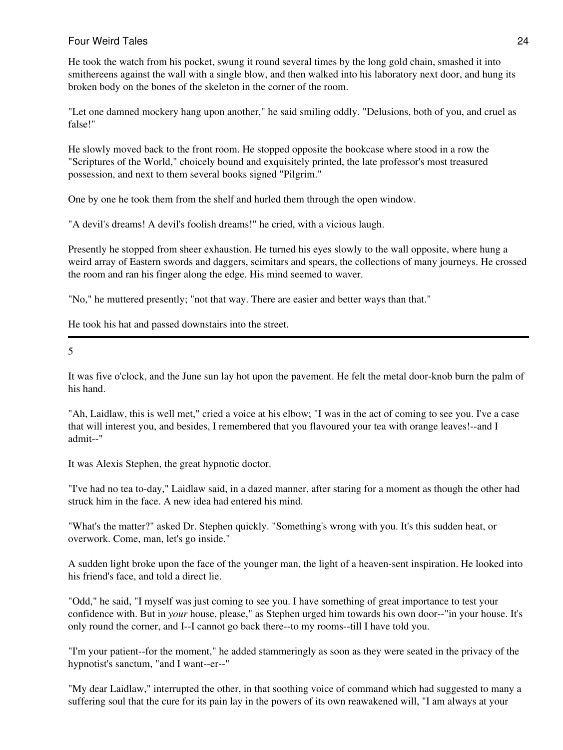He took the watch from his pocket, swung it round several times by the long gold chain, smashed it into smithereens against the wall with a single blow, and then walked into his laboratory next door, and hung its broken body on the bones of the skeleton in the corner of the room.

"Let one damned mockery hang upon another," he said smiling oddly. "Delusions, both of you, and cruel as false!"

He slowly moved back to the front room. He stopped opposite the bookcase where stood in a row the "Scriptures of the World," choicely bound and exquisitely printed, the late professor's most treasured possession, and next to them several books signed "Pilgrim."

One by one he took them from the shelf and hurled them through the open window.

"A devil's dreams! A devil's foolish dreams!" he cried, with a vicious laugh.

Presently he stopped from sheer exhaustion. He turned his eyes slowly to the wall opposite, where hung a weird array of Eastern swords and daggers, scimitars and spears, the collections of many journeys. He crossed the room and ran his finger along the edge. His mind seemed to waver.

"No," he muttered presently; "not that way. There are easier and better ways than that."

He took his hat and passed downstairs into the street.

5

It was five o'clock, and the June sun lay hot upon the pavement. He felt the metal door-knob burn the palm of his hand.

"Ah, Laidlaw, this is well met," cried a voice at his elbow; "I was in the act of coming to see you. I've a case that will interest you, and besides, I remembered that you flavoured your tea with orange leaves!--and I admit--"

It was Alexis Stephen, the great hypnotic doctor.

"I've had no tea to-day," Laidlaw said, in a dazed manner, after staring for a moment as though the other had struck him in the face. A new idea had entered his mind.

"What's the matter?" asked Dr. Stephen quickly. "Something's wrong with you. It's this sudden heat, or overwork. Come, man, let's go inside."

A sudden light broke upon the face of the younger man, the light of a heaven-sent inspiration. He looked into his friend's face, and told a direct lie.

"Odd," he said, "I myself was just coming to see you. I have something of great importance to test your confidence with. But in *your* house, please," as Stephen urged him towards his own door--"in your house. It's only round the corner, and I--I cannot go back there--to my rooms--till I have told you.

"I'm your patient--for the moment," he added stammeringly as soon as they were seated in the privacy of the hypnotist's sanctum, "and I want--er--"

"My dear Laidlaw," interrupted the other, in that soothing voice of command which had suggested to many a suffering soul that the cure for its pain lay in the powers of its own reawakened will, "I am always at your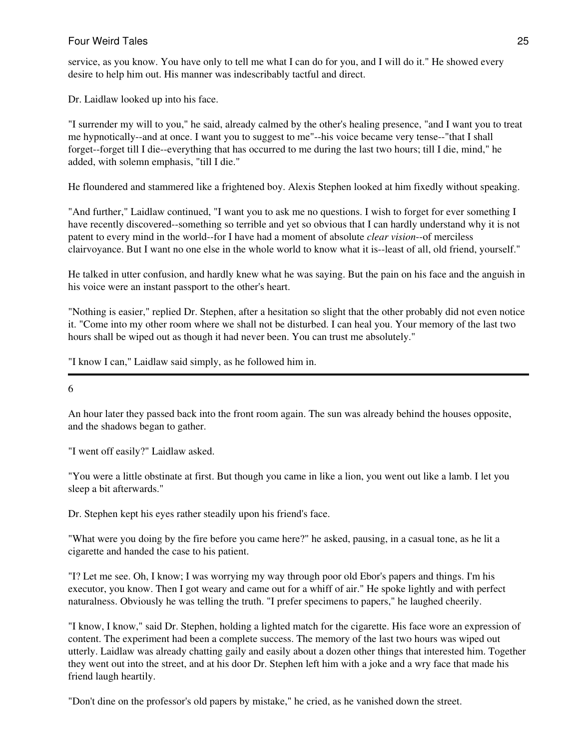service, as you know. You have only to tell me what I can do for you, and I will do it." He showed every desire to help him out. His manner was indescribably tactful and direct.

Dr. Laidlaw looked up into his face.

"I surrender my will to you," he said, already calmed by the other's healing presence, "and I want you to treat me hypnotically--and at once. I want you to suggest to me"--his voice became very tense--"that I shall forget--forget till I die--everything that has occurred to me during the last two hours; till I die, mind," he added, with solemn emphasis, "till I die."

He floundered and stammered like a frightened boy. Alexis Stephen looked at him fixedly without speaking.

"And further," Laidlaw continued, "I want you to ask me no questions. I wish to forget for ever something I have recently discovered--something so terrible and yet so obvious that I can hardly understand why it is not patent to every mind in the world--for I have had a moment of absolute *clear vision*--of merciless clairvoyance. But I want no one else in the whole world to know what it is--least of all, old friend, yourself."

He talked in utter confusion, and hardly knew what he was saying. But the pain on his face and the anguish in his voice were an instant passport to the other's heart.

"Nothing is easier," replied Dr. Stephen, after a hesitation so slight that the other probably did not even notice it. "Come into my other room where we shall not be disturbed. I can heal you. Your memory of the last two hours shall be wiped out as though it had never been. You can trust me absolutely."

"I know I can," Laidlaw said simply, as he followed him in.

6

An hour later they passed back into the front room again. The sun was already behind the houses opposite, and the shadows began to gather.

"I went off easily?" Laidlaw asked.

"You were a little obstinate at first. But though you came in like a lion, you went out like a lamb. I let you sleep a bit afterwards."

Dr. Stephen kept his eyes rather steadily upon his friend's face.

"What were you doing by the fire before you came here?" he asked, pausing, in a casual tone, as he lit a cigarette and handed the case to his patient.

"I? Let me see. Oh, I know; I was worrying my way through poor old Ebor's papers and things. I'm his executor, you know. Then I got weary and came out for a whiff of air." He spoke lightly and with perfect naturalness. Obviously he was telling the truth. "I prefer specimens to papers," he laughed cheerily.

"I know, I know," said Dr. Stephen, holding a lighted match for the cigarette. His face wore an expression of content. The experiment had been a complete success. The memory of the last two hours was wiped out utterly. Laidlaw was already chatting gaily and easily about a dozen other things that interested him. Together they went out into the street, and at his door Dr. Stephen left him with a joke and a wry face that made his friend laugh heartily.

"Don't dine on the professor's old papers by mistake," he cried, as he vanished down the street.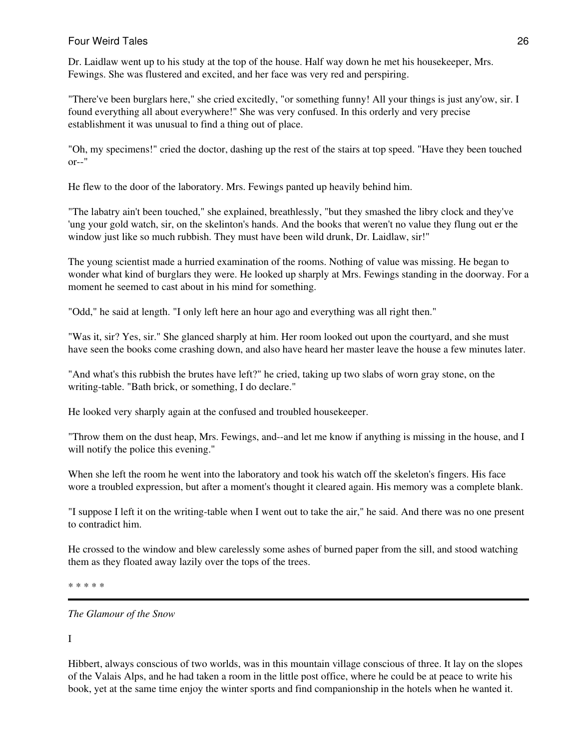Dr. Laidlaw went up to his study at the top of the house. Half way down he met his housekeeper, Mrs. Fewings. She was flustered and excited, and her face was very red and perspiring.

"There've been burglars here," she cried excitedly, "or something funny! All your things is just any'ow, sir. I found everything all about everywhere!" She was very confused. In this orderly and very precise establishment it was unusual to find a thing out of place.

"Oh, my specimens!" cried the doctor, dashing up the rest of the stairs at top speed. "Have they been touched or--"

He flew to the door of the laboratory. Mrs. Fewings panted up heavily behind him.

"The labatry ain't been touched," she explained, breathlessly, "but they smashed the libry clock and they've 'ung your gold watch, sir, on the skelinton's hands. And the books that weren't no value they flung out er the window just like so much rubbish. They must have been wild drunk, Dr. Laidlaw, sir!"

The young scientist made a hurried examination of the rooms. Nothing of value was missing. He began to wonder what kind of burglars they were. He looked up sharply at Mrs. Fewings standing in the doorway. For a moment he seemed to cast about in his mind for something.

"Odd," he said at length. "I only left here an hour ago and everything was all right then."

"Was it, sir? Yes, sir." She glanced sharply at him. Her room looked out upon the courtyard, and she must have seen the books come crashing down, and also have heard her master leave the house a few minutes later.

"And what's this rubbish the brutes have left?" he cried, taking up two slabs of worn gray stone, on the writing-table. "Bath brick, or something, I do declare."

He looked very sharply again at the confused and troubled housekeeper.

"Throw them on the dust heap, Mrs. Fewings, and--and let me know if anything is missing in the house, and I will notify the police this evening."

When she left the room he went into the laboratory and took his watch off the skeleton's fingers. His face wore a troubled expression, but after a moment's thought it cleared again. His memory was a complete blank.

"I suppose I left it on the writing-table when I went out to take the air," he said. And there was no one present to contradict him.

He crossed to the window and blew carelessly some ashes of burned paper from the sill, and stood watching them as they floated away lazily over the tops of the trees.

\* \* \* \* \*

*The Glamour of the Snow*

I

Hibbert, always conscious of two worlds, was in this mountain village conscious of three. It lay on the slopes of the Valais Alps, and he had taken a room in the little post office, where he could be at peace to write his book, yet at the same time enjoy the winter sports and find companionship in the hotels when he wanted it.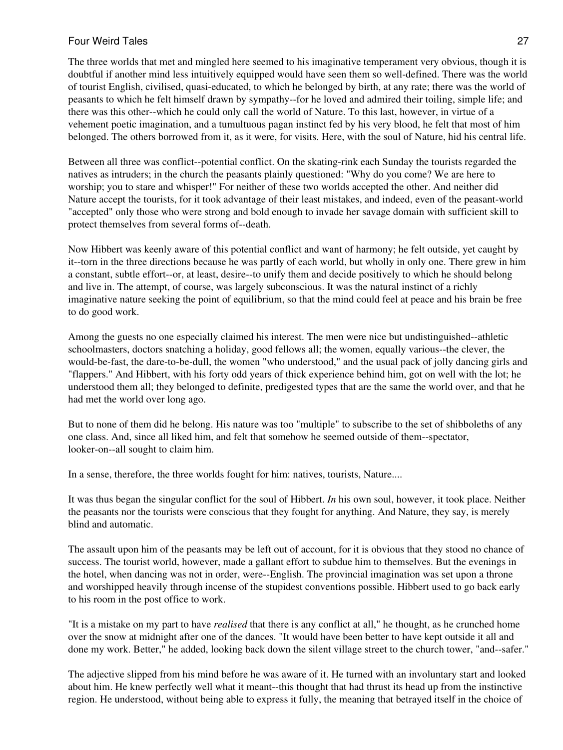The three worlds that met and mingled here seemed to his imaginative temperament very obvious, though it is doubtful if another mind less intuitively equipped would have seen them so well-defined. There was the world of tourist English, civilised, quasi-educated, to which he belonged by birth, at any rate; there was the world of peasants to which he felt himself drawn by sympathy--for he loved and admired their toiling, simple life; and there was this other--which he could only call the world of Nature. To this last, however, in virtue of a vehement poetic imagination, and a tumultuous pagan instinct fed by his very blood, he felt that most of him belonged. The others borrowed from it, as it were, for visits. Here, with the soul of Nature, hid his central life.

Between all three was conflict--potential conflict. On the skating-rink each Sunday the tourists regarded the natives as intruders; in the church the peasants plainly questioned: "Why do you come? We are here to worship; you to stare and whisper!" For neither of these two worlds accepted the other. And neither did Nature accept the tourists, for it took advantage of their least mistakes, and indeed, even of the peasant-world "accepted" only those who were strong and bold enough to invade her savage domain with sufficient skill to protect themselves from several forms of--death.

Now Hibbert was keenly aware of this potential conflict and want of harmony; he felt outside, yet caught by it--torn in the three directions because he was partly of each world, but wholly in only one. There grew in him a constant, subtle effort--or, at least, desire--to unify them and decide positively to which he should belong and live in. The attempt, of course, was largely subconscious. It was the natural instinct of a richly imaginative nature seeking the point of equilibrium, so that the mind could feel at peace and his brain be free to do good work.

Among the guests no one especially claimed his interest. The men were nice but undistinguished--athletic schoolmasters, doctors snatching a holiday, good fellows all; the women, equally various--the clever, the would-be-fast, the dare-to-be-dull, the women "who understood," and the usual pack of jolly dancing girls and "flappers." And Hibbert, with his forty odd years of thick experience behind him, got on well with the lot; he understood them all; they belonged to definite, predigested types that are the same the world over, and that he had met the world over long ago.

But to none of them did he belong. His nature was too "multiple" to subscribe to the set of shibboleths of any one class. And, since all liked him, and felt that somehow he seemed outside of them--spectator, looker-on--all sought to claim him.

In a sense, therefore, the three worlds fought for him: natives, tourists, Nature....

It was thus began the singular conflict for the soul of Hibbert. *In* his own soul, however, it took place. Neither the peasants nor the tourists were conscious that they fought for anything. And Nature, they say, is merely blind and automatic.

The assault upon him of the peasants may be left out of account, for it is obvious that they stood no chance of success. The tourist world, however, made a gallant effort to subdue him to themselves. But the evenings in the hotel, when dancing was not in order, were--English. The provincial imagination was set upon a throne and worshipped heavily through incense of the stupidest conventions possible. Hibbert used to go back early to his room in the post office to work.

"It is a mistake on my part to have *realised* that there is any conflict at all," he thought, as he crunched home over the snow at midnight after one of the dances. "It would have been better to have kept outside it all and done my work. Better," he added, looking back down the silent village street to the church tower, "and--safer."

The adjective slipped from his mind before he was aware of it. He turned with an involuntary start and looked about him. He knew perfectly well what it meant--this thought that had thrust its head up from the instinctive region. He understood, without being able to express it fully, the meaning that betrayed itself in the choice of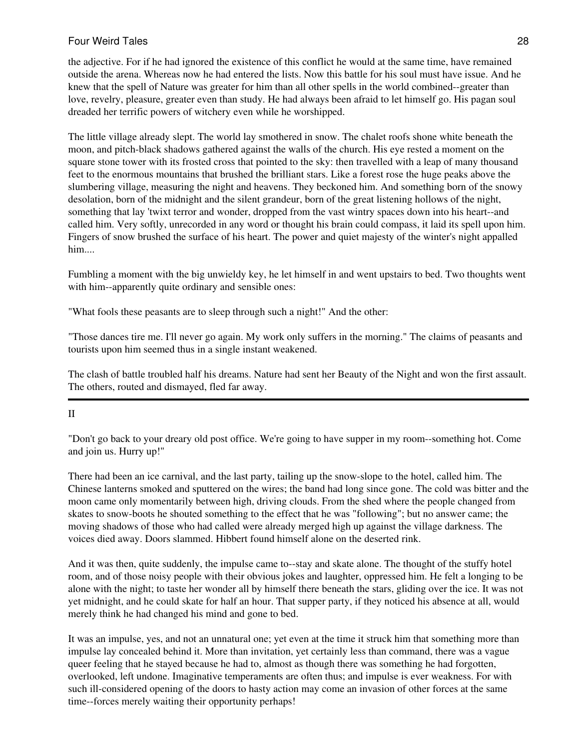the adjective. For if he had ignored the existence of this conflict he would at the same time, have remained outside the arena. Whereas now he had entered the lists. Now this battle for his soul must have issue. And he knew that the spell of Nature was greater for him than all other spells in the world combined--greater than love, revelry, pleasure, greater even than study. He had always been afraid to let himself go. His pagan soul dreaded her terrific powers of witchery even while he worshipped.

The little village already slept. The world lay smothered in snow. The chalet roofs shone white beneath the moon, and pitch-black shadows gathered against the walls of the church. His eye rested a moment on the square stone tower with its frosted cross that pointed to the sky: then travelled with a leap of many thousand feet to the enormous mountains that brushed the brilliant stars. Like a forest rose the huge peaks above the slumbering village, measuring the night and heavens. They beckoned him. And something born of the snowy desolation, born of the midnight and the silent grandeur, born of the great listening hollows of the night, something that lay 'twixt terror and wonder, dropped from the vast wintry spaces down into his heart--and called him. Very softly, unrecorded in any word or thought his brain could compass, it laid its spell upon him. Fingers of snow brushed the surface of his heart. The power and quiet majesty of the winter's night appalled him....

Fumbling a moment with the big unwieldy key, he let himself in and went upstairs to bed. Two thoughts went with him--apparently quite ordinary and sensible ones:

"What fools these peasants are to sleep through such a night!" And the other:

"Those dances tire me. I'll never go again. My work only suffers in the morning." The claims of peasants and tourists upon him seemed thus in a single instant weakened.

The clash of battle troubled half his dreams. Nature had sent her Beauty of the Night and won the first assault. The others, routed and dismayed, fled far away.

### II

"Don't go back to your dreary old post office. We're going to have supper in my room--something hot. Come and join us. Hurry up!"

There had been an ice carnival, and the last party, tailing up the snow-slope to the hotel, called him. The Chinese lanterns smoked and sputtered on the wires; the band had long since gone. The cold was bitter and the moon came only momentarily between high, driving clouds. From the shed where the people changed from skates to snow-boots he shouted something to the effect that he was "following"; but no answer came; the moving shadows of those who had called were already merged high up against the village darkness. The voices died away. Doors slammed. Hibbert found himself alone on the deserted rink.

And it was then, quite suddenly, the impulse came to--stay and skate alone. The thought of the stuffy hotel room, and of those noisy people with their obvious jokes and laughter, oppressed him. He felt a longing to be alone with the night; to taste her wonder all by himself there beneath the stars, gliding over the ice. It was not yet midnight, and he could skate for half an hour. That supper party, if they noticed his absence at all, would merely think he had changed his mind and gone to bed.

It was an impulse, yes, and not an unnatural one; yet even at the time it struck him that something more than impulse lay concealed behind it. More than invitation, yet certainly less than command, there was a vague queer feeling that he stayed because he had to, almost as though there was something he had forgotten, overlooked, left undone. Imaginative temperaments are often thus; and impulse is ever weakness. For with such ill-considered opening of the doors to hasty action may come an invasion of other forces at the same time--forces merely waiting their opportunity perhaps!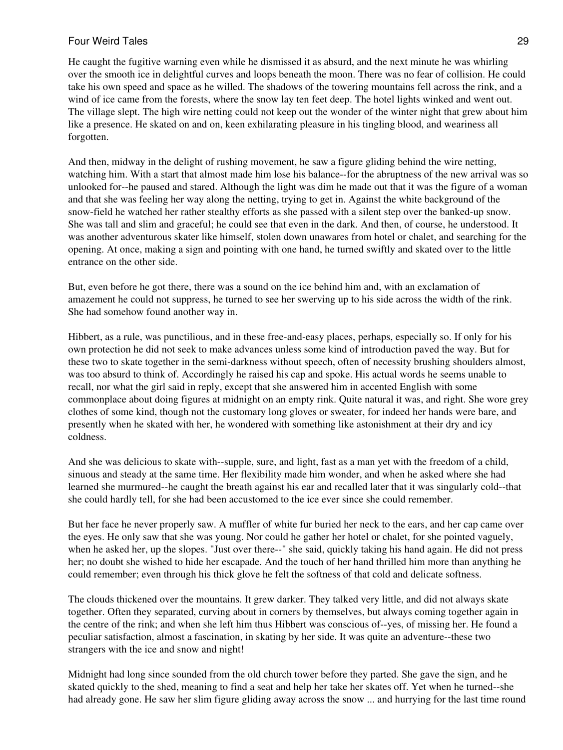He caught the fugitive warning even while he dismissed it as absurd, and the next minute he was whirling over the smooth ice in delightful curves and loops beneath the moon. There was no fear of collision. He could take his own speed and space as he willed. The shadows of the towering mountains fell across the rink, and a wind of ice came from the forests, where the snow lay ten feet deep. The hotel lights winked and went out. The village slept. The high wire netting could not keep out the wonder of the winter night that grew about him like a presence. He skated on and on, keen exhilarating pleasure in his tingling blood, and weariness all forgotten.

And then, midway in the delight of rushing movement, he saw a figure gliding behind the wire netting, watching him. With a start that almost made him lose his balance--for the abruptness of the new arrival was so unlooked for--he paused and stared. Although the light was dim he made out that it was the figure of a woman and that she was feeling her way along the netting, trying to get in. Against the white background of the snow-field he watched her rather stealthy efforts as she passed with a silent step over the banked-up snow. She was tall and slim and graceful; he could see that even in the dark. And then, of course, he understood. It was another adventurous skater like himself, stolen down unawares from hotel or chalet, and searching for the opening. At once, making a sign and pointing with one hand, he turned swiftly and skated over to the little entrance on the other side.

But, even before he got there, there was a sound on the ice behind him and, with an exclamation of amazement he could not suppress, he turned to see her swerving up to his side across the width of the rink. She had somehow found another way in.

Hibbert, as a rule, was punctilious, and in these free-and-easy places, perhaps, especially so. If only for his own protection he did not seek to make advances unless some kind of introduction paved the way. But for these two to skate together in the semi-darkness without speech, often of necessity brushing shoulders almost, was too absurd to think of. Accordingly he raised his cap and spoke. His actual words he seems unable to recall, nor what the girl said in reply, except that she answered him in accented English with some commonplace about doing figures at midnight on an empty rink. Quite natural it was, and right. She wore grey clothes of some kind, though not the customary long gloves or sweater, for indeed her hands were bare, and presently when he skated with her, he wondered with something like astonishment at their dry and icy coldness.

And she was delicious to skate with--supple, sure, and light, fast as a man yet with the freedom of a child, sinuous and steady at the same time. Her flexibility made him wonder, and when he asked where she had learned she murmured--he caught the breath against his ear and recalled later that it was singularly cold--that she could hardly tell, for she had been accustomed to the ice ever since she could remember.

But her face he never properly saw. A muffler of white fur buried her neck to the ears, and her cap came over the eyes. He only saw that she was young. Nor could he gather her hotel or chalet, for she pointed vaguely, when he asked her, up the slopes. "Just over there--" she said, quickly taking his hand again. He did not press her; no doubt she wished to hide her escapade. And the touch of her hand thrilled him more than anything he could remember; even through his thick glove he felt the softness of that cold and delicate softness.

The clouds thickened over the mountains. It grew darker. They talked very little, and did not always skate together. Often they separated, curving about in corners by themselves, but always coming together again in the centre of the rink; and when she left him thus Hibbert was conscious of--yes, of missing her. He found a peculiar satisfaction, almost a fascination, in skating by her side. It was quite an adventure--these two strangers with the ice and snow and night!

Midnight had long since sounded from the old church tower before they parted. She gave the sign, and he skated quickly to the shed, meaning to find a seat and help her take her skates off. Yet when he turned--she had already gone. He saw her slim figure gliding away across the snow ... and hurrying for the last time round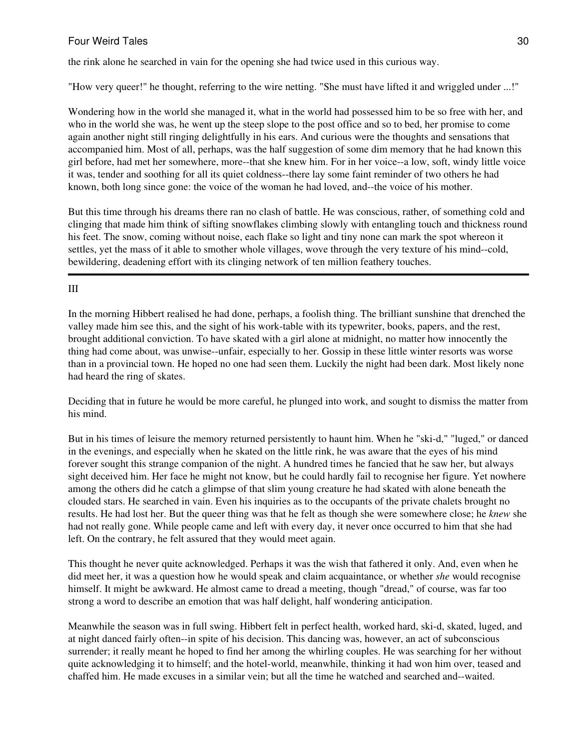the rink alone he searched in vain for the opening she had twice used in this curious way.

"How very queer!" he thought, referring to the wire netting. "She must have lifted it and wriggled under ...!"

Wondering how in the world she managed it, what in the world had possessed him to be so free with her, and who in the world she was, he went up the steep slope to the post office and so to bed, her promise to come again another night still ringing delightfully in his ears. And curious were the thoughts and sensations that accompanied him. Most of all, perhaps, was the half suggestion of some dim memory that he had known this girl before, had met her somewhere, more--that she knew him. For in her voice--a low, soft, windy little voice it was, tender and soothing for all its quiet coldness--there lay some faint reminder of two others he had known, both long since gone: the voice of the woman he had loved, and--the voice of his mother.

But this time through his dreams there ran no clash of battle. He was conscious, rather, of something cold and clinging that made him think of sifting snowflakes climbing slowly with entangling touch and thickness round his feet. The snow, coming without noise, each flake so light and tiny none can mark the spot whereon it settles, yet the mass of it able to smother whole villages, wove through the very texture of his mind--cold, bewildering, deadening effort with its clinging network of ten million feathery touches.

## III

In the morning Hibbert realised he had done, perhaps, a foolish thing. The brilliant sunshine that drenched the valley made him see this, and the sight of his work-table with its typewriter, books, papers, and the rest, brought additional conviction. To have skated with a girl alone at midnight, no matter how innocently the thing had come about, was unwise--unfair, especially to her. Gossip in these little winter resorts was worse than in a provincial town. He hoped no one had seen them. Luckily the night had been dark. Most likely none had heard the ring of skates.

Deciding that in future he would be more careful, he plunged into work, and sought to dismiss the matter from his mind.

But in his times of leisure the memory returned persistently to haunt him. When he "ski-d," "luged," or danced in the evenings, and especially when he skated on the little rink, he was aware that the eyes of his mind forever sought this strange companion of the night. A hundred times he fancied that he saw her, but always sight deceived him. Her face he might not know, but he could hardly fail to recognise her figure. Yet nowhere among the others did he catch a glimpse of that slim young creature he had skated with alone beneath the clouded stars. He searched in vain. Even his inquiries as to the occupants of the private chalets brought no results. He had lost her. But the queer thing was that he felt as though she were somewhere close; he *knew* she had not really gone. While people came and left with every day, it never once occurred to him that she had left. On the contrary, he felt assured that they would meet again.

This thought he never quite acknowledged. Perhaps it was the wish that fathered it only. And, even when he did meet her, it was a question how he would speak and claim acquaintance, or whether *she* would recognise himself. It might be awkward. He almost came to dread a meeting, though "dread," of course, was far too strong a word to describe an emotion that was half delight, half wondering anticipation.

Meanwhile the season was in full swing. Hibbert felt in perfect health, worked hard, ski-d, skated, luged, and at night danced fairly often--in spite of his decision. This dancing was, however, an act of subconscious surrender; it really meant he hoped to find her among the whirling couples. He was searching for her without quite acknowledging it to himself; and the hotel-world, meanwhile, thinking it had won him over, teased and chaffed him. He made excuses in a similar vein; but all the time he watched and searched and--waited.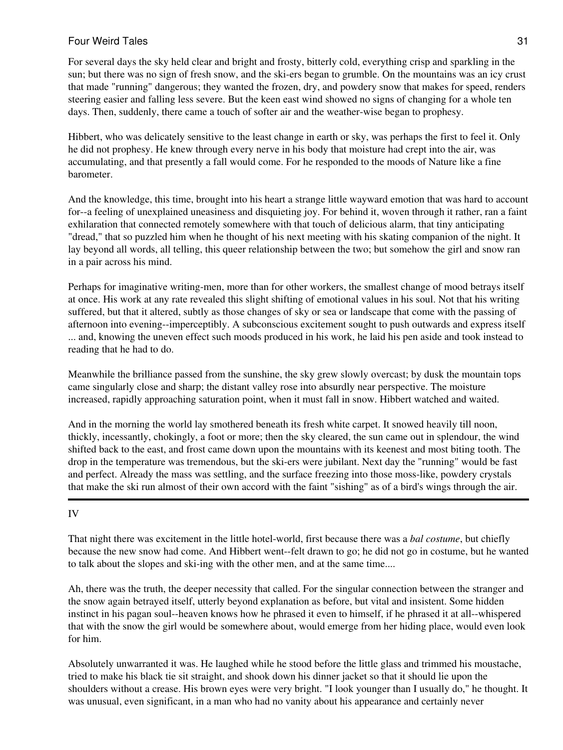For several days the sky held clear and bright and frosty, bitterly cold, everything crisp and sparkling in the sun; but there was no sign of fresh snow, and the ski-ers began to grumble. On the mountains was an icy crust that made "running" dangerous; they wanted the frozen, dry, and powdery snow that makes for speed, renders steering easier and falling less severe. But the keen east wind showed no signs of changing for a whole ten days. Then, suddenly, there came a touch of softer air and the weather-wise began to prophesy.

Hibbert, who was delicately sensitive to the least change in earth or sky, was perhaps the first to feel it. Only he did not prophesy. He knew through every nerve in his body that moisture had crept into the air, was accumulating, and that presently a fall would come. For he responded to the moods of Nature like a fine barometer.

And the knowledge, this time, brought into his heart a strange little wayward emotion that was hard to account for--a feeling of unexplained uneasiness and disquieting joy. For behind it, woven through it rather, ran a faint exhilaration that connected remotely somewhere with that touch of delicious alarm, that tiny anticipating "dread," that so puzzled him when he thought of his next meeting with his skating companion of the night. It lay beyond all words, all telling, this queer relationship between the two; but somehow the girl and snow ran in a pair across his mind.

Perhaps for imaginative writing-men, more than for other workers, the smallest change of mood betrays itself at once. His work at any rate revealed this slight shifting of emotional values in his soul. Not that his writing suffered, but that it altered, subtly as those changes of sky or sea or landscape that come with the passing of afternoon into evening--imperceptibly. A subconscious excitement sought to push outwards and express itself ... and, knowing the uneven effect such moods produced in his work, he laid his pen aside and took instead to reading that he had to do.

Meanwhile the brilliance passed from the sunshine, the sky grew slowly overcast; by dusk the mountain tops came singularly close and sharp; the distant valley rose into absurdly near perspective. The moisture increased, rapidly approaching saturation point, when it must fall in snow. Hibbert watched and waited.

And in the morning the world lay smothered beneath its fresh white carpet. It snowed heavily till noon, thickly, incessantly, chokingly, a foot or more; then the sky cleared, the sun came out in splendour, the wind shifted back to the east, and frost came down upon the mountains with its keenest and most biting tooth. The drop in the temperature was tremendous, but the ski-ers were jubilant. Next day the "running" would be fast and perfect. Already the mass was settling, and the surface freezing into those moss-like, powdery crystals that make the ski run almost of their own accord with the faint "sishing" as of a bird's wings through the air.

# IV

That night there was excitement in the little hotel-world, first because there was a *bal costume*, but chiefly because the new snow had come. And Hibbert went--felt drawn to go; he did not go in costume, but he wanted to talk about the slopes and ski-ing with the other men, and at the same time....

Ah, there was the truth, the deeper necessity that called. For the singular connection between the stranger and the snow again betrayed itself, utterly beyond explanation as before, but vital and insistent. Some hidden instinct in his pagan soul--heaven knows how he phrased it even to himself, if he phrased it at all--whispered that with the snow the girl would be somewhere about, would emerge from her hiding place, would even look for him.

Absolutely unwarranted it was. He laughed while he stood before the little glass and trimmed his moustache, tried to make his black tie sit straight, and shook down his dinner jacket so that it should lie upon the shoulders without a crease. His brown eyes were very bright. "I look younger than I usually do," he thought. It was unusual, even significant, in a man who had no vanity about his appearance and certainly never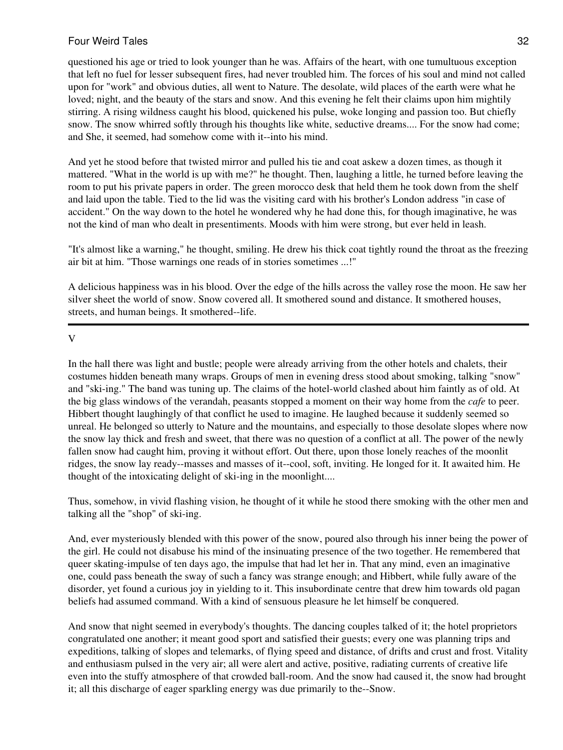questioned his age or tried to look younger than he was. Affairs of the heart, with one tumultuous exception that left no fuel for lesser subsequent fires, had never troubled him. The forces of his soul and mind not called upon for "work" and obvious duties, all went to Nature. The desolate, wild places of the earth were what he loved; night, and the beauty of the stars and snow. And this evening he felt their claims upon him mightily stirring. A rising wildness caught his blood, quickened his pulse, woke longing and passion too. But chiefly snow. The snow whirred softly through his thoughts like white, seductive dreams.... For the snow had come; and She, it seemed, had somehow come with it--into his mind.

And yet he stood before that twisted mirror and pulled his tie and coat askew a dozen times, as though it mattered. "What in the world is up with me?" he thought. Then, laughing a little, he turned before leaving the room to put his private papers in order. The green morocco desk that held them he took down from the shelf and laid upon the table. Tied to the lid was the visiting card with his brother's London address "in case of accident." On the way down to the hotel he wondered why he had done this, for though imaginative, he was not the kind of man who dealt in presentiments. Moods with him were strong, but ever held in leash.

"It's almost like a warning," he thought, smiling. He drew his thick coat tightly round the throat as the freezing air bit at him. "Those warnings one reads of in stories sometimes ...!"

A delicious happiness was in his blood. Over the edge of the hills across the valley rose the moon. He saw her silver sheet the world of snow. Snow covered all. It smothered sound and distance. It smothered houses, streets, and human beings. It smothered--life.

V

In the hall there was light and bustle; people were already arriving from the other hotels and chalets, their costumes hidden beneath many wraps. Groups of men in evening dress stood about smoking, talking "snow" and "ski-ing." The band was tuning up. The claims of the hotel-world clashed about him faintly as of old. At the big glass windows of the verandah, peasants stopped a moment on their way home from the *cafe* to peer. Hibbert thought laughingly of that conflict he used to imagine. He laughed because it suddenly seemed so unreal. He belonged so utterly to Nature and the mountains, and especially to those desolate slopes where now the snow lay thick and fresh and sweet, that there was no question of a conflict at all. The power of the newly fallen snow had caught him, proving it without effort. Out there, upon those lonely reaches of the moonlit ridges, the snow lay ready--masses and masses of it--cool, soft, inviting. He longed for it. It awaited him. He thought of the intoxicating delight of ski-ing in the moonlight....

Thus, somehow, in vivid flashing vision, he thought of it while he stood there smoking with the other men and talking all the "shop" of ski-ing.

And, ever mysteriously blended with this power of the snow, poured also through his inner being the power of the girl. He could not disabuse his mind of the insinuating presence of the two together. He remembered that queer skating-impulse of ten days ago, the impulse that had let her in. That any mind, even an imaginative one, could pass beneath the sway of such a fancy was strange enough; and Hibbert, while fully aware of the disorder, yet found a curious joy in yielding to it. This insubordinate centre that drew him towards old pagan beliefs had assumed command. With a kind of sensuous pleasure he let himself be conquered.

And snow that night seemed in everybody's thoughts. The dancing couples talked of it; the hotel proprietors congratulated one another; it meant good sport and satisfied their guests; every one was planning trips and expeditions, talking of slopes and telemarks, of flying speed and distance, of drifts and crust and frost. Vitality and enthusiasm pulsed in the very air; all were alert and active, positive, radiating currents of creative life even into the stuffy atmosphere of that crowded ball-room. And the snow had caused it, the snow had brought it; all this discharge of eager sparkling energy was due primarily to the--Snow.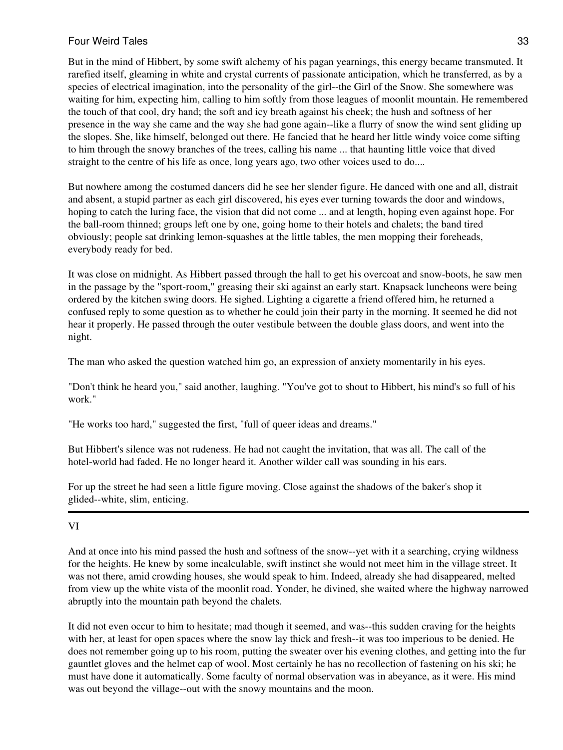But in the mind of Hibbert, by some swift alchemy of his pagan yearnings, this energy became transmuted. It rarefied itself, gleaming in white and crystal currents of passionate anticipation, which he transferred, as by a species of electrical imagination, into the personality of the girl--the Girl of the Snow. She somewhere was waiting for him, expecting him, calling to him softly from those leagues of moonlit mountain. He remembered the touch of that cool, dry hand; the soft and icy breath against his cheek; the hush and softness of her presence in the way she came and the way she had gone again--like a flurry of snow the wind sent gliding up the slopes. She, like himself, belonged out there. He fancied that he heard her little windy voice come sifting to him through the snowy branches of the trees, calling his name ... that haunting little voice that dived straight to the centre of his life as once, long years ago, two other voices used to do....

But nowhere among the costumed dancers did he see her slender figure. He danced with one and all, distrait and absent, a stupid partner as each girl discovered, his eyes ever turning towards the door and windows, hoping to catch the luring face, the vision that did not come ... and at length, hoping even against hope. For the ball-room thinned; groups left one by one, going home to their hotels and chalets; the band tired obviously; people sat drinking lemon-squashes at the little tables, the men mopping their foreheads, everybody ready for bed.

It was close on midnight. As Hibbert passed through the hall to get his overcoat and snow-boots, he saw men in the passage by the "sport-room," greasing their ski against an early start. Knapsack luncheons were being ordered by the kitchen swing doors. He sighed. Lighting a cigarette a friend offered him, he returned a confused reply to some question as to whether he could join their party in the morning. It seemed he did not hear it properly. He passed through the outer vestibule between the double glass doors, and went into the night.

The man who asked the question watched him go, an expression of anxiety momentarily in his eyes.

"Don't think he heard you," said another, laughing. "You've got to shout to Hibbert, his mind's so full of his work."

"He works too hard," suggested the first, "full of queer ideas and dreams."

But Hibbert's silence was not rudeness. He had not caught the invitation, that was all. The call of the hotel-world had faded. He no longer heard it. Another wilder call was sounding in his ears.

For up the street he had seen a little figure moving. Close against the shadows of the baker's shop it glided--white, slim, enticing.

# VI

And at once into his mind passed the hush and softness of the snow--yet with it a searching, crying wildness for the heights. He knew by some incalculable, swift instinct she would not meet him in the village street. It was not there, amid crowding houses, she would speak to him. Indeed, already she had disappeared, melted from view up the white vista of the moonlit road. Yonder, he divined, she waited where the highway narrowed abruptly into the mountain path beyond the chalets.

It did not even occur to him to hesitate; mad though it seemed, and was--this sudden craving for the heights with her, at least for open spaces where the snow lay thick and fresh--it was too imperious to be denied. He does not remember going up to his room, putting the sweater over his evening clothes, and getting into the fur gauntlet gloves and the helmet cap of wool. Most certainly he has no recollection of fastening on his ski; he must have done it automatically. Some faculty of normal observation was in abeyance, as it were. His mind was out beyond the village--out with the snowy mountains and the moon.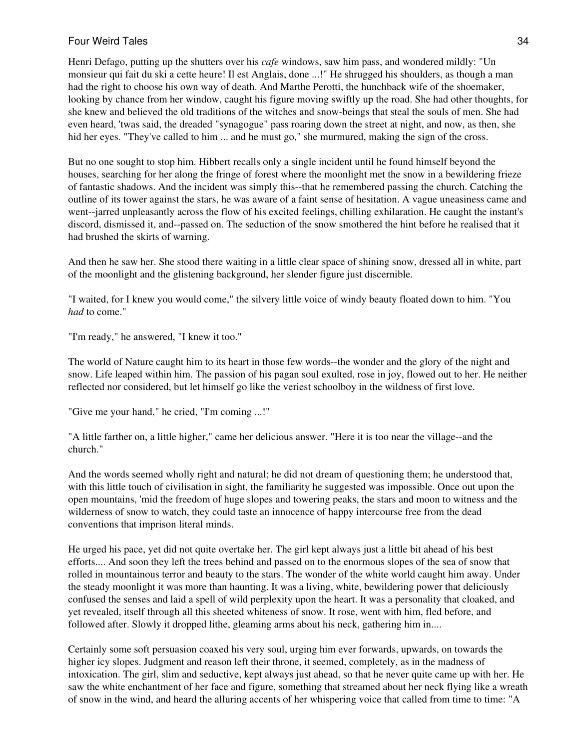Henri Defago, putting up the shutters over his *cafe* windows, saw him pass, and wondered mildly: "Un monsieur qui fait du ski a cette heure! Il est Anglais, done ...!" He shrugged his shoulders, as though a man had the right to choose his own way of death. And Marthe Perotti, the hunchback wife of the shoemaker, looking by chance from her window, caught his figure moving swiftly up the road. She had other thoughts, for she knew and believed the old traditions of the witches and snow-beings that steal the souls of men. She had even heard, 'twas said, the dreaded "synagogue" pass roaring down the street at night, and now, as then, she hid her eyes. "They've called to him ... and he must go," she murmured, making the sign of the cross.

But no one sought to stop him. Hibbert recalls only a single incident until he found himself beyond the houses, searching for her along the fringe of forest where the moonlight met the snow in a bewildering frieze of fantastic shadows. And the incident was simply this--that he remembered passing the church. Catching the outline of its tower against the stars, he was aware of a faint sense of hesitation. A vague uneasiness came and went--jarred unpleasantly across the flow of his excited feelings, chilling exhilaration. He caught the instant's discord, dismissed it, and--passed on. The seduction of the snow smothered the hint before he realised that it had brushed the skirts of warning.

And then he saw her. She stood there waiting in a little clear space of shining snow, dressed all in white, part of the moonlight and the glistening background, her slender figure just discernible.

"I waited, for I knew you would come," the silvery little voice of windy beauty floated down to him. "You *had* to come."

"I'm ready," he answered, "I knew it too."

The world of Nature caught him to its heart in those few words--the wonder and the glory of the night and snow. Life leaped within him. The passion of his pagan soul exulted, rose in joy, flowed out to her. He neither reflected nor considered, but let himself go like the veriest schoolboy in the wildness of first love.

"Give me your hand," he cried, "I'm coming ...!"

"A little farther on, a little higher," came her delicious answer. "Here it is too near the village--and the church."

And the words seemed wholly right and natural; he did not dream of questioning them; he understood that, with this little touch of civilisation in sight, the familiarity he suggested was impossible. Once out upon the open mountains, 'mid the freedom of huge slopes and towering peaks, the stars and moon to witness and the wilderness of snow to watch, they could taste an innocence of happy intercourse free from the dead conventions that imprison literal minds.

He urged his pace, yet did not quite overtake her. The girl kept always just a little bit ahead of his best efforts.... And soon they left the trees behind and passed on to the enormous slopes of the sea of snow that rolled in mountainous terror and beauty to the stars. The wonder of the white world caught him away. Under the steady moonlight it was more than haunting. It was a living, white, bewildering power that deliciously confused the senses and laid a spell of wild perplexity upon the heart. It was a personality that cloaked, and yet revealed, itself through all this sheeted whiteness of snow. It rose, went with him, fled before, and followed after. Slowly it dropped lithe, gleaming arms about his neck, gathering him in....

Certainly some soft persuasion coaxed his very soul, urging him ever forwards, upwards, on towards the higher icy slopes. Judgment and reason left their throne, it seemed, completely, as in the madness of intoxication. The girl, slim and seductive, kept always just ahead, so that he never quite came up with her. He saw the white enchantment of her face and figure, something that streamed about her neck flying like a wreath of snow in the wind, and heard the alluring accents of her whispering voice that called from time to time: "A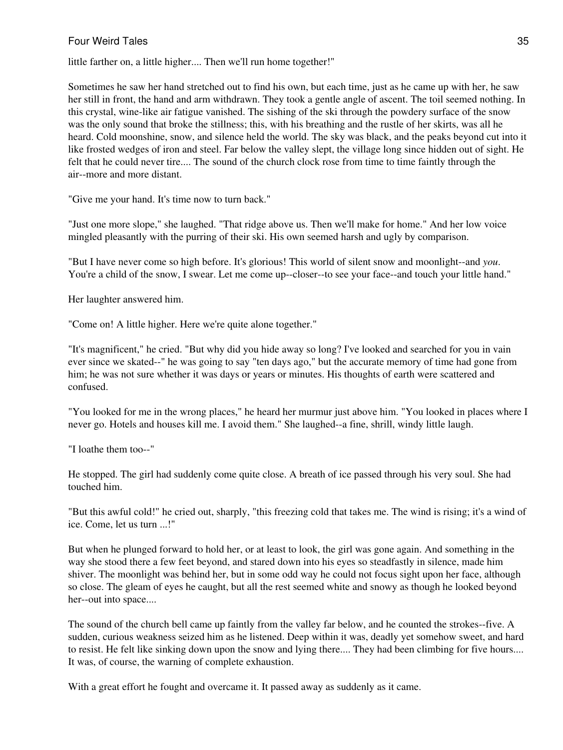little farther on, a little higher.... Then we'll run home together!"

Sometimes he saw her hand stretched out to find his own, but each time, just as he came up with her, he saw her still in front, the hand and arm withdrawn. They took a gentle angle of ascent. The toil seemed nothing. In this crystal, wine-like air fatigue vanished. The sishing of the ski through the powdery surface of the snow was the only sound that broke the stillness; this, with his breathing and the rustle of her skirts, was all he heard. Cold moonshine, snow, and silence held the world. The sky was black, and the peaks beyond cut into it like frosted wedges of iron and steel. Far below the valley slept, the village long since hidden out of sight. He felt that he could never tire.... The sound of the church clock rose from time to time faintly through the air--more and more distant.

"Give me your hand. It's time now to turn back."

"Just one more slope," she laughed. "That ridge above us. Then we'll make for home." And her low voice mingled pleasantly with the purring of their ski. His own seemed harsh and ugly by comparison.

"But I have never come so high before. It's glorious! This world of silent snow and moonlight--and *you*. You're a child of the snow, I swear. Let me come up--closer--to see your face--and touch your little hand."

Her laughter answered him.

"Come on! A little higher. Here we're quite alone together."

"It's magnificent," he cried. "But why did you hide away so long? I've looked and searched for you in vain ever since we skated--" he was going to say "ten days ago," but the accurate memory of time had gone from him; he was not sure whether it was days or years or minutes. His thoughts of earth were scattered and confused.

"You looked for me in the wrong places," he heard her murmur just above him. "You looked in places where I never go. Hotels and houses kill me. I avoid them." She laughed--a fine, shrill, windy little laugh.

"I loathe them too--"

He stopped. The girl had suddenly come quite close. A breath of ice passed through his very soul. She had touched him.

"But this awful cold!" he cried out, sharply, "this freezing cold that takes me. The wind is rising; it's a wind of ice. Come, let us turn ...!"

But when he plunged forward to hold her, or at least to look, the girl was gone again. And something in the way she stood there a few feet beyond, and stared down into his eyes so steadfastly in silence, made him shiver. The moonlight was behind her, but in some odd way he could not focus sight upon her face, although so close. The gleam of eyes he caught, but all the rest seemed white and snowy as though he looked beyond her--out into space....

The sound of the church bell came up faintly from the valley far below, and he counted the strokes--five. A sudden, curious weakness seized him as he listened. Deep within it was, deadly yet somehow sweet, and hard to resist. He felt like sinking down upon the snow and lying there.... They had been climbing for five hours.... It was, of course, the warning of complete exhaustion.

With a great effort he fought and overcame it. It passed away as suddenly as it came.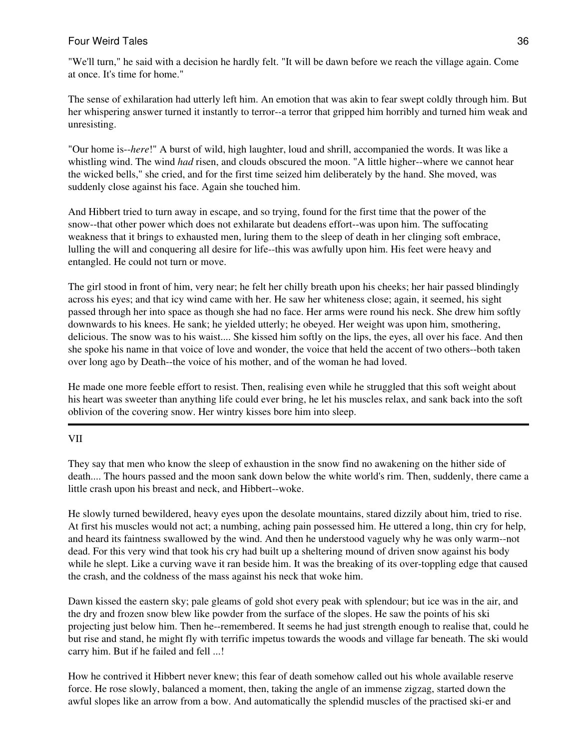"We'll turn," he said with a decision he hardly felt. "It will be dawn before we reach the village again. Come at once. It's time for home."

The sense of exhilaration had utterly left him. An emotion that was akin to fear swept coldly through him. But her whispering answer turned it instantly to terror--a terror that gripped him horribly and turned him weak and unresisting.

"Our home is--*here*!" A burst of wild, high laughter, loud and shrill, accompanied the words. It was like a whistling wind. The wind *had* risen, and clouds obscured the moon. "A little higher--where we cannot hear the wicked bells," she cried, and for the first time seized him deliberately by the hand. She moved, was suddenly close against his face. Again she touched him.

And Hibbert tried to turn away in escape, and so trying, found for the first time that the power of the snow--that other power which does not exhilarate but deadens effort--was upon him. The suffocating weakness that it brings to exhausted men, luring them to the sleep of death in her clinging soft embrace, lulling the will and conquering all desire for life--this was awfully upon him. His feet were heavy and entangled. He could not turn or move.

The girl stood in front of him, very near; he felt her chilly breath upon his cheeks; her hair passed blindingly across his eyes; and that icy wind came with her. He saw her whiteness close; again, it seemed, his sight passed through her into space as though she had no face. Her arms were round his neck. She drew him softly downwards to his knees. He sank; he yielded utterly; he obeyed. Her weight was upon him, smothering, delicious. The snow was to his waist.... She kissed him softly on the lips, the eyes, all over his face. And then she spoke his name in that voice of love and wonder, the voice that held the accent of two others--both taken over long ago by Death--the voice of his mother, and of the woman he had loved.

He made one more feeble effort to resist. Then, realising even while he struggled that this soft weight about his heart was sweeter than anything life could ever bring, he let his muscles relax, and sank back into the soft oblivion of the covering snow. Her wintry kisses bore him into sleep.

# VII

They say that men who know the sleep of exhaustion in the snow find no awakening on the hither side of death.... The hours passed and the moon sank down below the white world's rim. Then, suddenly, there came a little crash upon his breast and neck, and Hibbert--woke.

He slowly turned bewildered, heavy eyes upon the desolate mountains, stared dizzily about him, tried to rise. At first his muscles would not act; a numbing, aching pain possessed him. He uttered a long, thin cry for help, and heard its faintness swallowed by the wind. And then he understood vaguely why he was only warm--not dead. For this very wind that took his cry had built up a sheltering mound of driven snow against his body while he slept. Like a curving wave it ran beside him. It was the breaking of its over-toppling edge that caused the crash, and the coldness of the mass against his neck that woke him.

Dawn kissed the eastern sky; pale gleams of gold shot every peak with splendour; but ice was in the air, and the dry and frozen snow blew like powder from the surface of the slopes. He saw the points of his ski projecting just below him. Then he--remembered. It seems he had just strength enough to realise that, could he but rise and stand, he might fly with terrific impetus towards the woods and village far beneath. The ski would carry him. But if he failed and fell ...!

How he contrived it Hibbert never knew; this fear of death somehow called out his whole available reserve force. He rose slowly, balanced a moment, then, taking the angle of an immense zigzag, started down the awful slopes like an arrow from a bow. And automatically the splendid muscles of the practised ski-er and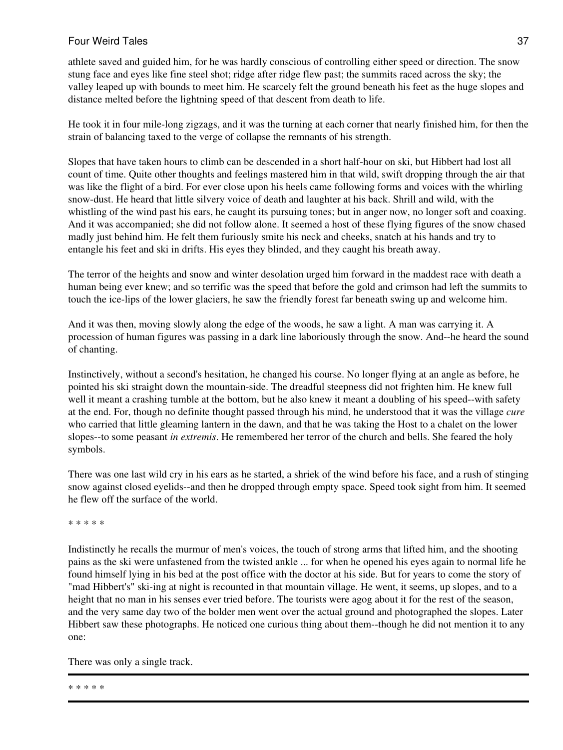athlete saved and guided him, for he was hardly conscious of controlling either speed or direction. The snow stung face and eyes like fine steel shot; ridge after ridge flew past; the summits raced across the sky; the valley leaped up with bounds to meet him. He scarcely felt the ground beneath his feet as the huge slopes and distance melted before the lightning speed of that descent from death to life.

He took it in four mile-long zigzags, and it was the turning at each corner that nearly finished him, for then the strain of balancing taxed to the verge of collapse the remnants of his strength.

Slopes that have taken hours to climb can be descended in a short half-hour on ski, but Hibbert had lost all count of time. Quite other thoughts and feelings mastered him in that wild, swift dropping through the air that was like the flight of a bird. For ever close upon his heels came following forms and voices with the whirling snow-dust. He heard that little silvery voice of death and laughter at his back. Shrill and wild, with the whistling of the wind past his ears, he caught its pursuing tones; but in anger now, no longer soft and coaxing. And it was accompanied; she did not follow alone. It seemed a host of these flying figures of the snow chased madly just behind him. He felt them furiously smite his neck and cheeks, snatch at his hands and try to entangle his feet and ski in drifts. His eyes they blinded, and they caught his breath away.

The terror of the heights and snow and winter desolation urged him forward in the maddest race with death a human being ever knew; and so terrific was the speed that before the gold and crimson had left the summits to touch the ice-lips of the lower glaciers, he saw the friendly forest far beneath swing up and welcome him.

And it was then, moving slowly along the edge of the woods, he saw a light. A man was carrying it. A procession of human figures was passing in a dark line laboriously through the snow. And--he heard the sound of chanting.

Instinctively, without a second's hesitation, he changed his course. No longer flying at an angle as before, he pointed his ski straight down the mountain-side. The dreadful steepness did not frighten him. He knew full well it meant a crashing tumble at the bottom, but he also knew it meant a doubling of his speed--with safety at the end. For, though no definite thought passed through his mind, he understood that it was the village *cure* who carried that little gleaming lantern in the dawn, and that he was taking the Host to a chalet on the lower slopes--to some peasant *in extremis*. He remembered her terror of the church and bells. She feared the holy symbols.

There was one last wild cry in his ears as he started, a shriek of the wind before his face, and a rush of stinging snow against closed eyelids--and then he dropped through empty space. Speed took sight from him. It seemed he flew off the surface of the world.

\* \* \* \* \*

Indistinctly he recalls the murmur of men's voices, the touch of strong arms that lifted him, and the shooting pains as the ski were unfastened from the twisted ankle ... for when he opened his eyes again to normal life he found himself lying in his bed at the post office with the doctor at his side. But for years to come the story of "mad Hibbert's" ski-ing at night is recounted in that mountain village. He went, it seems, up slopes, and to a height that no man in his senses ever tried before. The tourists were agog about it for the rest of the season, and the very same day two of the bolder men went over the actual ground and photographed the slopes. Later Hibbert saw these photographs. He noticed one curious thing about them--though he did not mention it to any one:

There was only a single track.

\* \* \* \* \*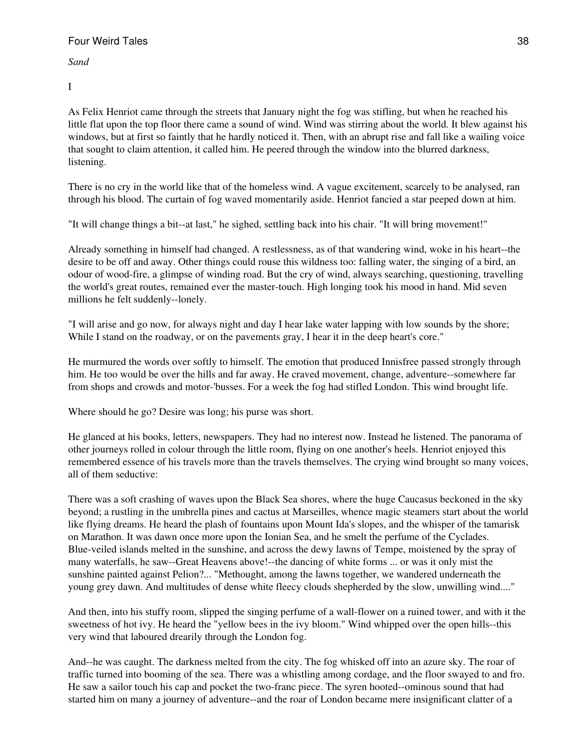*Sand*

I

As Felix Henriot came through the streets that January night the fog was stifling, but when he reached his little flat upon the top floor there came a sound of wind. Wind was stirring about the world. It blew against his windows, but at first so faintly that he hardly noticed it. Then, with an abrupt rise and fall like a wailing voice that sought to claim attention, it called him. He peered through the window into the blurred darkness, listening.

There is no cry in the world like that of the homeless wind. A vague excitement, scarcely to be analysed, ran through his blood. The curtain of fog waved momentarily aside. Henriot fancied a star peeped down at him.

"It will change things a bit--at last," he sighed, settling back into his chair. "It will bring movement!"

Already something in himself had changed. A restlessness, as of that wandering wind, woke in his heart--the desire to be off and away. Other things could rouse this wildness too: falling water, the singing of a bird, an odour of wood-fire, a glimpse of winding road. But the cry of wind, always searching, questioning, travelling the world's great routes, remained ever the master-touch. High longing took his mood in hand. Mid seven millions he felt suddenly--lonely.

"I will arise and go now, for always night and day I hear lake water lapping with low sounds by the shore; While I stand on the roadway, or on the pavements gray, I hear it in the deep heart's core."

He murmured the words over softly to himself. The emotion that produced Innisfree passed strongly through him. He too would be over the hills and far away. He craved movement, change, adventure--somewhere far from shops and crowds and motor-'busses. For a week the fog had stifled London. This wind brought life.

Where should he go? Desire was long; his purse was short.

He glanced at his books, letters, newspapers. They had no interest now. Instead he listened. The panorama of other journeys rolled in colour through the little room, flying on one another's heels. Henriot enjoyed this remembered essence of his travels more than the travels themselves. The crying wind brought so many voices, all of them seductive:

There was a soft crashing of waves upon the Black Sea shores, where the huge Caucasus beckoned in the sky beyond; a rustling in the umbrella pines and cactus at Marseilles, whence magic steamers start about the world like flying dreams. He heard the plash of fountains upon Mount Ida's slopes, and the whisper of the tamarisk on Marathon. It was dawn once more upon the Ionian Sea, and he smelt the perfume of the Cyclades. Blue-veiled islands melted in the sunshine, and across the dewy lawns of Tempe, moistened by the spray of many waterfalls, he saw--Great Heavens above!--the dancing of white forms ... or was it only mist the sunshine painted against Pelion?... "Methought, among the lawns together, we wandered underneath the young grey dawn. And multitudes of dense white fleecy clouds shepherded by the slow, unwilling wind...."

And then, into his stuffy room, slipped the singing perfume of a wall-flower on a ruined tower, and with it the sweetness of hot ivy. He heard the "yellow bees in the ivy bloom." Wind whipped over the open hills--this very wind that laboured drearily through the London fog.

And--he was caught. The darkness melted from the city. The fog whisked off into an azure sky. The roar of traffic turned into booming of the sea. There was a whistling among cordage, and the floor swayed to and fro. He saw a sailor touch his cap and pocket the two-franc piece. The syren hooted--ominous sound that had started him on many a journey of adventure--and the roar of London became mere insignificant clatter of a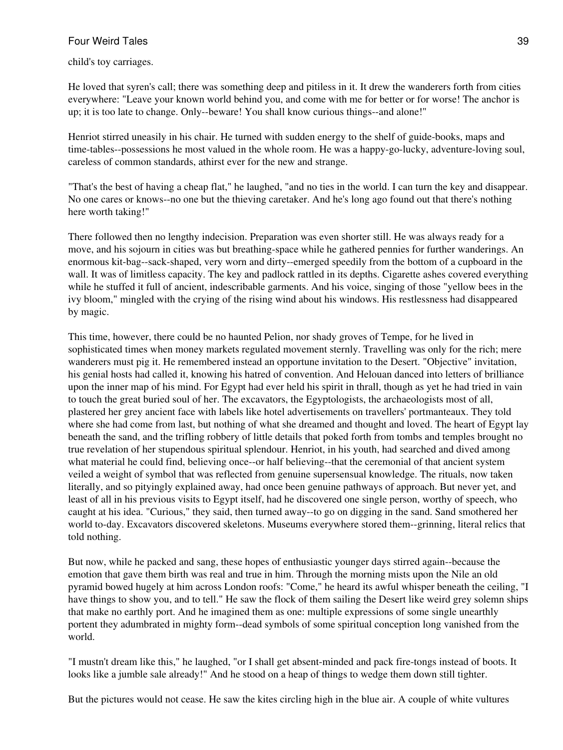child's toy carriages.

He loved that syren's call; there was something deep and pitiless in it. It drew the wanderers forth from cities everywhere: "Leave your known world behind you, and come with me for better or for worse! The anchor is up; it is too late to change. Only--beware! You shall know curious things--and alone!"

Henriot stirred uneasily in his chair. He turned with sudden energy to the shelf of guide-books, maps and time-tables--possessions he most valued in the whole room. He was a happy-go-lucky, adventure-loving soul, careless of common standards, athirst ever for the new and strange.

"That's the best of having a cheap flat," he laughed, "and no ties in the world. I can turn the key and disappear. No one cares or knows--no one but the thieving caretaker. And he's long ago found out that there's nothing here worth taking!"

There followed then no lengthy indecision. Preparation was even shorter still. He was always ready for a move, and his sojourn in cities was but breathing-space while he gathered pennies for further wanderings. An enormous kit-bag--sack-shaped, very worn and dirty--emerged speedily from the bottom of a cupboard in the wall. It was of limitless capacity. The key and padlock rattled in its depths. Cigarette ashes covered everything while he stuffed it full of ancient, indescribable garments. And his voice, singing of those "yellow bees in the ivy bloom," mingled with the crying of the rising wind about his windows. His restlessness had disappeared by magic.

This time, however, there could be no haunted Pelion, nor shady groves of Tempe, for he lived in sophisticated times when money markets regulated movement sternly. Travelling was only for the rich; mere wanderers must pig it. He remembered instead an opportune invitation to the Desert. "Objective" invitation, his genial hosts had called it, knowing his hatred of convention. And Helouan danced into letters of brilliance upon the inner map of his mind. For Egypt had ever held his spirit in thrall, though as yet he had tried in vain to touch the great buried soul of her. The excavators, the Egyptologists, the archaeologists most of all, plastered her grey ancient face with labels like hotel advertisements on travellers' portmanteaux. They told where she had come from last, but nothing of what she dreamed and thought and loved. The heart of Egypt lay beneath the sand, and the trifling robbery of little details that poked forth from tombs and temples brought no true revelation of her stupendous spiritual splendour. Henriot, in his youth, had searched and dived among what material he could find, believing once--or half believing--that the ceremonial of that ancient system veiled a weight of symbol that was reflected from genuine supersensual knowledge. The rituals, now taken literally, and so pityingly explained away, had once been genuine pathways of approach. But never yet, and least of all in his previous visits to Egypt itself, had he discovered one single person, worthy of speech, who caught at his idea. "Curious," they said, then turned away--to go on digging in the sand. Sand smothered her world to-day. Excavators discovered skeletons. Museums everywhere stored them--grinning, literal relics that told nothing.

But now, while he packed and sang, these hopes of enthusiastic younger days stirred again--because the emotion that gave them birth was real and true in him. Through the morning mists upon the Nile an old pyramid bowed hugely at him across London roofs: "Come," he heard its awful whisper beneath the ceiling, "I have things to show you, and to tell." He saw the flock of them sailing the Desert like weird grey solemn ships that make no earthly port. And he imagined them as one: multiple expressions of some single unearthly portent they adumbrated in mighty form--dead symbols of some spiritual conception long vanished from the world.

"I mustn't dream like this," he laughed, "or I shall get absent-minded and pack fire-tongs instead of boots. It looks like a jumble sale already!" And he stood on a heap of things to wedge them down still tighter.

But the pictures would not cease. He saw the kites circling high in the blue air. A couple of white vultures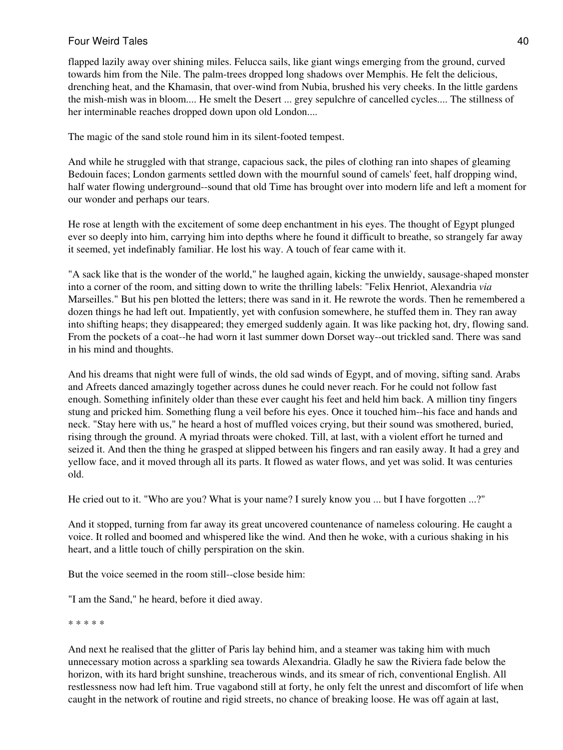flapped lazily away over shining miles. Felucca sails, like giant wings emerging from the ground, curved towards him from the Nile. The palm-trees dropped long shadows over Memphis. He felt the delicious, drenching heat, and the Khamasin, that over-wind from Nubia, brushed his very cheeks. In the little gardens the mish-mish was in bloom.... He smelt the Desert ... grey sepulchre of cancelled cycles.... The stillness of her interminable reaches dropped down upon old London....

The magic of the sand stole round him in its silent-footed tempest.

And while he struggled with that strange, capacious sack, the piles of clothing ran into shapes of gleaming Bedouin faces; London garments settled down with the mournful sound of camels' feet, half dropping wind, half water flowing underground--sound that old Time has brought over into modern life and left a moment for our wonder and perhaps our tears.

He rose at length with the excitement of some deep enchantment in his eyes. The thought of Egypt plunged ever so deeply into him, carrying him into depths where he found it difficult to breathe, so strangely far away it seemed, yet indefinably familiar. He lost his way. A touch of fear came with it.

"A sack like that is the wonder of the world," he laughed again, kicking the unwieldy, sausage-shaped monster into a corner of the room, and sitting down to write the thrilling labels: "Felix Henriot, Alexandria *via* Marseilles." But his pen blotted the letters; there was sand in it. He rewrote the words. Then he remembered a dozen things he had left out. Impatiently, yet with confusion somewhere, he stuffed them in. They ran away into shifting heaps; they disappeared; they emerged suddenly again. It was like packing hot, dry, flowing sand. From the pockets of a coat--he had worn it last summer down Dorset way--out trickled sand. There was sand in his mind and thoughts.

And his dreams that night were full of winds, the old sad winds of Egypt, and of moving, sifting sand. Arabs and Afreets danced amazingly together across dunes he could never reach. For he could not follow fast enough. Something infinitely older than these ever caught his feet and held him back. A million tiny fingers stung and pricked him. Something flung a veil before his eyes. Once it touched him--his face and hands and neck. "Stay here with us," he heard a host of muffled voices crying, but their sound was smothered, buried, rising through the ground. A myriad throats were choked. Till, at last, with a violent effort he turned and seized it. And then the thing he grasped at slipped between his fingers and ran easily away. It had a grey and yellow face, and it moved through all its parts. It flowed as water flows, and yet was solid. It was centuries old.

He cried out to it. "Who are you? What is your name? I surely know you ... but I have forgotten ...?"

And it stopped, turning from far away its great uncovered countenance of nameless colouring. He caught a voice. It rolled and boomed and whispered like the wind. And then he woke, with a curious shaking in his heart, and a little touch of chilly perspiration on the skin.

But the voice seemed in the room still--close beside him:

"I am the Sand," he heard, before it died away.

\* \* \* \* \*

And next he realised that the glitter of Paris lay behind him, and a steamer was taking him with much unnecessary motion across a sparkling sea towards Alexandria. Gladly he saw the Riviera fade below the horizon, with its hard bright sunshine, treacherous winds, and its smear of rich, conventional English. All restlessness now had left him. True vagabond still at forty, he only felt the unrest and discomfort of life when caught in the network of routine and rigid streets, no chance of breaking loose. He was off again at last,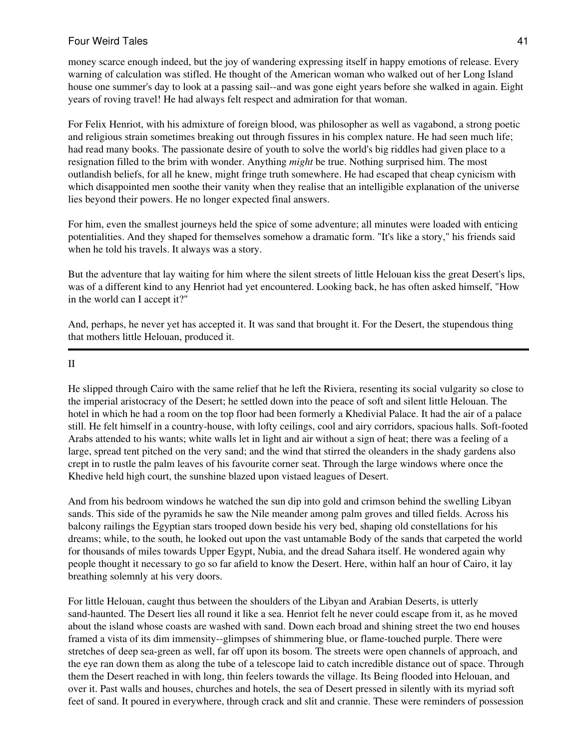money scarce enough indeed, but the joy of wandering expressing itself in happy emotions of release. Every warning of calculation was stifled. He thought of the American woman who walked out of her Long Island house one summer's day to look at a passing sail--and was gone eight years before she walked in again. Eight years of roving travel! He had always felt respect and admiration for that woman.

For Felix Henriot, with his admixture of foreign blood, was philosopher as well as vagabond, a strong poetic and religious strain sometimes breaking out through fissures in his complex nature. He had seen much life; had read many books. The passionate desire of youth to solve the world's big riddles had given place to a resignation filled to the brim with wonder. Anything *might* be true. Nothing surprised him. The most outlandish beliefs, for all he knew, might fringe truth somewhere. He had escaped that cheap cynicism with which disappointed men soothe their vanity when they realise that an intelligible explanation of the universe lies beyond their powers. He no longer expected final answers.

For him, even the smallest journeys held the spice of some adventure; all minutes were loaded with enticing potentialities. And they shaped for themselves somehow a dramatic form. "It's like a story," his friends said when he told his travels. It always was a story.

But the adventure that lay waiting for him where the silent streets of little Helouan kiss the great Desert's lips, was of a different kind to any Henriot had yet encountered. Looking back, he has often asked himself, "How in the world can I accept it?"

And, perhaps, he never yet has accepted it. It was sand that brought it. For the Desert, the stupendous thing that mothers little Helouan, produced it.

#### II

He slipped through Cairo with the same relief that he left the Riviera, resenting its social vulgarity so close to the imperial aristocracy of the Desert; he settled down into the peace of soft and silent little Helouan. The hotel in which he had a room on the top floor had been formerly a Khedivial Palace. It had the air of a palace still. He felt himself in a country-house, with lofty ceilings, cool and airy corridors, spacious halls. Soft-footed Arabs attended to his wants; white walls let in light and air without a sign of heat; there was a feeling of a large, spread tent pitched on the very sand; and the wind that stirred the oleanders in the shady gardens also crept in to rustle the palm leaves of his favourite corner seat. Through the large windows where once the Khedive held high court, the sunshine blazed upon vistaed leagues of Desert.

And from his bedroom windows he watched the sun dip into gold and crimson behind the swelling Libyan sands. This side of the pyramids he saw the Nile meander among palm groves and tilled fields. Across his balcony railings the Egyptian stars trooped down beside his very bed, shaping old constellations for his dreams; while, to the south, he looked out upon the vast untamable Body of the sands that carpeted the world for thousands of miles towards Upper Egypt, Nubia, and the dread Sahara itself. He wondered again why people thought it necessary to go so far afield to know the Desert. Here, within half an hour of Cairo, it lay breathing solemnly at his very doors.

For little Helouan, caught thus between the shoulders of the Libyan and Arabian Deserts, is utterly sand-haunted. The Desert lies all round it like a sea. Henriot felt he never could escape from it, as he moved about the island whose coasts are washed with sand. Down each broad and shining street the two end houses framed a vista of its dim immensity--glimpses of shimmering blue, or flame-touched purple. There were stretches of deep sea-green as well, far off upon its bosom. The streets were open channels of approach, and the eye ran down them as along the tube of a telescope laid to catch incredible distance out of space. Through them the Desert reached in with long, thin feelers towards the village. Its Being flooded into Helouan, and over it. Past walls and houses, churches and hotels, the sea of Desert pressed in silently with its myriad soft feet of sand. It poured in everywhere, through crack and slit and crannie. These were reminders of possession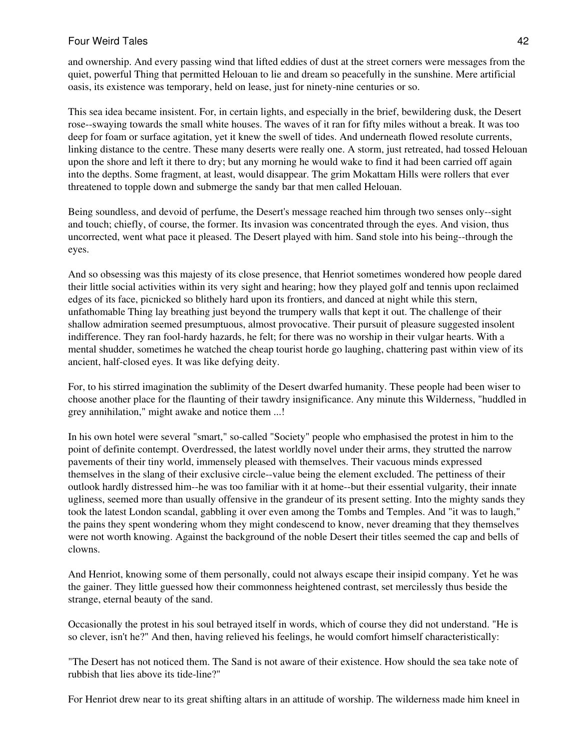and ownership. And every passing wind that lifted eddies of dust at the street corners were messages from the quiet, powerful Thing that permitted Helouan to lie and dream so peacefully in the sunshine. Mere artificial oasis, its existence was temporary, held on lease, just for ninety-nine centuries or so.

This sea idea became insistent. For, in certain lights, and especially in the brief, bewildering dusk, the Desert rose--swaying towards the small white houses. The waves of it ran for fifty miles without a break. It was too deep for foam or surface agitation, yet it knew the swell of tides. And underneath flowed resolute currents, linking distance to the centre. These many deserts were really one. A storm, just retreated, had tossed Helouan upon the shore and left it there to dry; but any morning he would wake to find it had been carried off again into the depths. Some fragment, at least, would disappear. The grim Mokattam Hills were rollers that ever threatened to topple down and submerge the sandy bar that men called Helouan.

Being soundless, and devoid of perfume, the Desert's message reached him through two senses only--sight and touch; chiefly, of course, the former. Its invasion was concentrated through the eyes. And vision, thus uncorrected, went what pace it pleased. The Desert played with him. Sand stole into his being--through the eyes.

And so obsessing was this majesty of its close presence, that Henriot sometimes wondered how people dared their little social activities within its very sight and hearing; how they played golf and tennis upon reclaimed edges of its face, picnicked so blithely hard upon its frontiers, and danced at night while this stern, unfathomable Thing lay breathing just beyond the trumpery walls that kept it out. The challenge of their shallow admiration seemed presumptuous, almost provocative. Their pursuit of pleasure suggested insolent indifference. They ran fool-hardy hazards, he felt; for there was no worship in their vulgar hearts. With a mental shudder, sometimes he watched the cheap tourist horde go laughing, chattering past within view of its ancient, half-closed eyes. It was like defying deity.

For, to his stirred imagination the sublimity of the Desert dwarfed humanity. These people had been wiser to choose another place for the flaunting of their tawdry insignificance. Any minute this Wilderness, "huddled in grey annihilation," might awake and notice them ...!

In his own hotel were several "smart," so-called "Society" people who emphasised the protest in him to the point of definite contempt. Overdressed, the latest worldly novel under their arms, they strutted the narrow pavements of their tiny world, immensely pleased with themselves. Their vacuous minds expressed themselves in the slang of their exclusive circle--value being the element excluded. The pettiness of their outlook hardly distressed him--he was too familiar with it at home--but their essential vulgarity, their innate ugliness, seemed more than usually offensive in the grandeur of its present setting. Into the mighty sands they took the latest London scandal, gabbling it over even among the Tombs and Temples. And "it was to laugh," the pains they spent wondering whom they might condescend to know, never dreaming that they themselves were not worth knowing. Against the background of the noble Desert their titles seemed the cap and bells of clowns.

And Henriot, knowing some of them personally, could not always escape their insipid company. Yet he was the gainer. They little guessed how their commonness heightened contrast, set mercilessly thus beside the strange, eternal beauty of the sand.

Occasionally the protest in his soul betrayed itself in words, which of course they did not understand. "He is so clever, isn't he?" And then, having relieved his feelings, he would comfort himself characteristically:

"The Desert has not noticed them. The Sand is not aware of their existence. How should the sea take note of rubbish that lies above its tide-line?"

For Henriot drew near to its great shifting altars in an attitude of worship. The wilderness made him kneel in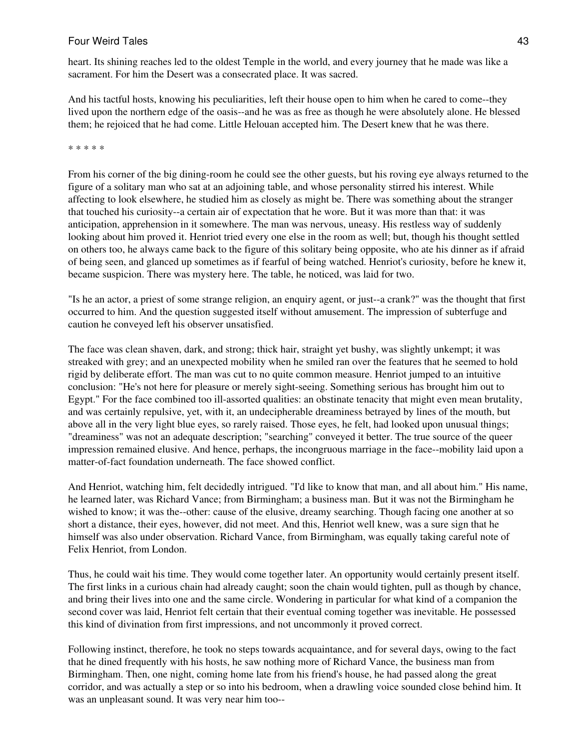heart. Its shining reaches led to the oldest Temple in the world, and every journey that he made was like a sacrament. For him the Desert was a consecrated place. It was sacred.

And his tactful hosts, knowing his peculiarities, left their house open to him when he cared to come--they lived upon the northern edge of the oasis--and he was as free as though he were absolutely alone. He blessed them; he rejoiced that he had come. Little Helouan accepted him. The Desert knew that he was there.

#### \* \* \* \* \*

From his corner of the big dining-room he could see the other guests, but his roving eye always returned to the figure of a solitary man who sat at an adjoining table, and whose personality stirred his interest. While affecting to look elsewhere, he studied him as closely as might be. There was something about the stranger that touched his curiosity--a certain air of expectation that he wore. But it was more than that: it was anticipation, apprehension in it somewhere. The man was nervous, uneasy. His restless way of suddenly looking about him proved it. Henriot tried every one else in the room as well; but, though his thought settled on others too, he always came back to the figure of this solitary being opposite, who ate his dinner as if afraid of being seen, and glanced up sometimes as if fearful of being watched. Henriot's curiosity, before he knew it, became suspicion. There was mystery here. The table, he noticed, was laid for two.

"Is he an actor, a priest of some strange religion, an enquiry agent, or just--a crank?" was the thought that first occurred to him. And the question suggested itself without amusement. The impression of subterfuge and caution he conveyed left his observer unsatisfied.

The face was clean shaven, dark, and strong; thick hair, straight yet bushy, was slightly unkempt; it was streaked with grey; and an unexpected mobility when he smiled ran over the features that he seemed to hold rigid by deliberate effort. The man was cut to no quite common measure. Henriot jumped to an intuitive conclusion: "He's not here for pleasure or merely sight-seeing. Something serious has brought him out to Egypt." For the face combined too ill-assorted qualities: an obstinate tenacity that might even mean brutality, and was certainly repulsive, yet, with it, an undecipherable dreaminess betrayed by lines of the mouth, but above all in the very light blue eyes, so rarely raised. Those eyes, he felt, had looked upon unusual things; "dreaminess" was not an adequate description; "searching" conveyed it better. The true source of the queer impression remained elusive. And hence, perhaps, the incongruous marriage in the face--mobility laid upon a matter-of-fact foundation underneath. The face showed conflict.

And Henriot, watching him, felt decidedly intrigued. "I'd like to know that man, and all about him." His name, he learned later, was Richard Vance; from Birmingham; a business man. But it was not the Birmingham he wished to know; it was the--other: cause of the elusive, dreamy searching. Though facing one another at so short a distance, their eyes, however, did not meet. And this, Henriot well knew, was a sure sign that he himself was also under observation. Richard Vance, from Birmingham, was equally taking careful note of Felix Henriot, from London.

Thus, he could wait his time. They would come together later. An opportunity would certainly present itself. The first links in a curious chain had already caught; soon the chain would tighten, pull as though by chance, and bring their lives into one and the same circle. Wondering in particular for what kind of a companion the second cover was laid, Henriot felt certain that their eventual coming together was inevitable. He possessed this kind of divination from first impressions, and not uncommonly it proved correct.

Following instinct, therefore, he took no steps towards acquaintance, and for several days, owing to the fact that he dined frequently with his hosts, he saw nothing more of Richard Vance, the business man from Birmingham. Then, one night, coming home late from his friend's house, he had passed along the great corridor, and was actually a step or so into his bedroom, when a drawling voice sounded close behind him. It was an unpleasant sound. It was very near him too--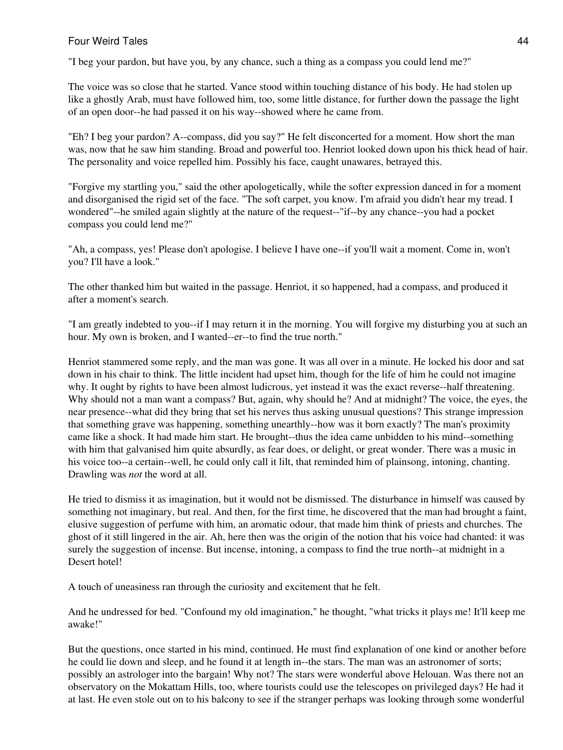"I beg your pardon, but have you, by any chance, such a thing as a compass you could lend me?"

The voice was so close that he started. Vance stood within touching distance of his body. He had stolen up like a ghostly Arab, must have followed him, too, some little distance, for further down the passage the light of an open door--he had passed it on his way--showed where he came from.

"Eh? I beg your pardon? A--compass, did you say?" He felt disconcerted for a moment. How short the man was, now that he saw him standing. Broad and powerful too. Henriot looked down upon his thick head of hair. The personality and voice repelled him. Possibly his face, caught unawares, betrayed this.

"Forgive my startling you," said the other apologetically, while the softer expression danced in for a moment and disorganised the rigid set of the face. "The soft carpet, you know. I'm afraid you didn't hear my tread. I wondered"--he smiled again slightly at the nature of the request--"if--by any chance--you had a pocket compass you could lend me?"

"Ah, a compass, yes! Please don't apologise. I believe I have one--if you'll wait a moment. Come in, won't you? I'll have a look."

The other thanked him but waited in the passage. Henriot, it so happened, had a compass, and produced it after a moment's search.

"I am greatly indebted to you--if I may return it in the morning. You will forgive my disturbing you at such an hour. My own is broken, and I wanted--er--to find the true north."

Henriot stammered some reply, and the man was gone. It was all over in a minute. He locked his door and sat down in his chair to think. The little incident had upset him, though for the life of him he could not imagine why. It ought by rights to have been almost ludicrous, yet instead it was the exact reverse--half threatening. Why should not a man want a compass? But, again, why should he? And at midnight? The voice, the eyes, the near presence--what did they bring that set his nerves thus asking unusual questions? This strange impression that something grave was happening, something unearthly--how was it born exactly? The man's proximity came like a shock. It had made him start. He brought--thus the idea came unbidden to his mind--something with him that galvanised him quite absurdly, as fear does, or delight, or great wonder. There was a music in his voice too--a certain--well, he could only call it lilt, that reminded him of plainsong, intoning, chanting. Drawling was *not* the word at all.

He tried to dismiss it as imagination, but it would not be dismissed. The disturbance in himself was caused by something not imaginary, but real. And then, for the first time, he discovered that the man had brought a faint, elusive suggestion of perfume with him, an aromatic odour, that made him think of priests and churches. The ghost of it still lingered in the air. Ah, here then was the origin of the notion that his voice had chanted: it was surely the suggestion of incense. But incense, intoning, a compass to find the true north--at midnight in a Desert hotel!

A touch of uneasiness ran through the curiosity and excitement that he felt.

And he undressed for bed. "Confound my old imagination," he thought, "what tricks it plays me! It'll keep me awake!"

But the questions, once started in his mind, continued. He must find explanation of one kind or another before he could lie down and sleep, and he found it at length in--the stars. The man was an astronomer of sorts; possibly an astrologer into the bargain! Why not? The stars were wonderful above Helouan. Was there not an observatory on the Mokattam Hills, too, where tourists could use the telescopes on privileged days? He had it at last. He even stole out on to his balcony to see if the stranger perhaps was looking through some wonderful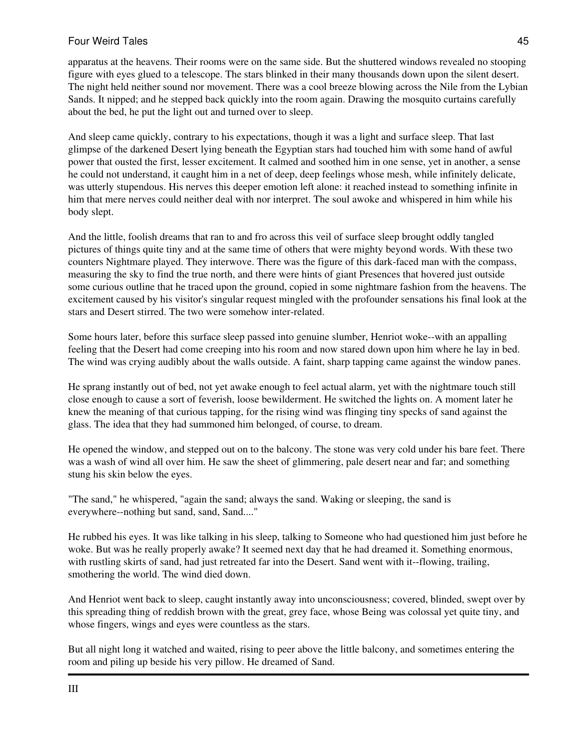apparatus at the heavens. Their rooms were on the same side. But the shuttered windows revealed no stooping figure with eyes glued to a telescope. The stars blinked in their many thousands down upon the silent desert. The night held neither sound nor movement. There was a cool breeze blowing across the Nile from the Lybian Sands. It nipped; and he stepped back quickly into the room again. Drawing the mosquito curtains carefully about the bed, he put the light out and turned over to sleep.

And sleep came quickly, contrary to his expectations, though it was a light and surface sleep. That last glimpse of the darkened Desert lying beneath the Egyptian stars had touched him with some hand of awful power that ousted the first, lesser excitement. It calmed and soothed him in one sense, yet in another, a sense he could not understand, it caught him in a net of deep, deep feelings whose mesh, while infinitely delicate, was utterly stupendous. His nerves this deeper emotion left alone: it reached instead to something infinite in him that mere nerves could neither deal with nor interpret. The soul awoke and whispered in him while his body slept.

And the little, foolish dreams that ran to and fro across this veil of surface sleep brought oddly tangled pictures of things quite tiny and at the same time of others that were mighty beyond words. With these two counters Nightmare played. They interwove. There was the figure of this dark-faced man with the compass, measuring the sky to find the true north, and there were hints of giant Presences that hovered just outside some curious outline that he traced upon the ground, copied in some nightmare fashion from the heavens. The excitement caused by his visitor's singular request mingled with the profounder sensations his final look at the stars and Desert stirred. The two were somehow inter-related.

Some hours later, before this surface sleep passed into genuine slumber, Henriot woke--with an appalling feeling that the Desert had come creeping into his room and now stared down upon him where he lay in bed. The wind was crying audibly about the walls outside. A faint, sharp tapping came against the window panes.

He sprang instantly out of bed, not yet awake enough to feel actual alarm, yet with the nightmare touch still close enough to cause a sort of feverish, loose bewilderment. He switched the lights on. A moment later he knew the meaning of that curious tapping, for the rising wind was flinging tiny specks of sand against the glass. The idea that they had summoned him belonged, of course, to dream.

He opened the window, and stepped out on to the balcony. The stone was very cold under his bare feet. There was a wash of wind all over him. He saw the sheet of glimmering, pale desert near and far; and something stung his skin below the eyes.

"The sand," he whispered, "again the sand; always the sand. Waking or sleeping, the sand is everywhere--nothing but sand, sand, Sand...."

He rubbed his eyes. It was like talking in his sleep, talking to Someone who had questioned him just before he woke. But was he really properly awake? It seemed next day that he had dreamed it. Something enormous, with rustling skirts of sand, had just retreated far into the Desert. Sand went with it--flowing, trailing, smothering the world. The wind died down.

And Henriot went back to sleep, caught instantly away into unconsciousness; covered, blinded, swept over by this spreading thing of reddish brown with the great, grey face, whose Being was colossal yet quite tiny, and whose fingers, wings and eyes were countless as the stars.

But all night long it watched and waited, rising to peer above the little balcony, and sometimes entering the room and piling up beside his very pillow. He dreamed of Sand.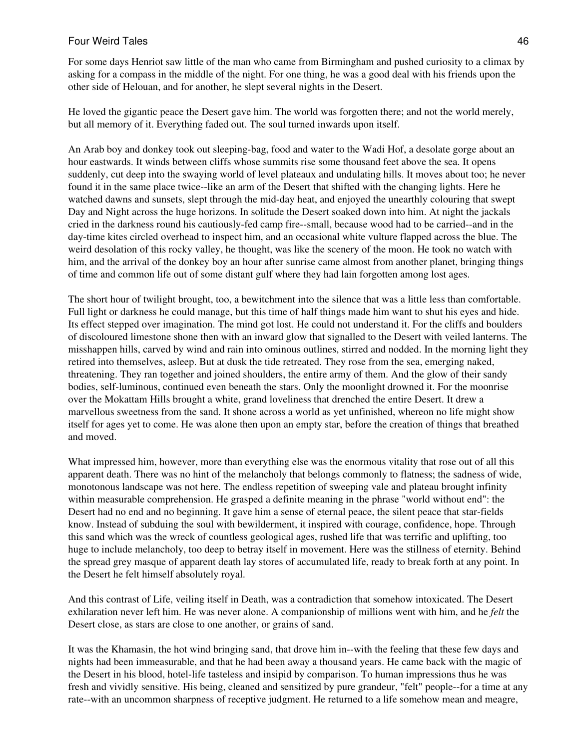For some days Henriot saw little of the man who came from Birmingham and pushed curiosity to a climax by asking for a compass in the middle of the night. For one thing, he was a good deal with his friends upon the other side of Helouan, and for another, he slept several nights in the Desert.

He loved the gigantic peace the Desert gave him. The world was forgotten there; and not the world merely, but all memory of it. Everything faded out. The soul turned inwards upon itself.

An Arab boy and donkey took out sleeping-bag, food and water to the Wadi Hof, a desolate gorge about an hour eastwards. It winds between cliffs whose summits rise some thousand feet above the sea. It opens suddenly, cut deep into the swaying world of level plateaux and undulating hills. It moves about too; he never found it in the same place twice--like an arm of the Desert that shifted with the changing lights. Here he watched dawns and sunsets, slept through the mid-day heat, and enjoyed the unearthly colouring that swept Day and Night across the huge horizons. In solitude the Desert soaked down into him. At night the jackals cried in the darkness round his cautiously-fed camp fire--small, because wood had to be carried--and in the day-time kites circled overhead to inspect him, and an occasional white vulture flapped across the blue. The weird desolation of this rocky valley, he thought, was like the scenery of the moon. He took no watch with him, and the arrival of the donkey boy an hour after sunrise came almost from another planet, bringing things of time and common life out of some distant gulf where they had lain forgotten among lost ages.

The short hour of twilight brought, too, a bewitchment into the silence that was a little less than comfortable. Full light or darkness he could manage, but this time of half things made him want to shut his eyes and hide. Its effect stepped over imagination. The mind got lost. He could not understand it. For the cliffs and boulders of discoloured limestone shone then with an inward glow that signalled to the Desert with veiled lanterns. The misshappen hills, carved by wind and rain into ominous outlines, stirred and nodded. In the morning light they retired into themselves, asleep. But at dusk the tide retreated. They rose from the sea, emerging naked, threatening. They ran together and joined shoulders, the entire army of them. And the glow of their sandy bodies, self-luminous, continued even beneath the stars. Only the moonlight drowned it. For the moonrise over the Mokattam Hills brought a white, grand loveliness that drenched the entire Desert. It drew a marvellous sweetness from the sand. It shone across a world as yet unfinished, whereon no life might show itself for ages yet to come. He was alone then upon an empty star, before the creation of things that breathed and moved.

What impressed him, however, more than everything else was the enormous vitality that rose out of all this apparent death. There was no hint of the melancholy that belongs commonly to flatness; the sadness of wide, monotonous landscape was not here. The endless repetition of sweeping vale and plateau brought infinity within measurable comprehension. He grasped a definite meaning in the phrase "world without end": the Desert had no end and no beginning. It gave him a sense of eternal peace, the silent peace that star-fields know. Instead of subduing the soul with bewilderment, it inspired with courage, confidence, hope. Through this sand which was the wreck of countless geological ages, rushed life that was terrific and uplifting, too huge to include melancholy, too deep to betray itself in movement. Here was the stillness of eternity. Behind the spread grey masque of apparent death lay stores of accumulated life, ready to break forth at any point. In the Desert he felt himself absolutely royal.

And this contrast of Life, veiling itself in Death, was a contradiction that somehow intoxicated. The Desert exhilaration never left him. He was never alone. A companionship of millions went with him, and he *felt* the Desert close, as stars are close to one another, or grains of sand.

It was the Khamasin, the hot wind bringing sand, that drove him in--with the feeling that these few days and nights had been immeasurable, and that he had been away a thousand years. He came back with the magic of the Desert in his blood, hotel-life tasteless and insipid by comparison. To human impressions thus he was fresh and vividly sensitive. His being, cleaned and sensitized by pure grandeur, "felt" people--for a time at any rate--with an uncommon sharpness of receptive judgment. He returned to a life somehow mean and meagre,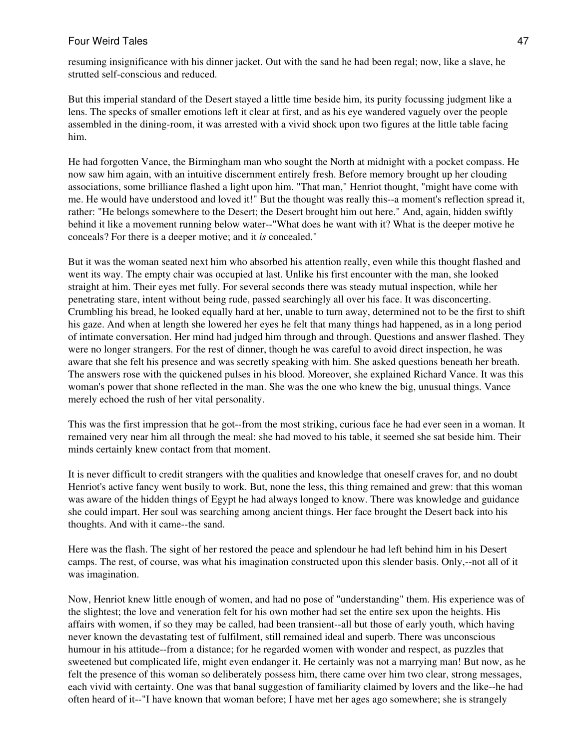resuming insignificance with his dinner jacket. Out with the sand he had been regal; now, like a slave, he strutted self-conscious and reduced.

But this imperial standard of the Desert stayed a little time beside him, its purity focussing judgment like a lens. The specks of smaller emotions left it clear at first, and as his eye wandered vaguely over the people assembled in the dining-room, it was arrested with a vivid shock upon two figures at the little table facing him.

He had forgotten Vance, the Birmingham man who sought the North at midnight with a pocket compass. He now saw him again, with an intuitive discernment entirely fresh. Before memory brought up her clouding associations, some brilliance flashed a light upon him. "That man," Henriot thought, "might have come with me. He would have understood and loved it!" But the thought was really this--a moment's reflection spread it, rather: "He belongs somewhere to the Desert; the Desert brought him out here." And, again, hidden swiftly behind it like a movement running below water--"What does he want with it? What is the deeper motive he conceals? For there is a deeper motive; and it *is* concealed."

But it was the woman seated next him who absorbed his attention really, even while this thought flashed and went its way. The empty chair was occupied at last. Unlike his first encounter with the man, she looked straight at him. Their eyes met fully. For several seconds there was steady mutual inspection, while her penetrating stare, intent without being rude, passed searchingly all over his face. It was disconcerting. Crumbling his bread, he looked equally hard at her, unable to turn away, determined not to be the first to shift his gaze. And when at length she lowered her eyes he felt that many things had happened, as in a long period of intimate conversation. Her mind had judged him through and through. Questions and answer flashed. They were no longer strangers. For the rest of dinner, though he was careful to avoid direct inspection, he was aware that she felt his presence and was secretly speaking with him. She asked questions beneath her breath. The answers rose with the quickened pulses in his blood. Moreover, she explained Richard Vance. It was this woman's power that shone reflected in the man. She was the one who knew the big, unusual things. Vance merely echoed the rush of her vital personality.

This was the first impression that he got--from the most striking, curious face he had ever seen in a woman. It remained very near him all through the meal: she had moved to his table, it seemed she sat beside him. Their minds certainly knew contact from that moment.

It is never difficult to credit strangers with the qualities and knowledge that oneself craves for, and no doubt Henriot's active fancy went busily to work. But, none the less, this thing remained and grew: that this woman was aware of the hidden things of Egypt he had always longed to know. There was knowledge and guidance she could impart. Her soul was searching among ancient things. Her face brought the Desert back into his thoughts. And with it came--the sand.

Here was the flash. The sight of her restored the peace and splendour he had left behind him in his Desert camps. The rest, of course, was what his imagination constructed upon this slender basis. Only,--not all of it was imagination.

Now, Henriot knew little enough of women, and had no pose of "understanding" them. His experience was of the slightest; the love and veneration felt for his own mother had set the entire sex upon the heights. His affairs with women, if so they may be called, had been transient--all but those of early youth, which having never known the devastating test of fulfilment, still remained ideal and superb. There was unconscious humour in his attitude--from a distance; for he regarded women with wonder and respect, as puzzles that sweetened but complicated life, might even endanger it. He certainly was not a marrying man! But now, as he felt the presence of this woman so deliberately possess him, there came over him two clear, strong messages, each vivid with certainty. One was that banal suggestion of familiarity claimed by lovers and the like--he had often heard of it--"I have known that woman before; I have met her ages ago somewhere; she is strangely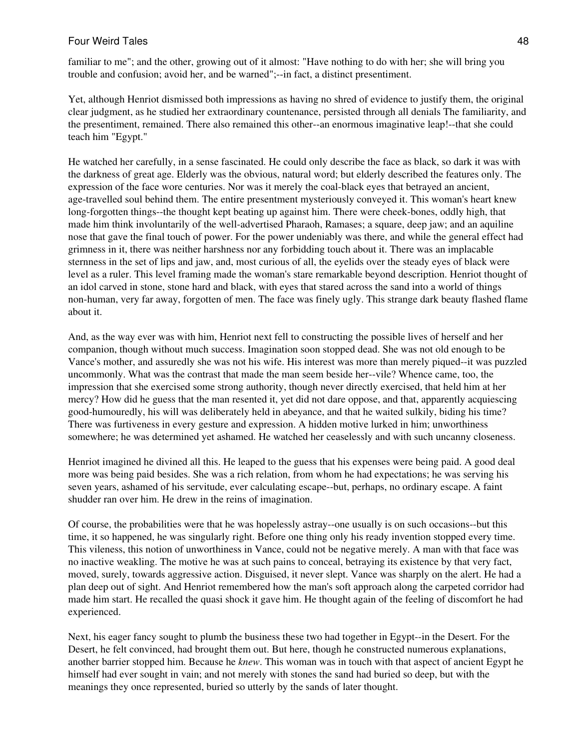familiar to me"; and the other, growing out of it almost: "Have nothing to do with her; she will bring you trouble and confusion; avoid her, and be warned";--in fact, a distinct presentiment.

Yet, although Henriot dismissed both impressions as having no shred of evidence to justify them, the original clear judgment, as he studied her extraordinary countenance, persisted through all denials The familiarity, and the presentiment, remained. There also remained this other--an enormous imaginative leap!--that she could teach him "Egypt."

He watched her carefully, in a sense fascinated. He could only describe the face as black, so dark it was with the darkness of great age. Elderly was the obvious, natural word; but elderly described the features only. The expression of the face wore centuries. Nor was it merely the coal-black eyes that betrayed an ancient, age-travelled soul behind them. The entire presentment mysteriously conveyed it. This woman's heart knew long-forgotten things--the thought kept beating up against him. There were cheek-bones, oddly high, that made him think involuntarily of the well-advertised Pharaoh, Ramases; a square, deep jaw; and an aquiline nose that gave the final touch of power. For the power undeniably was there, and while the general effect had grimness in it, there was neither harshness nor any forbidding touch about it. There was an implacable sternness in the set of lips and jaw, and, most curious of all, the eyelids over the steady eyes of black were level as a ruler. This level framing made the woman's stare remarkable beyond description. Henriot thought of an idol carved in stone, stone hard and black, with eyes that stared across the sand into a world of things non-human, very far away, forgotten of men. The face was finely ugly. This strange dark beauty flashed flame about it.

And, as the way ever was with him, Henriot next fell to constructing the possible lives of herself and her companion, though without much success. Imagination soon stopped dead. She was not old enough to be Vance's mother, and assuredly she was not his wife. His interest was more than merely piqued--it was puzzled uncommonly. What was the contrast that made the man seem beside her--vile? Whence came, too, the impression that she exercised some strong authority, though never directly exercised, that held him at her mercy? How did he guess that the man resented it, yet did not dare oppose, and that, apparently acquiescing good-humouredly, his will was deliberately held in abeyance, and that he waited sulkily, biding his time? There was furtiveness in every gesture and expression. A hidden motive lurked in him; unworthiness somewhere; he was determined yet ashamed. He watched her ceaselessly and with such uncanny closeness.

Henriot imagined he divined all this. He leaped to the guess that his expenses were being paid. A good deal more was being paid besides. She was a rich relation, from whom he had expectations; he was serving his seven years, ashamed of his servitude, ever calculating escape--but, perhaps, no ordinary escape. A faint shudder ran over him. He drew in the reins of imagination.

Of course, the probabilities were that he was hopelessly astray--one usually is on such occasions--but this time, it so happened, he was singularly right. Before one thing only his ready invention stopped every time. This vileness, this notion of unworthiness in Vance, could not be negative merely. A man with that face was no inactive weakling. The motive he was at such pains to conceal, betraying its existence by that very fact, moved, surely, towards aggressive action. Disguised, it never slept. Vance was sharply on the alert. He had a plan deep out of sight. And Henriot remembered how the man's soft approach along the carpeted corridor had made him start. He recalled the quasi shock it gave him. He thought again of the feeling of discomfort he had experienced.

Next, his eager fancy sought to plumb the business these two had together in Egypt--in the Desert. For the Desert, he felt convinced, had brought them out. But here, though he constructed numerous explanations, another barrier stopped him. Because he *knew*. This woman was in touch with that aspect of ancient Egypt he himself had ever sought in vain; and not merely with stones the sand had buried so deep, but with the meanings they once represented, buried so utterly by the sands of later thought.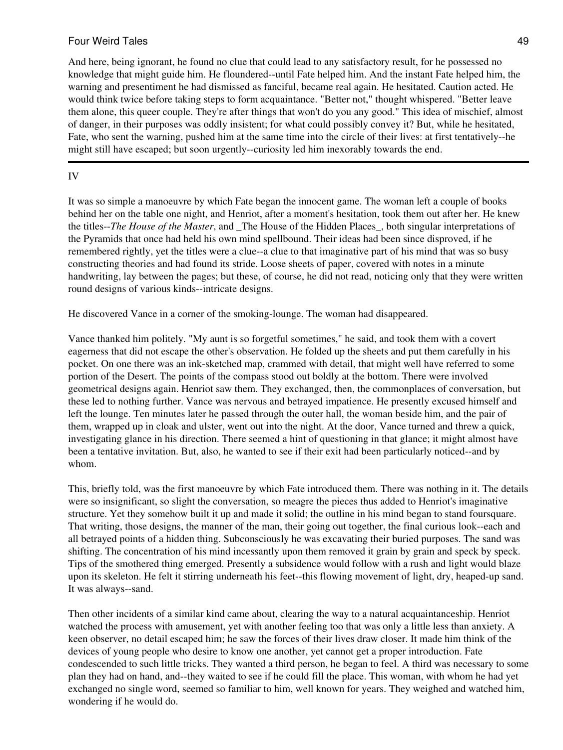And here, being ignorant, he found no clue that could lead to any satisfactory result, for he possessed no knowledge that might guide him. He floundered--until Fate helped him. And the instant Fate helped him, the warning and presentiment he had dismissed as fanciful, became real again. He hesitated. Caution acted. He would think twice before taking steps to form acquaintance. "Better not," thought whispered. "Better leave them alone, this queer couple. They're after things that won't do you any good." This idea of mischief, almost of danger, in their purposes was oddly insistent; for what could possibly convey it? But, while he hesitated, Fate, who sent the warning, pushed him at the same time into the circle of their lives: at first tentatively--he might still have escaped; but soon urgently--curiosity led him inexorably towards the end.

### IV

It was so simple a manoeuvre by which Fate began the innocent game. The woman left a couple of books behind her on the table one night, and Henriot, after a moment's hesitation, took them out after her. He knew the titles--*The House of the Master*, and \_The House of the Hidden Places\_, both singular interpretations of the Pyramids that once had held his own mind spellbound. Their ideas had been since disproved, if he remembered rightly, yet the titles were a clue--a clue to that imaginative part of his mind that was so busy constructing theories and had found its stride. Loose sheets of paper, covered with notes in a minute handwriting, lay between the pages; but these, of course, he did not read, noticing only that they were written round designs of various kinds--intricate designs.

He discovered Vance in a corner of the smoking-lounge. The woman had disappeared.

Vance thanked him politely. "My aunt is so forgetful sometimes," he said, and took them with a covert eagerness that did not escape the other's observation. He folded up the sheets and put them carefully in his pocket. On one there was an ink-sketched map, crammed with detail, that might well have referred to some portion of the Desert. The points of the compass stood out boldly at the bottom. There were involved geometrical designs again. Henriot saw them. They exchanged, then, the commonplaces of conversation, but these led to nothing further. Vance was nervous and betrayed impatience. He presently excused himself and left the lounge. Ten minutes later he passed through the outer hall, the woman beside him, and the pair of them, wrapped up in cloak and ulster, went out into the night. At the door, Vance turned and threw a quick, investigating glance in his direction. There seemed a hint of questioning in that glance; it might almost have been a tentative invitation. But, also, he wanted to see if their exit had been particularly noticed--and by whom.

This, briefly told, was the first manoeuvre by which Fate introduced them. There was nothing in it. The details were so insignificant, so slight the conversation, so meagre the pieces thus added to Henriot's imaginative structure. Yet they somehow built it up and made it solid; the outline in his mind began to stand foursquare. That writing, those designs, the manner of the man, their going out together, the final curious look--each and all betrayed points of a hidden thing. Subconsciously he was excavating their buried purposes. The sand was shifting. The concentration of his mind incessantly upon them removed it grain by grain and speck by speck. Tips of the smothered thing emerged. Presently a subsidence would follow with a rush and light would blaze upon its skeleton. He felt it stirring underneath his feet--this flowing movement of light, dry, heaped-up sand. It was always--sand.

Then other incidents of a similar kind came about, clearing the way to a natural acquaintanceship. Henriot watched the process with amusement, yet with another feeling too that was only a little less than anxiety. A keen observer, no detail escaped him; he saw the forces of their lives draw closer. It made him think of the devices of young people who desire to know one another, yet cannot get a proper introduction. Fate condescended to such little tricks. They wanted a third person, he began to feel. A third was necessary to some plan they had on hand, and--they waited to see if he could fill the place. This woman, with whom he had yet exchanged no single word, seemed so familiar to him, well known for years. They weighed and watched him, wondering if he would do.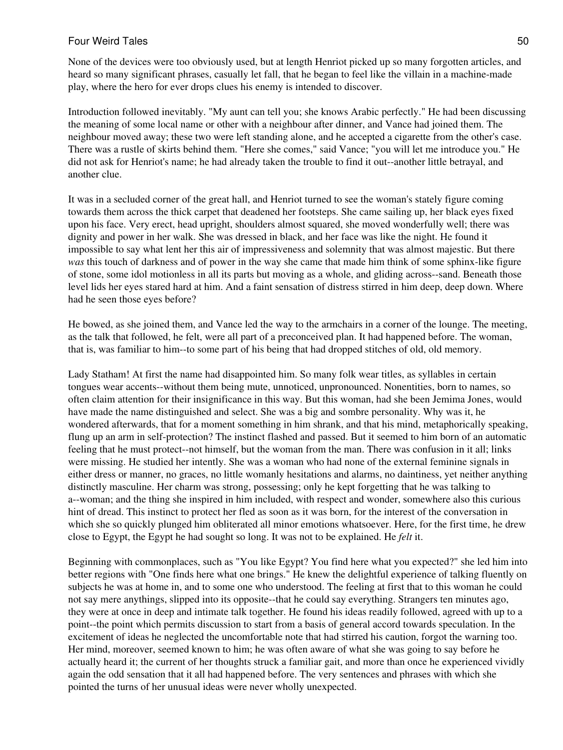None of the devices were too obviously used, but at length Henriot picked up so many forgotten articles, and heard so many significant phrases, casually let fall, that he began to feel like the villain in a machine-made play, where the hero for ever drops clues his enemy is intended to discover.

Introduction followed inevitably. "My aunt can tell you; she knows Arabic perfectly." He had been discussing the meaning of some local name or other with a neighbour after dinner, and Vance had joined them. The neighbour moved away; these two were left standing alone, and he accepted a cigarette from the other's case. There was a rustle of skirts behind them. "Here she comes," said Vance; "you will let me introduce you." He did not ask for Henriot's name; he had already taken the trouble to find it out--another little betrayal, and another clue.

It was in a secluded corner of the great hall, and Henriot turned to see the woman's stately figure coming towards them across the thick carpet that deadened her footsteps. She came sailing up, her black eyes fixed upon his face. Very erect, head upright, shoulders almost squared, she moved wonderfully well; there was dignity and power in her walk. She was dressed in black, and her face was like the night. He found it impossible to say what lent her this air of impressiveness and solemnity that was almost majestic. But there *was* this touch of darkness and of power in the way she came that made him think of some sphinx-like figure of stone, some idol motionless in all its parts but moving as a whole, and gliding across--sand. Beneath those level lids her eyes stared hard at him. And a faint sensation of distress stirred in him deep, deep down. Where had he seen those eyes before?

He bowed, as she joined them, and Vance led the way to the armchairs in a corner of the lounge. The meeting, as the talk that followed, he felt, were all part of a preconceived plan. It had happened before. The woman, that is, was familiar to him--to some part of his being that had dropped stitches of old, old memory.

Lady Statham! At first the name had disappointed him. So many folk wear titles, as syllables in certain tongues wear accents--without them being mute, unnoticed, unpronounced. Nonentities, born to names, so often claim attention for their insignificance in this way. But this woman, had she been Jemima Jones, would have made the name distinguished and select. She was a big and sombre personality. Why was it, he wondered afterwards, that for a moment something in him shrank, and that his mind, metaphorically speaking, flung up an arm in self-protection? The instinct flashed and passed. But it seemed to him born of an automatic feeling that he must protect--not himself, but the woman from the man. There was confusion in it all; links were missing. He studied her intently. She was a woman who had none of the external feminine signals in either dress or manner, no graces, no little womanly hesitations and alarms, no daintiness, yet neither anything distinctly masculine. Her charm was strong, possessing; only he kept forgetting that he was talking to a--woman; and the thing she inspired in him included, with respect and wonder, somewhere also this curious hint of dread. This instinct to protect her fled as soon as it was born, for the interest of the conversation in which she so quickly plunged him obliterated all minor emotions whatsoever. Here, for the first time, he drew close to Egypt, the Egypt he had sought so long. It was not to be explained. He *felt* it.

Beginning with commonplaces, such as "You like Egypt? You find here what you expected?" she led him into better regions with "One finds here what one brings." He knew the delightful experience of talking fluently on subjects he was at home in, and to some one who understood. The feeling at first that to this woman he could not say mere anythings, slipped into its opposite--that he could say everything. Strangers ten minutes ago, they were at once in deep and intimate talk together. He found his ideas readily followed, agreed with up to a point--the point which permits discussion to start from a basis of general accord towards speculation. In the excitement of ideas he neglected the uncomfortable note that had stirred his caution, forgot the warning too. Her mind, moreover, seemed known to him; he was often aware of what she was going to say before he actually heard it; the current of her thoughts struck a familiar gait, and more than once he experienced vividly again the odd sensation that it all had happened before. The very sentences and phrases with which she pointed the turns of her unusual ideas were never wholly unexpected.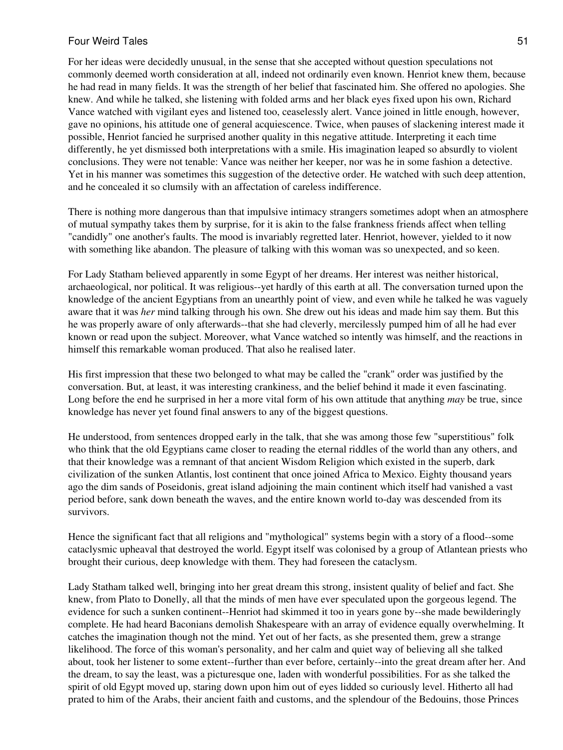For her ideas were decidedly unusual, in the sense that she accepted without question speculations not commonly deemed worth consideration at all, indeed not ordinarily even known. Henriot knew them, because he had read in many fields. It was the strength of her belief that fascinated him. She offered no apologies. She knew. And while he talked, she listening with folded arms and her black eyes fixed upon his own, Richard Vance watched with vigilant eyes and listened too, ceaselessly alert. Vance joined in little enough, however, gave no opinions, his attitude one of general acquiescence. Twice, when pauses of slackening interest made it possible, Henriot fancied he surprised another quality in this negative attitude. Interpreting it each time differently, he yet dismissed both interpretations with a smile. His imagination leaped so absurdly to violent conclusions. They were not tenable: Vance was neither her keeper, nor was he in some fashion a detective. Yet in his manner was sometimes this suggestion of the detective order. He watched with such deep attention, and he concealed it so clumsily with an affectation of careless indifference.

There is nothing more dangerous than that impulsive intimacy strangers sometimes adopt when an atmosphere of mutual sympathy takes them by surprise, for it is akin to the false frankness friends affect when telling "candidly" one another's faults. The mood is invariably regretted later. Henriot, however, yielded to it now with something like abandon. The pleasure of talking with this woman was so unexpected, and so keen.

For Lady Statham believed apparently in some Egypt of her dreams. Her interest was neither historical, archaeological, nor political. It was religious--yet hardly of this earth at all. The conversation turned upon the knowledge of the ancient Egyptians from an unearthly point of view, and even while he talked he was vaguely aware that it was *her* mind talking through his own. She drew out his ideas and made him say them. But this he was properly aware of only afterwards--that she had cleverly, mercilessly pumped him of all he had ever known or read upon the subject. Moreover, what Vance watched so intently was himself, and the reactions in himself this remarkable woman produced. That also he realised later.

His first impression that these two belonged to what may be called the "crank" order was justified by the conversation. But, at least, it was interesting crankiness, and the belief behind it made it even fascinating. Long before the end he surprised in her a more vital form of his own attitude that anything *may* be true, since knowledge has never yet found final answers to any of the biggest questions.

He understood, from sentences dropped early in the talk, that she was among those few "superstitious" folk who think that the old Egyptians came closer to reading the eternal riddles of the world than any others, and that their knowledge was a remnant of that ancient Wisdom Religion which existed in the superb, dark civilization of the sunken Atlantis, lost continent that once joined Africa to Mexico. Eighty thousand years ago the dim sands of Poseidonis, great island adjoining the main continent which itself had vanished a vast period before, sank down beneath the waves, and the entire known world to-day was descended from its survivors.

Hence the significant fact that all religions and "mythological" systems begin with a story of a flood--some cataclysmic upheaval that destroyed the world. Egypt itself was colonised by a group of Atlantean priests who brought their curious, deep knowledge with them. They had foreseen the cataclysm.

Lady Statham talked well, bringing into her great dream this strong, insistent quality of belief and fact. She knew, from Plato to Donelly, all that the minds of men have ever speculated upon the gorgeous legend. The evidence for such a sunken continent--Henriot had skimmed it too in years gone by--she made bewilderingly complete. He had heard Baconians demolish Shakespeare with an array of evidence equally overwhelming. It catches the imagination though not the mind. Yet out of her facts, as she presented them, grew a strange likelihood. The force of this woman's personality, and her calm and quiet way of believing all she talked about, took her listener to some extent--further than ever before, certainly--into the great dream after her. And the dream, to say the least, was a picturesque one, laden with wonderful possibilities. For as she talked the spirit of old Egypt moved up, staring down upon him out of eyes lidded so curiously level. Hitherto all had prated to him of the Arabs, their ancient faith and customs, and the splendour of the Bedouins, those Princes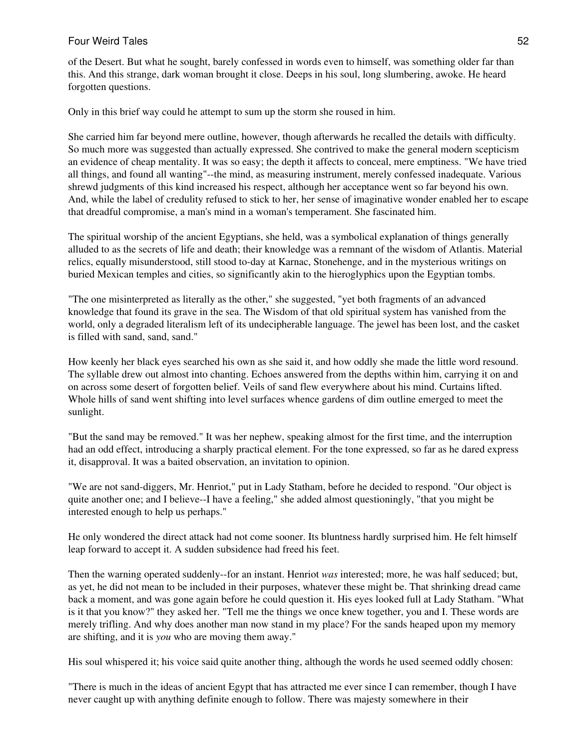of the Desert. But what he sought, barely confessed in words even to himself, was something older far than this. And this strange, dark woman brought it close. Deeps in his soul, long slumbering, awoke. He heard forgotten questions.

Only in this brief way could he attempt to sum up the storm she roused in him.

She carried him far beyond mere outline, however, though afterwards he recalled the details with difficulty. So much more was suggested than actually expressed. She contrived to make the general modern scepticism an evidence of cheap mentality. It was so easy; the depth it affects to conceal, mere emptiness. "We have tried all things, and found all wanting"--the mind, as measuring instrument, merely confessed inadequate. Various shrewd judgments of this kind increased his respect, although her acceptance went so far beyond his own. And, while the label of credulity refused to stick to her, her sense of imaginative wonder enabled her to escape that dreadful compromise, a man's mind in a woman's temperament. She fascinated him.

The spiritual worship of the ancient Egyptians, she held, was a symbolical explanation of things generally alluded to as the secrets of life and death; their knowledge was a remnant of the wisdom of Atlantis. Material relics, equally misunderstood, still stood to-day at Karnac, Stonehenge, and in the mysterious writings on buried Mexican temples and cities, so significantly akin to the hieroglyphics upon the Egyptian tombs.

"The one misinterpreted as literally as the other," she suggested, "yet both fragments of an advanced knowledge that found its grave in the sea. The Wisdom of that old spiritual system has vanished from the world, only a degraded literalism left of its undecipherable language. The jewel has been lost, and the casket is filled with sand, sand, sand."

How keenly her black eyes searched his own as she said it, and how oddly she made the little word resound. The syllable drew out almost into chanting. Echoes answered from the depths within him, carrying it on and on across some desert of forgotten belief. Veils of sand flew everywhere about his mind. Curtains lifted. Whole hills of sand went shifting into level surfaces whence gardens of dim outline emerged to meet the sunlight.

"But the sand may be removed." It was her nephew, speaking almost for the first time, and the interruption had an odd effect, introducing a sharply practical element. For the tone expressed, so far as he dared express it, disapproval. It was a baited observation, an invitation to opinion.

"We are not sand-diggers, Mr. Henriot," put in Lady Statham, before he decided to respond. "Our object is quite another one; and I believe--I have a feeling," she added almost questioningly, "that you might be interested enough to help us perhaps."

He only wondered the direct attack had not come sooner. Its bluntness hardly surprised him. He felt himself leap forward to accept it. A sudden subsidence had freed his feet.

Then the warning operated suddenly--for an instant. Henriot *was* interested; more, he was half seduced; but, as yet, he did not mean to be included in their purposes, whatever these might be. That shrinking dread came back a moment, and was gone again before he could question it. His eyes looked full at Lady Statham. "What is it that you know?" they asked her. "Tell me the things we once knew together, you and I. These words are merely trifling. And why does another man now stand in my place? For the sands heaped upon my memory are shifting, and it is *you* who are moving them away."

His soul whispered it; his voice said quite another thing, although the words he used seemed oddly chosen:

"There is much in the ideas of ancient Egypt that has attracted me ever since I can remember, though I have never caught up with anything definite enough to follow. There was majesty somewhere in their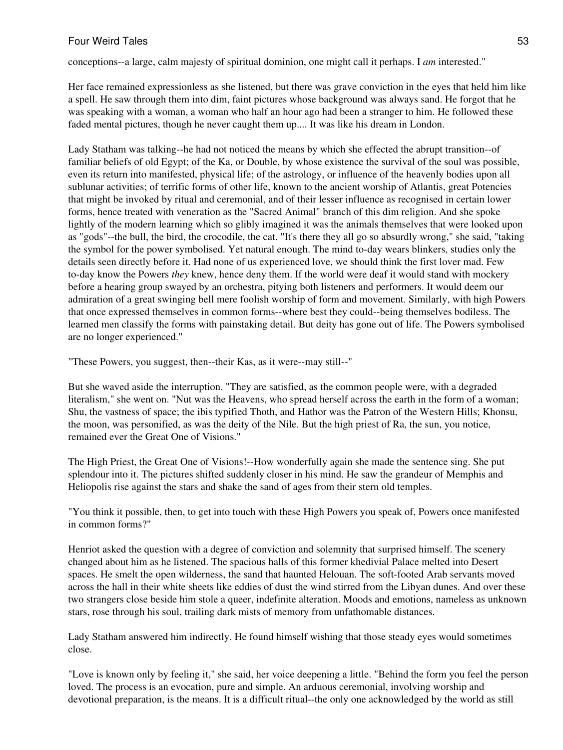conceptions--a large, calm majesty of spiritual dominion, one might call it perhaps. I *am* interested."

Her face remained expressionless as she listened, but there was grave conviction in the eyes that held him like a spell. He saw through them into dim, faint pictures whose background was always sand. He forgot that he was speaking with a woman, a woman who half an hour ago had been a stranger to him. He followed these faded mental pictures, though he never caught them up.... It was like his dream in London.

Lady Statham was talking--he had not noticed the means by which she effected the abrupt transition--of familiar beliefs of old Egypt; of the Ka, or Double, by whose existence the survival of the soul was possible, even its return into manifested, physical life; of the astrology, or influence of the heavenly bodies upon all sublunar activities; of terrific forms of other life, known to the ancient worship of Atlantis, great Potencies that might be invoked by ritual and ceremonial, and of their lesser influence as recognised in certain lower forms, hence treated with veneration as the "Sacred Animal" branch of this dim religion. And she spoke lightly of the modern learning which so glibly imagined it was the animals themselves that were looked upon as "gods"--the bull, the bird, the crocodile, the cat. "It's there they all go so absurdly wrong," she said, "taking the symbol for the power symbolised. Yet natural enough. The mind to-day wears blinkers, studies only the details seen directly before it. Had none of us experienced love, we should think the first lover mad. Few to-day know the Powers *they* knew, hence deny them. If the world were deaf it would stand with mockery before a hearing group swayed by an orchestra, pitying both listeners and performers. It would deem our admiration of a great swinging bell mere foolish worship of form and movement. Similarly, with high Powers that once expressed themselves in common forms--where best they could--being themselves bodiless. The learned men classify the forms with painstaking detail. But deity has gone out of life. The Powers symbolised are no longer experienced."

"These Powers, you suggest, then--their Kas, as it were--may still--"

But she waved aside the interruption. "They are satisfied, as the common people were, with a degraded literalism," she went on. "Nut was the Heavens, who spread herself across the earth in the form of a woman; Shu, the vastness of space; the ibis typified Thoth, and Hathor was the Patron of the Western Hills; Khonsu, the moon, was personified, as was the deity of the Nile. But the high priest of Ra, the sun, you notice, remained ever the Great One of Visions."

The High Priest, the Great One of Visions!--How wonderfully again she made the sentence sing. She put splendour into it. The pictures shifted suddenly closer in his mind. He saw the grandeur of Memphis and Heliopolis rise against the stars and shake the sand of ages from their stern old temples.

"You think it possible, then, to get into touch with these High Powers you speak of, Powers once manifested in common forms?"

Henriot asked the question with a degree of conviction and solemnity that surprised himself. The scenery changed about him as he listened. The spacious halls of this former khedivial Palace melted into Desert spaces. He smelt the open wilderness, the sand that haunted Helouan. The soft-footed Arab servants moved across the hall in their white sheets like eddies of dust the wind stirred from the Libyan dunes. And over these two strangers close beside him stole a queer, indefinite alteration. Moods and emotions, nameless as unknown stars, rose through his soul, trailing dark mists of memory from unfathomable distances.

Lady Statham answered him indirectly. He found himself wishing that those steady eyes would sometimes close.

"Love is known only by feeling it," she said, her voice deepening a little. "Behind the form you feel the person loved. The process is an evocation, pure and simple. An arduous ceremonial, involving worship and devotional preparation, is the means. It is a difficult ritual--the only one acknowledged by the world as still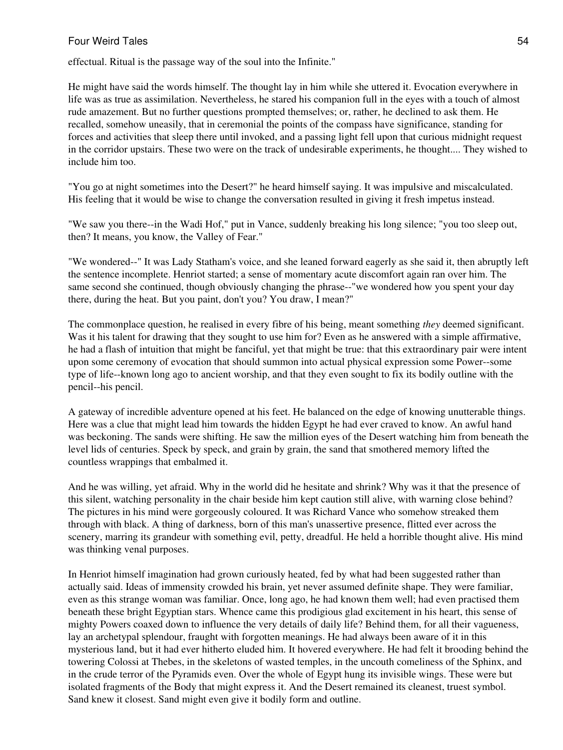effectual. Ritual is the passage way of the soul into the Infinite."

He might have said the words himself. The thought lay in him while she uttered it. Evocation everywhere in life was as true as assimilation. Nevertheless, he stared his companion full in the eyes with a touch of almost rude amazement. But no further questions prompted themselves; or, rather, he declined to ask them. He recalled, somehow uneasily, that in ceremonial the points of the compass have significance, standing for forces and activities that sleep there until invoked, and a passing light fell upon that curious midnight request in the corridor upstairs. These two were on the track of undesirable experiments, he thought.... They wished to include him too.

"You go at night sometimes into the Desert?" he heard himself saying. It was impulsive and miscalculated. His feeling that it would be wise to change the conversation resulted in giving it fresh impetus instead.

"We saw you there--in the Wadi Hof," put in Vance, suddenly breaking his long silence; "you too sleep out, then? It means, you know, the Valley of Fear."

"We wondered--" It was Lady Statham's voice, and she leaned forward eagerly as she said it, then abruptly left the sentence incomplete. Henriot started; a sense of momentary acute discomfort again ran over him. The same second she continued, though obviously changing the phrase--"we wondered how you spent your day there, during the heat. But you paint, don't you? You draw, I mean?"

The commonplace question, he realised in every fibre of his being, meant something *they* deemed significant. Was it his talent for drawing that they sought to use him for? Even as he answered with a simple affirmative, he had a flash of intuition that might be fanciful, yet that might be true: that this extraordinary pair were intent upon some ceremony of evocation that should summon into actual physical expression some Power--some type of life--known long ago to ancient worship, and that they even sought to fix its bodily outline with the pencil--his pencil.

A gateway of incredible adventure opened at his feet. He balanced on the edge of knowing unutterable things. Here was a clue that might lead him towards the hidden Egypt he had ever craved to know. An awful hand was beckoning. The sands were shifting. He saw the million eyes of the Desert watching him from beneath the level lids of centuries. Speck by speck, and grain by grain, the sand that smothered memory lifted the countless wrappings that embalmed it.

And he was willing, yet afraid. Why in the world did he hesitate and shrink? Why was it that the presence of this silent, watching personality in the chair beside him kept caution still alive, with warning close behind? The pictures in his mind were gorgeously coloured. It was Richard Vance who somehow streaked them through with black. A thing of darkness, born of this man's unassertive presence, flitted ever across the scenery, marring its grandeur with something evil, petty, dreadful. He held a horrible thought alive. His mind was thinking venal purposes.

In Henriot himself imagination had grown curiously heated, fed by what had been suggested rather than actually said. Ideas of immensity crowded his brain, yet never assumed definite shape. They were familiar, even as this strange woman was familiar. Once, long ago, he had known them well; had even practised them beneath these bright Egyptian stars. Whence came this prodigious glad excitement in his heart, this sense of mighty Powers coaxed down to influence the very details of daily life? Behind them, for all their vagueness, lay an archetypal splendour, fraught with forgotten meanings. He had always been aware of it in this mysterious land, but it had ever hitherto eluded him. It hovered everywhere. He had felt it brooding behind the towering Colossi at Thebes, in the skeletons of wasted temples, in the uncouth comeliness of the Sphinx, and in the crude terror of the Pyramids even. Over the whole of Egypt hung its invisible wings. These were but isolated fragments of the Body that might express it. And the Desert remained its cleanest, truest symbol. Sand knew it closest. Sand might even give it bodily form and outline.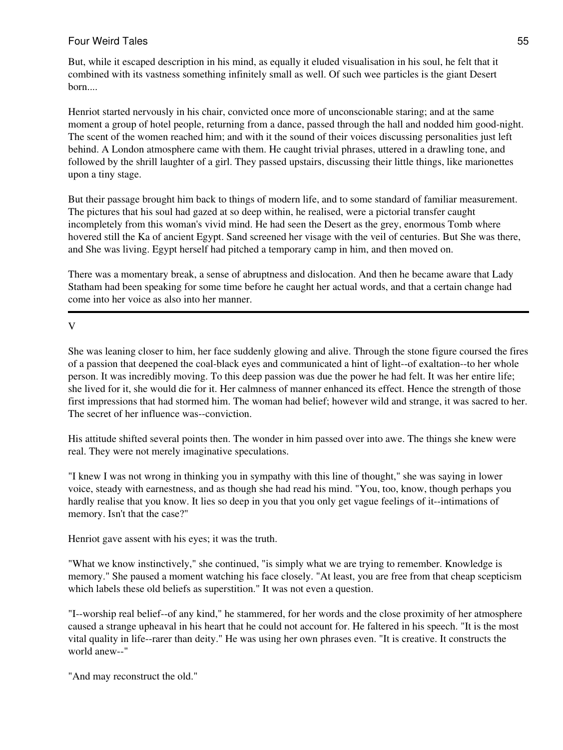But, while it escaped description in his mind, as equally it eluded visualisation in his soul, he felt that it combined with its vastness something infinitely small as well. Of such wee particles is the giant Desert born....

Henriot started nervously in his chair, convicted once more of unconscionable staring; and at the same moment a group of hotel people, returning from a dance, passed through the hall and nodded him good-night. The scent of the women reached him; and with it the sound of their voices discussing personalities just left behind. A London atmosphere came with them. He caught trivial phrases, uttered in a drawling tone, and followed by the shrill laughter of a girl. They passed upstairs, discussing their little things, like marionettes upon a tiny stage.

But their passage brought him back to things of modern life, and to some standard of familiar measurement. The pictures that his soul had gazed at so deep within, he realised, were a pictorial transfer caught incompletely from this woman's vivid mind. He had seen the Desert as the grey, enormous Tomb where hovered still the Ka of ancient Egypt. Sand screened her visage with the veil of centuries. But She was there, and She was living. Egypt herself had pitched a temporary camp in him, and then moved on.

There was a momentary break, a sense of abruptness and dislocation. And then he became aware that Lady Statham had been speaking for some time before he caught her actual words, and that a certain change had come into her voice as also into her manner.

V

She was leaning closer to him, her face suddenly glowing and alive. Through the stone figure coursed the fires of a passion that deepened the coal-black eyes and communicated a hint of light--of exaltation--to her whole person. It was incredibly moving. To this deep passion was due the power he had felt. It was her entire life; she lived for it, she would die for it. Her calmness of manner enhanced its effect. Hence the strength of those first impressions that had stormed him. The woman had belief; however wild and strange, it was sacred to her. The secret of her influence was--conviction.

His attitude shifted several points then. The wonder in him passed over into awe. The things she knew were real. They were not merely imaginative speculations.

"I knew I was not wrong in thinking you in sympathy with this line of thought," she was saying in lower voice, steady with earnestness, and as though she had read his mind. "You, too, know, though perhaps you hardly realise that you know. It lies so deep in you that you only get vague feelings of it--intimations of memory. Isn't that the case?"

Henriot gave assent with his eyes; it was the truth.

"What we know instinctively," she continued, "is simply what we are trying to remember. Knowledge is memory." She paused a moment watching his face closely. "At least, you are free from that cheap scepticism which labels these old beliefs as superstition." It was not even a question.

"I--worship real belief--of any kind," he stammered, for her words and the close proximity of her atmosphere caused a strange upheaval in his heart that he could not account for. He faltered in his speech. "It is the most vital quality in life--rarer than deity." He was using her own phrases even. "It is creative. It constructs the world anew--"

"And may reconstruct the old."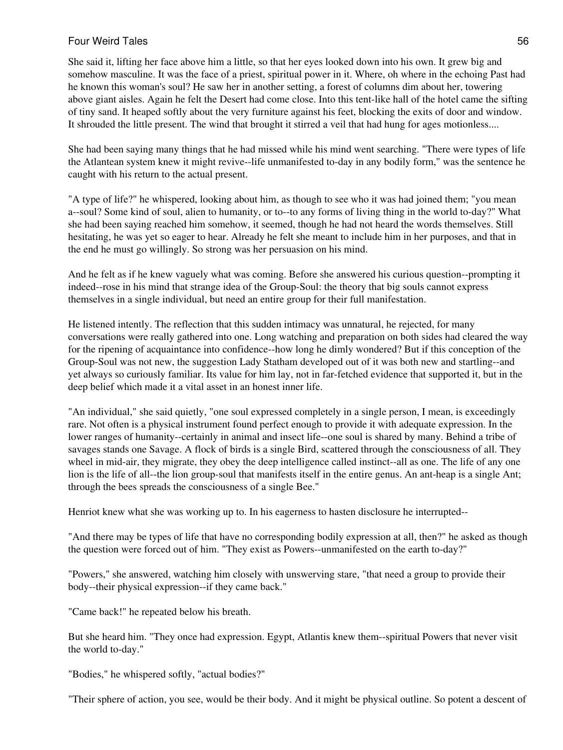She said it, lifting her face above him a little, so that her eyes looked down into his own. It grew big and somehow masculine. It was the face of a priest, spiritual power in it. Where, oh where in the echoing Past had he known this woman's soul? He saw her in another setting, a forest of columns dim about her, towering above giant aisles. Again he felt the Desert had come close. Into this tent-like hall of the hotel came the sifting of tiny sand. It heaped softly about the very furniture against his feet, blocking the exits of door and window. It shrouded the little present. The wind that brought it stirred a veil that had hung for ages motionless....

She had been saying many things that he had missed while his mind went searching. "There were types of life the Atlantean system knew it might revive--life unmanifested to-day in any bodily form," was the sentence he caught with his return to the actual present.

"A type of life?" he whispered, looking about him, as though to see who it was had joined them; "you mean a--soul? Some kind of soul, alien to humanity, or to--to any forms of living thing in the world to-day?" What she had been saying reached him somehow, it seemed, though he had not heard the words themselves. Still hesitating, he was yet so eager to hear. Already he felt she meant to include him in her purposes, and that in the end he must go willingly. So strong was her persuasion on his mind.

And he felt as if he knew vaguely what was coming. Before she answered his curious question--prompting it indeed--rose in his mind that strange idea of the Group-Soul: the theory that big souls cannot express themselves in a single individual, but need an entire group for their full manifestation.

He listened intently. The reflection that this sudden intimacy was unnatural, he rejected, for many conversations were really gathered into one. Long watching and preparation on both sides had cleared the way for the ripening of acquaintance into confidence--how long he dimly wondered? But if this conception of the Group-Soul was not new, the suggestion Lady Statham developed out of it was both new and startling--and yet always so curiously familiar. Its value for him lay, not in far-fetched evidence that supported it, but in the deep belief which made it a vital asset in an honest inner life.

"An individual," she said quietly, "one soul expressed completely in a single person, I mean, is exceedingly rare. Not often is a physical instrument found perfect enough to provide it with adequate expression. In the lower ranges of humanity--certainly in animal and insect life--one soul is shared by many. Behind a tribe of savages stands one Savage. A flock of birds is a single Bird, scattered through the consciousness of all. They wheel in mid-air, they migrate, they obey the deep intelligence called instinct--all as one. The life of any one lion is the life of all--the lion group-soul that manifests itself in the entire genus. An ant-heap is a single Ant; through the bees spreads the consciousness of a single Bee."

Henriot knew what she was working up to. In his eagerness to hasten disclosure he interrupted--

"And there may be types of life that have no corresponding bodily expression at all, then?" he asked as though the question were forced out of him. "They exist as Powers--unmanifested on the earth to-day?"

"Powers," she answered, watching him closely with unswerving stare, "that need a group to provide their body--their physical expression--if they came back."

"Came back!" he repeated below his breath.

But she heard him. "They once had expression. Egypt, Atlantis knew them--spiritual Powers that never visit the world to-day."

"Bodies," he whispered softly, "actual bodies?"

"Their sphere of action, you see, would be their body. And it might be physical outline. So potent a descent of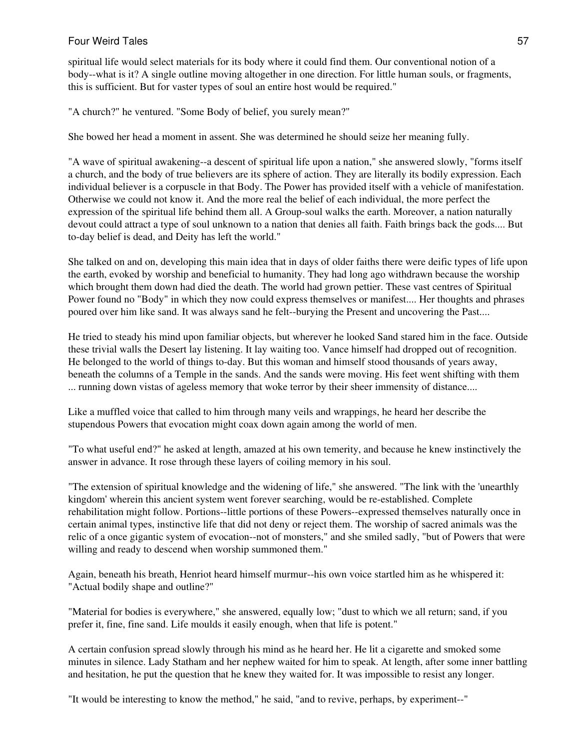spiritual life would select materials for its body where it could find them. Our conventional notion of a body--what is it? A single outline moving altogether in one direction. For little human souls, or fragments, this is sufficient. But for vaster types of soul an entire host would be required."

"A church?" he ventured. "Some Body of belief, you surely mean?"

She bowed her head a moment in assent. She was determined he should seize her meaning fully.

"A wave of spiritual awakening--a descent of spiritual life upon a nation," she answered slowly, "forms itself a church, and the body of true believers are its sphere of action. They are literally its bodily expression. Each individual believer is a corpuscle in that Body. The Power has provided itself with a vehicle of manifestation. Otherwise we could not know it. And the more real the belief of each individual, the more perfect the expression of the spiritual life behind them all. A Group-soul walks the earth. Moreover, a nation naturally devout could attract a type of soul unknown to a nation that denies all faith. Faith brings back the gods.... But to-day belief is dead, and Deity has left the world."

She talked on and on, developing this main idea that in days of older faiths there were deific types of life upon the earth, evoked by worship and beneficial to humanity. They had long ago withdrawn because the worship which brought them down had died the death. The world had grown pettier. These vast centres of Spiritual Power found no "Body" in which they now could express themselves or manifest.... Her thoughts and phrases poured over him like sand. It was always sand he felt--burying the Present and uncovering the Past....

He tried to steady his mind upon familiar objects, but wherever he looked Sand stared him in the face. Outside these trivial walls the Desert lay listening. It lay waiting too. Vance himself had dropped out of recognition. He belonged to the world of things to-day. But this woman and himself stood thousands of years away, beneath the columns of a Temple in the sands. And the sands were moving. His feet went shifting with them ... running down vistas of ageless memory that woke terror by their sheer immensity of distance....

Like a muffled voice that called to him through many veils and wrappings, he heard her describe the stupendous Powers that evocation might coax down again among the world of men.

"To what useful end?" he asked at length, amazed at his own temerity, and because he knew instinctively the answer in advance. It rose through these layers of coiling memory in his soul.

"The extension of spiritual knowledge and the widening of life," she answered. "The link with the 'unearthly kingdom' wherein this ancient system went forever searching, would be re-established. Complete rehabilitation might follow. Portions--little portions of these Powers--expressed themselves naturally once in certain animal types, instinctive life that did not deny or reject them. The worship of sacred animals was the relic of a once gigantic system of evocation--not of monsters," and she smiled sadly, "but of Powers that were willing and ready to descend when worship summoned them."

Again, beneath his breath, Henriot heard himself murmur--his own voice startled him as he whispered it: "Actual bodily shape and outline?"

"Material for bodies is everywhere," she answered, equally low; "dust to which we all return; sand, if you prefer it, fine, fine sand. Life moulds it easily enough, when that life is potent."

A certain confusion spread slowly through his mind as he heard her. He lit a cigarette and smoked some minutes in silence. Lady Statham and her nephew waited for him to speak. At length, after some inner battling and hesitation, he put the question that he knew they waited for. It was impossible to resist any longer.

"It would be interesting to know the method," he said, "and to revive, perhaps, by experiment--"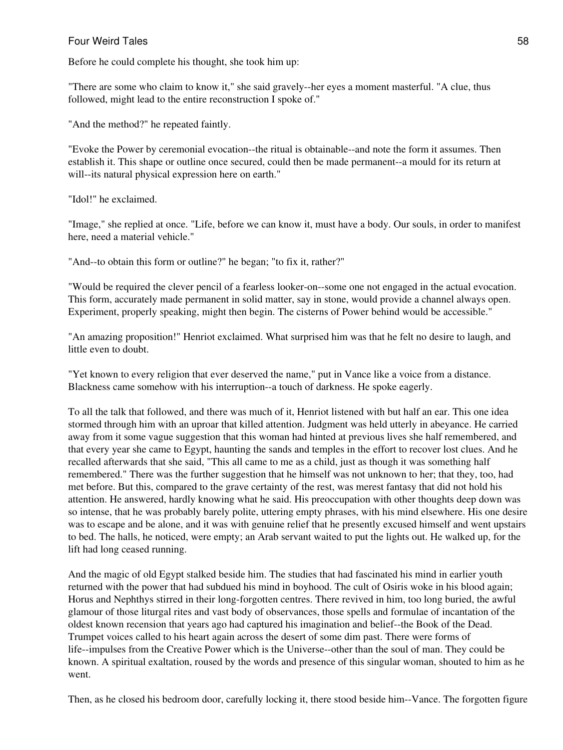Before he could complete his thought, she took him up:

"There are some who claim to know it," she said gravely--her eyes a moment masterful. "A clue, thus followed, might lead to the entire reconstruction I spoke of."

"And the method?" he repeated faintly.

"Evoke the Power by ceremonial evocation--the ritual is obtainable--and note the form it assumes. Then establish it. This shape or outline once secured, could then be made permanent--a mould for its return at will--its natural physical expression here on earth."

"Idol!" he exclaimed.

"Image," she replied at once. "Life, before we can know it, must have a body. Our souls, in order to manifest here, need a material vehicle."

"And--to obtain this form or outline?" he began; "to fix it, rather?"

"Would be required the clever pencil of a fearless looker-on--some one not engaged in the actual evocation. This form, accurately made permanent in solid matter, say in stone, would provide a channel always open. Experiment, properly speaking, might then begin. The cisterns of Power behind would be accessible."

"An amazing proposition!" Henriot exclaimed. What surprised him was that he felt no desire to laugh, and little even to doubt.

"Yet known to every religion that ever deserved the name," put in Vance like a voice from a distance. Blackness came somehow with his interruption--a touch of darkness. He spoke eagerly.

To all the talk that followed, and there was much of it, Henriot listened with but half an ear. This one idea stormed through him with an uproar that killed attention. Judgment was held utterly in abeyance. He carried away from it some vague suggestion that this woman had hinted at previous lives she half remembered, and that every year she came to Egypt, haunting the sands and temples in the effort to recover lost clues. And he recalled afterwards that she said, "This all came to me as a child, just as though it was something half remembered." There was the further suggestion that he himself was not unknown to her; that they, too, had met before. But this, compared to the grave certainty of the rest, was merest fantasy that did not hold his attention. He answered, hardly knowing what he said. His preoccupation with other thoughts deep down was so intense, that he was probably barely polite, uttering empty phrases, with his mind elsewhere. His one desire was to escape and be alone, and it was with genuine relief that he presently excused himself and went upstairs to bed. The halls, he noticed, were empty; an Arab servant waited to put the lights out. He walked up, for the lift had long ceased running.

And the magic of old Egypt stalked beside him. The studies that had fascinated his mind in earlier youth returned with the power that had subdued his mind in boyhood. The cult of Osiris woke in his blood again; Horus and Nephthys stirred in their long-forgotten centres. There revived in him, too long buried, the awful glamour of those liturgal rites and vast body of observances, those spells and formulae of incantation of the oldest known recension that years ago had captured his imagination and belief--the Book of the Dead. Trumpet voices called to his heart again across the desert of some dim past. There were forms of life--impulses from the Creative Power which is the Universe--other than the soul of man. They could be known. A spiritual exaltation, roused by the words and presence of this singular woman, shouted to him as he went.

Then, as he closed his bedroom door, carefully locking it, there stood beside him--Vance. The forgotten figure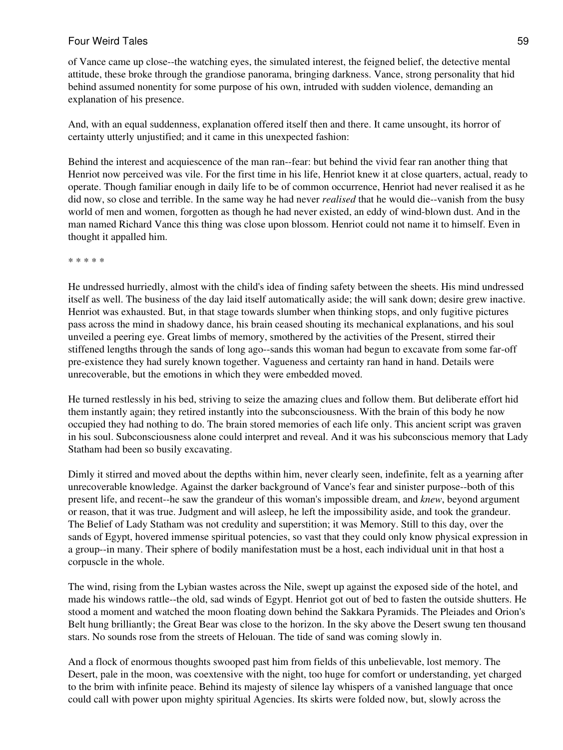of Vance came up close--the watching eyes, the simulated interest, the feigned belief, the detective mental attitude, these broke through the grandiose panorama, bringing darkness. Vance, strong personality that hid behind assumed nonentity for some purpose of his own, intruded with sudden violence, demanding an explanation of his presence.

And, with an equal suddenness, explanation offered itself then and there. It came unsought, its horror of certainty utterly unjustified; and it came in this unexpected fashion:

Behind the interest and acquiescence of the man ran--fear: but behind the vivid fear ran another thing that Henriot now perceived was vile. For the first time in his life, Henriot knew it at close quarters, actual, ready to operate. Though familiar enough in daily life to be of common occurrence, Henriot had never realised it as he did now, so close and terrible. In the same way he had never *realised* that he would die--vanish from the busy world of men and women, forgotten as though he had never existed, an eddy of wind-blown dust. And in the man named Richard Vance this thing was close upon blossom. Henriot could not name it to himself. Even in thought it appalled him.

\* \* \* \* \*

He undressed hurriedly, almost with the child's idea of finding safety between the sheets. His mind undressed itself as well. The business of the day laid itself automatically aside; the will sank down; desire grew inactive. Henriot was exhausted. But, in that stage towards slumber when thinking stops, and only fugitive pictures pass across the mind in shadowy dance, his brain ceased shouting its mechanical explanations, and his soul unveiled a peering eye. Great limbs of memory, smothered by the activities of the Present, stirred their stiffened lengths through the sands of long ago--sands this woman had begun to excavate from some far-off pre-existence they had surely known together. Vagueness and certainty ran hand in hand. Details were unrecoverable, but the emotions in which they were embedded moved.

He turned restlessly in his bed, striving to seize the amazing clues and follow them. But deliberate effort hid them instantly again; they retired instantly into the subconsciousness. With the brain of this body he now occupied they had nothing to do. The brain stored memories of each life only. This ancient script was graven in his soul. Subconsciousness alone could interpret and reveal. And it was his subconscious memory that Lady Statham had been so busily excavating.

Dimly it stirred and moved about the depths within him, never clearly seen, indefinite, felt as a yearning after unrecoverable knowledge. Against the darker background of Vance's fear and sinister purpose--both of this present life, and recent--he saw the grandeur of this woman's impossible dream, and *knew*, beyond argument or reason, that it was true. Judgment and will asleep, he left the impossibility aside, and took the grandeur. The Belief of Lady Statham was not credulity and superstition; it was Memory. Still to this day, over the sands of Egypt, hovered immense spiritual potencies, so vast that they could only know physical expression in a group--in many. Their sphere of bodily manifestation must be a host, each individual unit in that host a corpuscle in the whole.

The wind, rising from the Lybian wastes across the Nile, swept up against the exposed side of the hotel, and made his windows rattle--the old, sad winds of Egypt. Henriot got out of bed to fasten the outside shutters. He stood a moment and watched the moon floating down behind the Sakkara Pyramids. The Pleiades and Orion's Belt hung brilliantly; the Great Bear was close to the horizon. In the sky above the Desert swung ten thousand stars. No sounds rose from the streets of Helouan. The tide of sand was coming slowly in.

And a flock of enormous thoughts swooped past him from fields of this unbelievable, lost memory. The Desert, pale in the moon, was coextensive with the night, too huge for comfort or understanding, yet charged to the brim with infinite peace. Behind its majesty of silence lay whispers of a vanished language that once could call with power upon mighty spiritual Agencies. Its skirts were folded now, but, slowly across the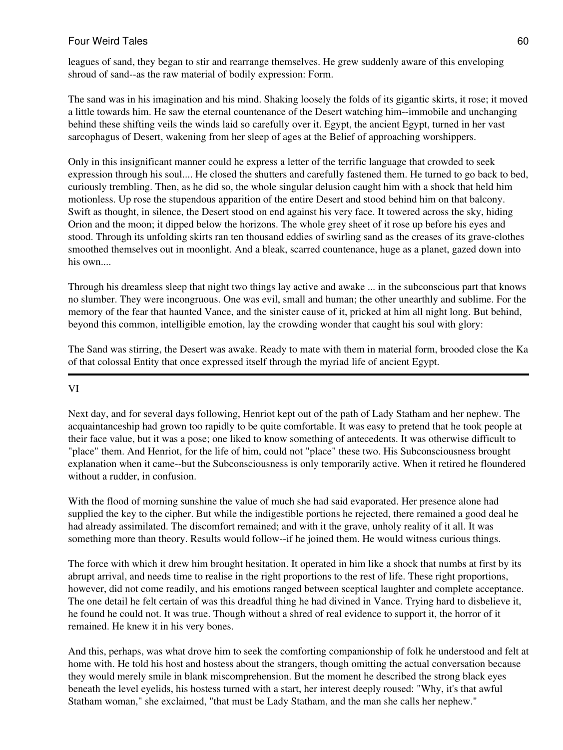leagues of sand, they began to stir and rearrange themselves. He grew suddenly aware of this enveloping shroud of sand--as the raw material of bodily expression: Form.

The sand was in his imagination and his mind. Shaking loosely the folds of its gigantic skirts, it rose; it moved a little towards him. He saw the eternal countenance of the Desert watching him--immobile and unchanging behind these shifting veils the winds laid so carefully over it. Egypt, the ancient Egypt, turned in her vast sarcophagus of Desert, wakening from her sleep of ages at the Belief of approaching worshippers.

Only in this insignificant manner could he express a letter of the terrific language that crowded to seek expression through his soul.... He closed the shutters and carefully fastened them. He turned to go back to bed, curiously trembling. Then, as he did so, the whole singular delusion caught him with a shock that held him motionless. Up rose the stupendous apparition of the entire Desert and stood behind him on that balcony. Swift as thought, in silence, the Desert stood on end against his very face. It towered across the sky, hiding Orion and the moon; it dipped below the horizons. The whole grey sheet of it rose up before his eyes and stood. Through its unfolding skirts ran ten thousand eddies of swirling sand as the creases of its grave-clothes smoothed themselves out in moonlight. And a bleak, scarred countenance, huge as a planet, gazed down into his own....

Through his dreamless sleep that night two things lay active and awake ... in the subconscious part that knows no slumber. They were incongruous. One was evil, small and human; the other unearthly and sublime. For the memory of the fear that haunted Vance, and the sinister cause of it, pricked at him all night long. But behind, beyond this common, intelligible emotion, lay the crowding wonder that caught his soul with glory:

The Sand was stirring, the Desert was awake. Ready to mate with them in material form, brooded close the Ka of that colossal Entity that once expressed itself through the myriad life of ancient Egypt.

# VI

Next day, and for several days following, Henriot kept out of the path of Lady Statham and her nephew. The acquaintanceship had grown too rapidly to be quite comfortable. It was easy to pretend that he took people at their face value, but it was a pose; one liked to know something of antecedents. It was otherwise difficult to "place" them. And Henriot, for the life of him, could not "place" these two. His Subconsciousness brought explanation when it came--but the Subconsciousness is only temporarily active. When it retired he floundered without a rudder, in confusion.

With the flood of morning sunshine the value of much she had said evaporated. Her presence alone had supplied the key to the cipher. But while the indigestible portions he rejected, there remained a good deal he had already assimilated. The discomfort remained; and with it the grave, unholy reality of it all. It was something more than theory. Results would follow--if he joined them. He would witness curious things.

The force with which it drew him brought hesitation. It operated in him like a shock that numbs at first by its abrupt arrival, and needs time to realise in the right proportions to the rest of life. These right proportions, however, did not come readily, and his emotions ranged between sceptical laughter and complete acceptance. The one detail he felt certain of was this dreadful thing he had divined in Vance. Trying hard to disbelieve it, he found he could not. It was true. Though without a shred of real evidence to support it, the horror of it remained. He knew it in his very bones.

And this, perhaps, was what drove him to seek the comforting companionship of folk he understood and felt at home with. He told his host and hostess about the strangers, though omitting the actual conversation because they would merely smile in blank miscomprehension. But the moment he described the strong black eyes beneath the level eyelids, his hostess turned with a start, her interest deeply roused: "Why, it's that awful Statham woman," she exclaimed, "that must be Lady Statham, and the man she calls her nephew."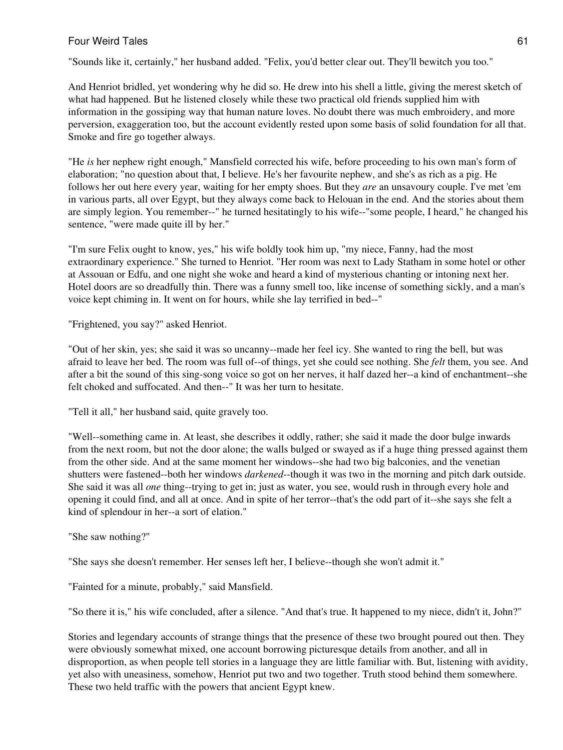"Sounds like it, certainly," her husband added. "Felix, you'd better clear out. They'll bewitch you too."

And Henriot bridled, yet wondering why he did so. He drew into his shell a little, giving the merest sketch of what had happened. But he listened closely while these two practical old friends supplied him with information in the gossiping way that human nature loves. No doubt there was much embroidery, and more perversion, exaggeration too, but the account evidently rested upon some basis of solid foundation for all that. Smoke and fire go together always.

"He *is* her nephew right enough," Mansfield corrected his wife, before proceeding to his own man's form of elaboration; "no question about that, I believe. He's her favourite nephew, and she's as rich as a pig. He follows her out here every year, waiting for her empty shoes. But they *are* an unsavoury couple. I've met 'em in various parts, all over Egypt, but they always come back to Helouan in the end. And the stories about them are simply legion. You remember--" he turned hesitatingly to his wife--"some people, I heard," he changed his sentence, "were made quite ill by her."

"I'm sure Felix ought to know, yes," his wife boldly took him up, "my niece, Fanny, had the most extraordinary experience." She turned to Henriot. "Her room was next to Lady Statham in some hotel or other at Assouan or Edfu, and one night she woke and heard a kind of mysterious chanting or intoning next her. Hotel doors are so dreadfully thin. There was a funny smell too, like incense of something sickly, and a man's voice kept chiming in. It went on for hours, while she lay terrified in bed--"

"Frightened, you say?" asked Henriot.

"Out of her skin, yes; she said it was so uncanny--made her feel icy. She wanted to ring the bell, but was afraid to leave her bed. The room was full of--of things, yet she could see nothing. She *felt* them, you see. And after a bit the sound of this sing-song voice so got on her nerves, it half dazed her--a kind of enchantment--she felt choked and suffocated. And then--" It was her turn to hesitate.

"Tell it all," her husband said, quite gravely too.

"Well--something came in. At least, she describes it oddly, rather; she said it made the door bulge inwards from the next room, but not the door alone; the walls bulged or swayed as if a huge thing pressed against them from the other side. And at the same moment her windows--she had two big balconies, and the venetian shutters were fastened--both her windows *darkened*--though it was two in the morning and pitch dark outside. She said it was all *one* thing--trying to get in; just as water, you see, would rush in through every hole and opening it could find, and all at once. And in spite of her terror--that's the odd part of it--she says she felt a kind of splendour in her--a sort of elation."

# "She saw nothing?"

"She says she doesn't remember. Her senses left her, I believe--though she won't admit it."

"Fainted for a minute, probably," said Mansfield.

"So there it is," his wife concluded, after a silence. "And that's true. It happened to my niece, didn't it, John?"

Stories and legendary accounts of strange things that the presence of these two brought poured out then. They were obviously somewhat mixed, one account borrowing picturesque details from another, and all in disproportion, as when people tell stories in a language they are little familiar with. But, listening with avidity, yet also with uneasiness, somehow, Henriot put two and two together. Truth stood behind them somewhere. These two held traffic with the powers that ancient Egypt knew.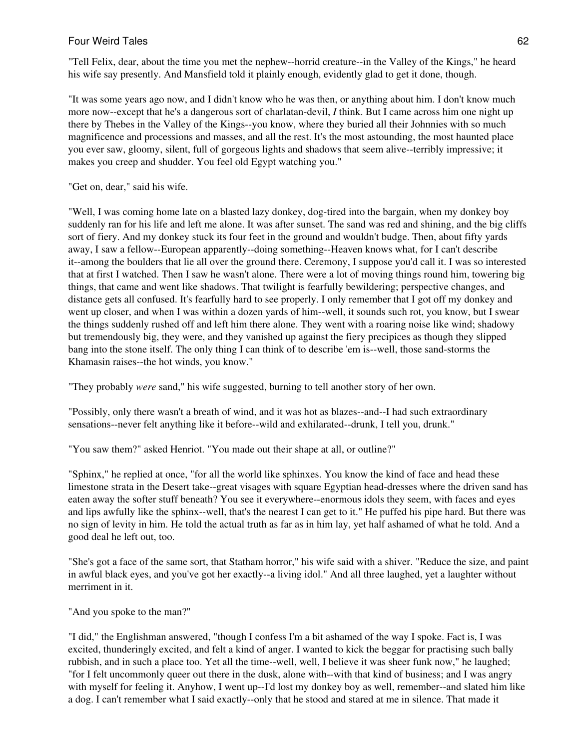"Tell Felix, dear, about the time you met the nephew--horrid creature--in the Valley of the Kings," he heard his wife say presently. And Mansfield told it plainly enough, evidently glad to get it done, though.

"It was some years ago now, and I didn't know who he was then, or anything about him. I don't know much more now--except that he's a dangerous sort of charlatan-devil, *I* think. But I came across him one night up there by Thebes in the Valley of the Kings--you know, where they buried all their Johnnies with so much magnificence and processions and masses, and all the rest. It's the most astounding, the most haunted place you ever saw, gloomy, silent, full of gorgeous lights and shadows that seem alive--terribly impressive; it makes you creep and shudder. You feel old Egypt watching you."

"Get on, dear," said his wife.

"Well, I was coming home late on a blasted lazy donkey, dog-tired into the bargain, when my donkey boy suddenly ran for his life and left me alone. It was after sunset. The sand was red and shining, and the big cliffs sort of fiery. And my donkey stuck its four feet in the ground and wouldn't budge. Then, about fifty yards away, I saw a fellow--European apparently--doing something--Heaven knows what, for I can't describe it--among the boulders that lie all over the ground there. Ceremony, I suppose you'd call it. I was so interested that at first I watched. Then I saw he wasn't alone. There were a lot of moving things round him, towering big things, that came and went like shadows. That twilight is fearfully bewildering; perspective changes, and distance gets all confused. It's fearfully hard to see properly. I only remember that I got off my donkey and went up closer, and when I was within a dozen yards of him--well, it sounds such rot, you know, but I swear the things suddenly rushed off and left him there alone. They went with a roaring noise like wind; shadowy but tremendously big, they were, and they vanished up against the fiery precipices as though they slipped bang into the stone itself. The only thing I can think of to describe 'em is--well, those sand-storms the Khamasin raises--the hot winds, you know."

"They probably *were* sand," his wife suggested, burning to tell another story of her own.

"Possibly, only there wasn't a breath of wind, and it was hot as blazes--and--I had such extraordinary sensations--never felt anything like it before--wild and exhilarated--drunk, I tell you, drunk."

"You saw them?" asked Henriot. "You made out their shape at all, or outline?"

"Sphinx," he replied at once, "for all the world like sphinxes. You know the kind of face and head these limestone strata in the Desert take--great visages with square Egyptian head-dresses where the driven sand has eaten away the softer stuff beneath? You see it everywhere--enormous idols they seem, with faces and eyes and lips awfully like the sphinx--well, that's the nearest I can get to it." He puffed his pipe hard. But there was no sign of levity in him. He told the actual truth as far as in him lay, yet half ashamed of what he told. And a good deal he left out, too.

"She's got a face of the same sort, that Statham horror," his wife said with a shiver. "Reduce the size, and paint in awful black eyes, and you've got her exactly--a living idol." And all three laughed, yet a laughter without merriment in it.

"And you spoke to the man?"

"I did," the Englishman answered, "though I confess I'm a bit ashamed of the way I spoke. Fact is, I was excited, thunderingly excited, and felt a kind of anger. I wanted to kick the beggar for practising such bally rubbish, and in such a place too. Yet all the time--well, well, I believe it was sheer funk now," he laughed; "for I felt uncommonly queer out there in the dusk, alone with--with that kind of business; and I was angry with myself for feeling it. Anyhow, I went up--I'd lost my donkey boy as well, remember--and slated him like a dog. I can't remember what I said exactly--only that he stood and stared at me in silence. That made it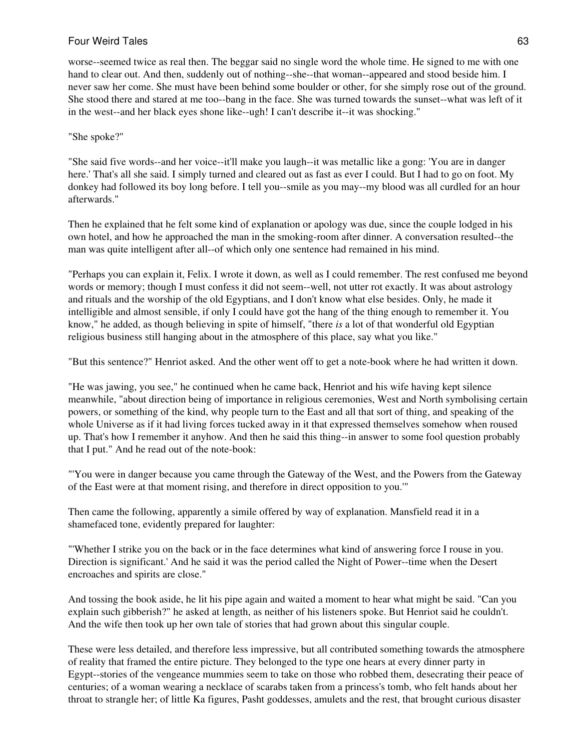worse--seemed twice as real then. The beggar said no single word the whole time. He signed to me with one hand to clear out. And then, suddenly out of nothing--she--that woman--appeared and stood beside him. I never saw her come. She must have been behind some boulder or other, for she simply rose out of the ground. She stood there and stared at me too--bang in the face. She was turned towards the sunset--what was left of it in the west--and her black eyes shone like--ugh! I can't describe it--it was shocking."

#### "She spoke?"

"She said five words--and her voice--it'll make you laugh--it was metallic like a gong: 'You are in danger here.' That's all she said. I simply turned and cleared out as fast as ever I could. But I had to go on foot. My donkey had followed its boy long before. I tell you--smile as you may--my blood was all curdled for an hour afterwards."

Then he explained that he felt some kind of explanation or apology was due, since the couple lodged in his own hotel, and how he approached the man in the smoking-room after dinner. A conversation resulted--the man was quite intelligent after all--of which only one sentence had remained in his mind.

"Perhaps you can explain it, Felix. I wrote it down, as well as I could remember. The rest confused me beyond words or memory; though I must confess it did not seem--well, not utter rot exactly. It was about astrology and rituals and the worship of the old Egyptians, and I don't know what else besides. Only, he made it intelligible and almost sensible, if only I could have got the hang of the thing enough to remember it. You know," he added, as though believing in spite of himself, "there *is* a lot of that wonderful old Egyptian religious business still hanging about in the atmosphere of this place, say what you like."

"But this sentence?" Henriot asked. And the other went off to get a note-book where he had written it down.

"He was jawing, you see," he continued when he came back, Henriot and his wife having kept silence meanwhile, "about direction being of importance in religious ceremonies, West and North symbolising certain powers, or something of the kind, why people turn to the East and all that sort of thing, and speaking of the whole Universe as if it had living forces tucked away in it that expressed themselves somehow when roused up. That's how I remember it anyhow. And then he said this thing--in answer to some fool question probably that I put." And he read out of the note-book:

"'You were in danger because you came through the Gateway of the West, and the Powers from the Gateway of the East were at that moment rising, and therefore in direct opposition to you.'"

Then came the following, apparently a simile offered by way of explanation. Mansfield read it in a shamefaced tone, evidently prepared for laughter:

"'Whether I strike you on the back or in the face determines what kind of answering force I rouse in you. Direction is significant.' And he said it was the period called the Night of Power--time when the Desert encroaches and spirits are close."

And tossing the book aside, he lit his pipe again and waited a moment to hear what might be said. "Can you explain such gibberish?" he asked at length, as neither of his listeners spoke. But Henriot said he couldn't. And the wife then took up her own tale of stories that had grown about this singular couple.

These were less detailed, and therefore less impressive, but all contributed something towards the atmosphere of reality that framed the entire picture. They belonged to the type one hears at every dinner party in Egypt--stories of the vengeance mummies seem to take on those who robbed them, desecrating their peace of centuries; of a woman wearing a necklace of scarabs taken from a princess's tomb, who felt hands about her throat to strangle her; of little Ka figures, Pasht goddesses, amulets and the rest, that brought curious disaster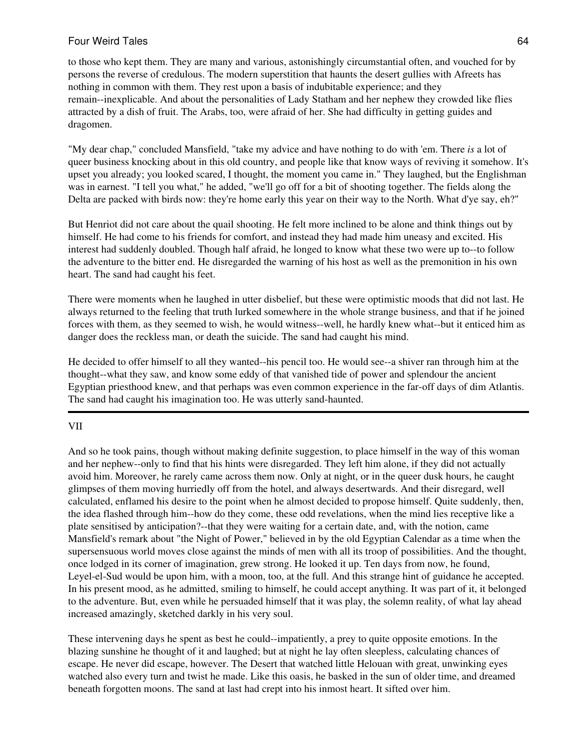to those who kept them. They are many and various, astonishingly circumstantial often, and vouched for by persons the reverse of credulous. The modern superstition that haunts the desert gullies with Afreets has nothing in common with them. They rest upon a basis of indubitable experience; and they remain--inexplicable. And about the personalities of Lady Statham and her nephew they crowded like flies attracted by a dish of fruit. The Arabs, too, were afraid of her. She had difficulty in getting guides and dragomen.

"My dear chap," concluded Mansfield, "take my advice and have nothing to do with 'em. There *is* a lot of queer business knocking about in this old country, and people like that know ways of reviving it somehow. It's upset you already; you looked scared, I thought, the moment you came in." They laughed, but the Englishman was in earnest. "I tell you what," he added, "we'll go off for a bit of shooting together. The fields along the Delta are packed with birds now: they're home early this year on their way to the North. What d'ye say, eh?"

But Henriot did not care about the quail shooting. He felt more inclined to be alone and think things out by himself. He had come to his friends for comfort, and instead they had made him uneasy and excited. His interest had suddenly doubled. Though half afraid, he longed to know what these two were up to--to follow the adventure to the bitter end. He disregarded the warning of his host as well as the premonition in his own heart. The sand had caught his feet.

There were moments when he laughed in utter disbelief, but these were optimistic moods that did not last. He always returned to the feeling that truth lurked somewhere in the whole strange business, and that if he joined forces with them, as they seemed to wish, he would witness--well, he hardly knew what--but it enticed him as danger does the reckless man, or death the suicide. The sand had caught his mind.

He decided to offer himself to all they wanted--his pencil too. He would see--a shiver ran through him at the thought--what they saw, and know some eddy of that vanished tide of power and splendour the ancient Egyptian priesthood knew, and that perhaps was even common experience in the far-off days of dim Atlantis. The sand had caught his imagination too. He was utterly sand-haunted.

#### VII

And so he took pains, though without making definite suggestion, to place himself in the way of this woman and her nephew--only to find that his hints were disregarded. They left him alone, if they did not actually avoid him. Moreover, he rarely came across them now. Only at night, or in the queer dusk hours, he caught glimpses of them moving hurriedly off from the hotel, and always desertwards. And their disregard, well calculated, enflamed his desire to the point when he almost decided to propose himself. Quite suddenly, then, the idea flashed through him--how do they come, these odd revelations, when the mind lies receptive like a plate sensitised by anticipation?--that they were waiting for a certain date, and, with the notion, came Mansfield's remark about "the Night of Power," believed in by the old Egyptian Calendar as a time when the supersensuous world moves close against the minds of men with all its troop of possibilities. And the thought, once lodged in its corner of imagination, grew strong. He looked it up. Ten days from now, he found, Leyel-el-Sud would be upon him, with a moon, too, at the full. And this strange hint of guidance he accepted. In his present mood, as he admitted, smiling to himself, he could accept anything. It was part of it, it belonged to the adventure. But, even while he persuaded himself that it was play, the solemn reality, of what lay ahead increased amazingly, sketched darkly in his very soul.

These intervening days he spent as best he could--impatiently, a prey to quite opposite emotions. In the blazing sunshine he thought of it and laughed; but at night he lay often sleepless, calculating chances of escape. He never did escape, however. The Desert that watched little Helouan with great, unwinking eyes watched also every turn and twist he made. Like this oasis, he basked in the sun of older time, and dreamed beneath forgotten moons. The sand at last had crept into his inmost heart. It sifted over him.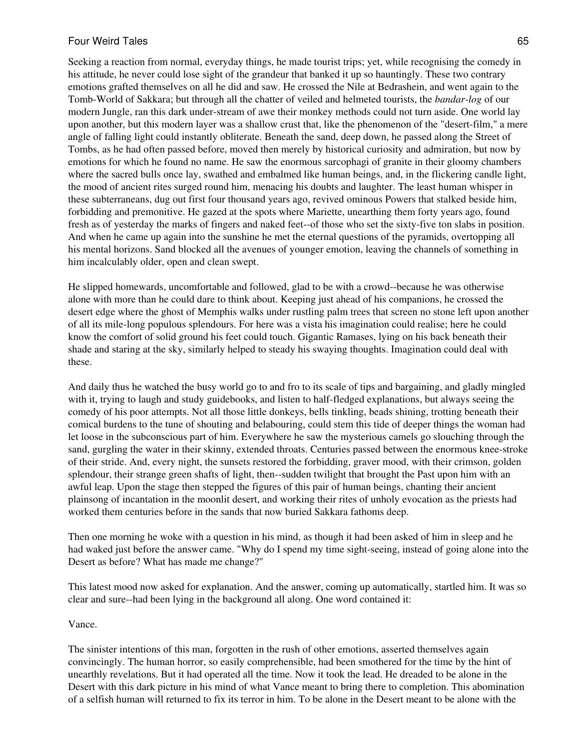Seeking a reaction from normal, everyday things, he made tourist trips; yet, while recognising the comedy in his attitude, he never could lose sight of the grandeur that banked it up so hauntingly. These two contrary emotions grafted themselves on all he did and saw. He crossed the Nile at Bedrashein, and went again to the Tomb-World of Sakkara; but through all the chatter of veiled and helmeted tourists, the *bandar-log* of our modern Jungle, ran this dark under-stream of awe their monkey methods could not turn aside. One world lay upon another, but this modern layer was a shallow crust that, like the phenomenon of the "desert-film," a mere angle of falling light could instantly obliterate. Beneath the sand, deep down, he passed along the Street of Tombs, as he had often passed before, moved then merely by historical curiosity and admiration, but now by emotions for which he found no name. He saw the enormous sarcophagi of granite in their gloomy chambers where the sacred bulls once lay, swathed and embalmed like human beings, and, in the flickering candle light, the mood of ancient rites surged round him, menacing his doubts and laughter. The least human whisper in these subterraneans, dug out first four thousand years ago, revived ominous Powers that stalked beside him, forbidding and premonitive. He gazed at the spots where Mariette, unearthing them forty years ago, found fresh as of yesterday the marks of fingers and naked feet--of those who set the sixty-five ton slabs in position. And when he came up again into the sunshine he met the eternal questions of the pyramids, overtopping all his mental horizons. Sand blocked all the avenues of younger emotion, leaving the channels of something in him incalculably older, open and clean swept.

He slipped homewards, uncomfortable and followed, glad to be with a crowd--because he was otherwise alone with more than he could dare to think about. Keeping just ahead of his companions, he crossed the desert edge where the ghost of Memphis walks under rustling palm trees that screen no stone left upon another of all its mile-long populous splendours. For here was a vista his imagination could realise; here he could know the comfort of solid ground his feet could touch. Gigantic Ramases, lying on his back beneath their shade and staring at the sky, similarly helped to steady his swaying thoughts. Imagination could deal with these.

And daily thus he watched the busy world go to and fro to its scale of tips and bargaining, and gladly mingled with it, trying to laugh and study guidebooks, and listen to half-fledged explanations, but always seeing the comedy of his poor attempts. Not all those little donkeys, bells tinkling, beads shining, trotting beneath their comical burdens to the tune of shouting and belabouring, could stem this tide of deeper things the woman had let loose in the subconscious part of him. Everywhere he saw the mysterious camels go slouching through the sand, gurgling the water in their skinny, extended throats. Centuries passed between the enormous knee-stroke of their stride. And, every night, the sunsets restored the forbidding, graver mood, with their crimson, golden splendour, their strange green shafts of light, then--sudden twilight that brought the Past upon him with an awful leap. Upon the stage then stepped the figures of this pair of human beings, chanting their ancient plainsong of incantation in the moonlit desert, and working their rites of unholy evocation as the priests had worked them centuries before in the sands that now buried Sakkara fathoms deep.

Then one morning he woke with a question in his mind, as though it had been asked of him in sleep and he had waked just before the answer came. "Why do I spend my time sight-seeing, instead of going alone into the Desert as before? What has made me change?"

This latest mood now asked for explanation. And the answer, coming up automatically, startled him. It was so clear and sure--had been lying in the background all along. One word contained it:

#### Vance.

The sinister intentions of this man, forgotten in the rush of other emotions, asserted themselves again convincingly. The human horror, so easily comprehensible, had been smothered for the time by the hint of unearthly revelations. But it had operated all the time. Now it took the lead. He dreaded to be alone in the Desert with this dark picture in his mind of what Vance meant to bring there to completion. This abomination of a selfish human will returned to fix its terror in him. To be alone in the Desert meant to be alone with the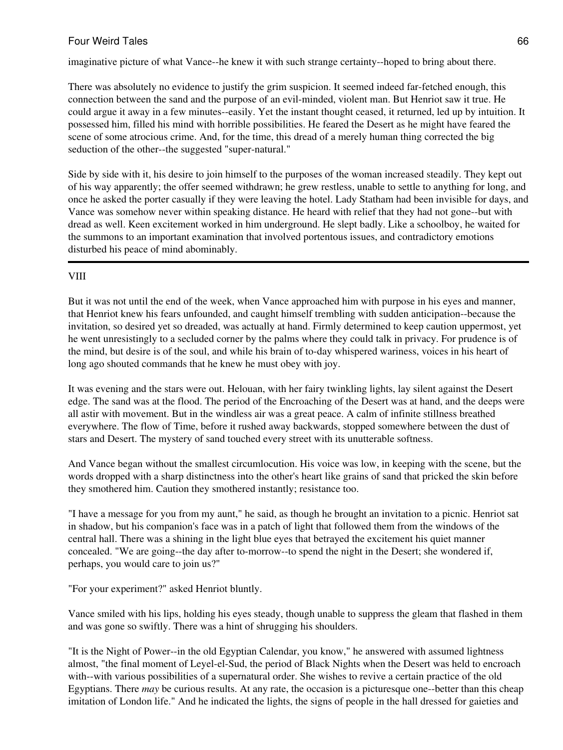imaginative picture of what Vance--he knew it with such strange certainty--hoped to bring about there.

There was absolutely no evidence to justify the grim suspicion. It seemed indeed far-fetched enough, this connection between the sand and the purpose of an evil-minded, violent man. But Henriot saw it true. He could argue it away in a few minutes--easily. Yet the instant thought ceased, it returned, led up by intuition. It possessed him, filled his mind with horrible possibilities. He feared the Desert as he might have feared the scene of some atrocious crime. And, for the time, this dread of a merely human thing corrected the big seduction of the other--the suggested "super-natural."

Side by side with it, his desire to join himself to the purposes of the woman increased steadily. They kept out of his way apparently; the offer seemed withdrawn; he grew restless, unable to settle to anything for long, and once he asked the porter casually if they were leaving the hotel. Lady Statham had been invisible for days, and Vance was somehow never within speaking distance. He heard with relief that they had not gone--but with dread as well. Keen excitement worked in him underground. He slept badly. Like a schoolboy, he waited for the summons to an important examination that involved portentous issues, and contradictory emotions disturbed his peace of mind abominably.

# VIII

But it was not until the end of the week, when Vance approached him with purpose in his eyes and manner, that Henriot knew his fears unfounded, and caught himself trembling with sudden anticipation--because the invitation, so desired yet so dreaded, was actually at hand. Firmly determined to keep caution uppermost, yet he went unresistingly to a secluded corner by the palms where they could talk in privacy. For prudence is of the mind, but desire is of the soul, and while his brain of to-day whispered wariness, voices in his heart of long ago shouted commands that he knew he must obey with joy.

It was evening and the stars were out. Helouan, with her fairy twinkling lights, lay silent against the Desert edge. The sand was at the flood. The period of the Encroaching of the Desert was at hand, and the deeps were all astir with movement. But in the windless air was a great peace. A calm of infinite stillness breathed everywhere. The flow of Time, before it rushed away backwards, stopped somewhere between the dust of stars and Desert. The mystery of sand touched every street with its unutterable softness.

And Vance began without the smallest circumlocution. His voice was low, in keeping with the scene, but the words dropped with a sharp distinctness into the other's heart like grains of sand that pricked the skin before they smothered him. Caution they smothered instantly; resistance too.

"I have a message for you from my aunt," he said, as though he brought an invitation to a picnic. Henriot sat in shadow, but his companion's face was in a patch of light that followed them from the windows of the central hall. There was a shining in the light blue eyes that betrayed the excitement his quiet manner concealed. "We are going--the day after to-morrow--to spend the night in the Desert; she wondered if, perhaps, you would care to join us?"

"For your experiment?" asked Henriot bluntly.

Vance smiled with his lips, holding his eyes steady, though unable to suppress the gleam that flashed in them and was gone so swiftly. There was a hint of shrugging his shoulders.

"It is the Night of Power--in the old Egyptian Calendar, you know," he answered with assumed lightness almost, "the final moment of Leyel-el-Sud, the period of Black Nights when the Desert was held to encroach with--with various possibilities of a supernatural order. She wishes to revive a certain practice of the old Egyptians. There *may* be curious results. At any rate, the occasion is a picturesque one--better than this cheap imitation of London life." And he indicated the lights, the signs of people in the hall dressed for gaieties and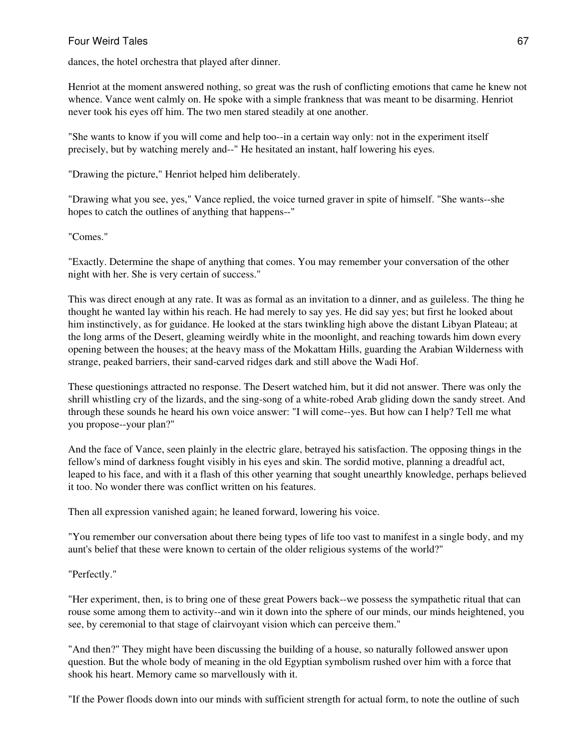dances, the hotel orchestra that played after dinner.

Henriot at the moment answered nothing, so great was the rush of conflicting emotions that came he knew not whence. Vance went calmly on. He spoke with a simple frankness that was meant to be disarming. Henriot never took his eyes off him. The two men stared steadily at one another.

"She wants to know if you will come and help too--in a certain way only: not in the experiment itself precisely, but by watching merely and--" He hesitated an instant, half lowering his eyes.

"Drawing the picture," Henriot helped him deliberately.

"Drawing what you see, yes," Vance replied, the voice turned graver in spite of himself. "She wants--she hopes to catch the outlines of anything that happens--"

"Comes."

"Exactly. Determine the shape of anything that comes. You may remember your conversation of the other night with her. She is very certain of success."

This was direct enough at any rate. It was as formal as an invitation to a dinner, and as guileless. The thing he thought he wanted lay within his reach. He had merely to say yes. He did say yes; but first he looked about him instinctively, as for guidance. He looked at the stars twinkling high above the distant Libyan Plateau; at the long arms of the Desert, gleaming weirdly white in the moonlight, and reaching towards him down every opening between the houses; at the heavy mass of the Mokattam Hills, guarding the Arabian Wilderness with strange, peaked barriers, their sand-carved ridges dark and still above the Wadi Hof.

These questionings attracted no response. The Desert watched him, but it did not answer. There was only the shrill whistling cry of the lizards, and the sing-song of a white-robed Arab gliding down the sandy street. And through these sounds he heard his own voice answer: "I will come--yes. But how can I help? Tell me what you propose--your plan?"

And the face of Vance, seen plainly in the electric glare, betrayed his satisfaction. The opposing things in the fellow's mind of darkness fought visibly in his eyes and skin. The sordid motive, planning a dreadful act, leaped to his face, and with it a flash of this other yearning that sought unearthly knowledge, perhaps believed it too. No wonder there was conflict written on his features.

Then all expression vanished again; he leaned forward, lowering his voice.

"You remember our conversation about there being types of life too vast to manifest in a single body, and my aunt's belief that these were known to certain of the older religious systems of the world?"

"Perfectly."

"Her experiment, then, is to bring one of these great Powers back--we possess the sympathetic ritual that can rouse some among them to activity--and win it down into the sphere of our minds, our minds heightened, you see, by ceremonial to that stage of clairvoyant vision which can perceive them."

"And then?" They might have been discussing the building of a house, so naturally followed answer upon question. But the whole body of meaning in the old Egyptian symbolism rushed over him with a force that shook his heart. Memory came so marvellously with it.

"If the Power floods down into our minds with sufficient strength for actual form, to note the outline of such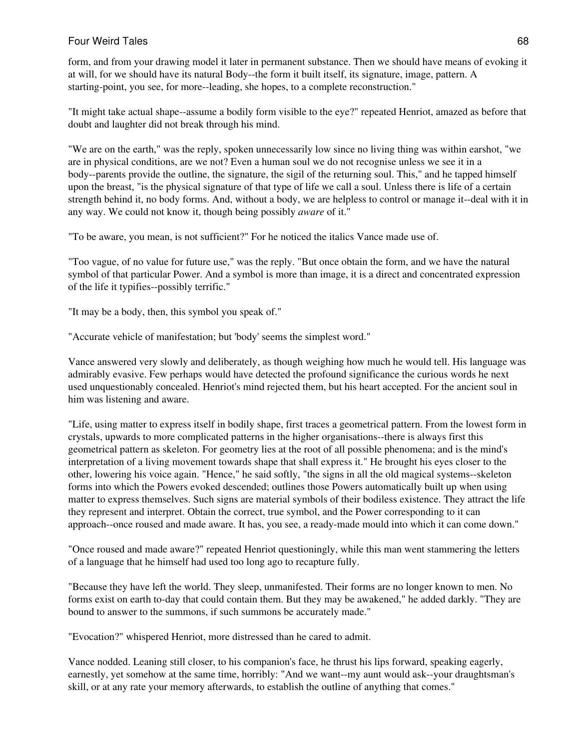form, and from your drawing model it later in permanent substance. Then we should have means of evoking it at will, for we should have its natural Body--the form it built itself, its signature, image, pattern. A starting-point, you see, for more--leading, she hopes, to a complete reconstruction."

"It might take actual shape--assume a bodily form visible to the eye?" repeated Henriot, amazed as before that doubt and laughter did not break through his mind.

"We are on the earth," was the reply, spoken unnecessarily low since no living thing was within earshot, "we are in physical conditions, are we not? Even a human soul we do not recognise unless we see it in a body--parents provide the outline, the signature, the sigil of the returning soul. This," and he tapped himself upon the breast, "is the physical signature of that type of life we call a soul. Unless there is life of a certain strength behind it, no body forms. And, without a body, we are helpless to control or manage it--deal with it in any way. We could not know it, though being possibly *aware* of it."

"To be aware, you mean, is not sufficient?" For he noticed the italics Vance made use of.

"Too vague, of no value for future use," was the reply. "But once obtain the form, and we have the natural symbol of that particular Power. And a symbol is more than image, it is a direct and concentrated expression of the life it typifies--possibly terrific."

"It may be a body, then, this symbol you speak of."

"Accurate vehicle of manifestation; but 'body' seems the simplest word."

Vance answered very slowly and deliberately, as though weighing how much he would tell. His language was admirably evasive. Few perhaps would have detected the profound significance the curious words he next used unquestionably concealed. Henriot's mind rejected them, but his heart accepted. For the ancient soul in him was listening and aware.

"Life, using matter to express itself in bodily shape, first traces a geometrical pattern. From the lowest form in crystals, upwards to more complicated patterns in the higher organisations--there is always first this geometrical pattern as skeleton. For geometry lies at the root of all possible phenomena; and is the mind's interpretation of a living movement towards shape that shall express it." He brought his eyes closer to the other, lowering his voice again. "Hence," he said softly, "the signs in all the old magical systems--skeleton forms into which the Powers evoked descended; outlines those Powers automatically built up when using matter to express themselves. Such signs are material symbols of their bodiless existence. They attract the life they represent and interpret. Obtain the correct, true symbol, and the Power corresponding to it can approach--once roused and made aware. It has, you see, a ready-made mould into which it can come down."

"Once roused and made aware?" repeated Henriot questioningly, while this man went stammering the letters of a language that he himself had used too long ago to recapture fully.

"Because they have left the world. They sleep, unmanifested. Their forms are no longer known to men. No forms exist on earth to-day that could contain them. But they may be awakened," he added darkly. "They are bound to answer to the summons, if such summons be accurately made."

"Evocation?" whispered Henriot, more distressed than he cared to admit.

Vance nodded. Leaning still closer, to his companion's face, he thrust his lips forward, speaking eagerly, earnestly, yet somehow at the same time, horribly: "And we want--my aunt would ask--your draughtsman's skill, or at any rate your memory afterwards, to establish the outline of anything that comes."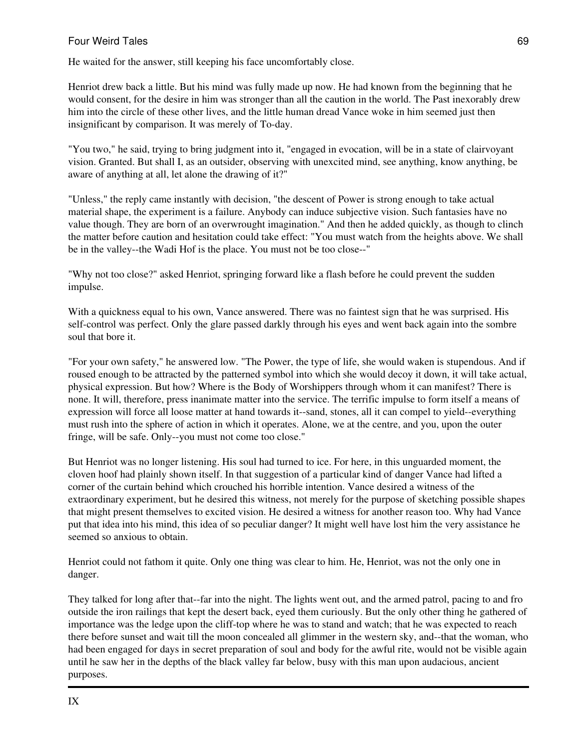He waited for the answer, still keeping his face uncomfortably close.

Henriot drew back a little. But his mind was fully made up now. He had known from the beginning that he would consent, for the desire in him was stronger than all the caution in the world. The Past inexorably drew him into the circle of these other lives, and the little human dread Vance woke in him seemed just then insignificant by comparison. It was merely of To-day.

"You two," he said, trying to bring judgment into it, "engaged in evocation, will be in a state of clairvoyant vision. Granted. But shall I, as an outsider, observing with unexcited mind, see anything, know anything, be aware of anything at all, let alone the drawing of it?"

"Unless," the reply came instantly with decision, "the descent of Power is strong enough to take actual material shape, the experiment is a failure. Anybody can induce subjective vision. Such fantasies have no value though. They are born of an overwrought imagination." And then he added quickly, as though to clinch the matter before caution and hesitation could take effect: "You must watch from the heights above. We shall be in the valley--the Wadi Hof is the place. You must not be too close--"

"Why not too close?" asked Henriot, springing forward like a flash before he could prevent the sudden impulse.

With a quickness equal to his own, Vance answered. There was no faintest sign that he was surprised. His self-control was perfect. Only the glare passed darkly through his eyes and went back again into the sombre soul that bore it.

"For your own safety," he answered low. "The Power, the type of life, she would waken is stupendous. And if roused enough to be attracted by the patterned symbol into which she would decoy it down, it will take actual, physical expression. But how? Where is the Body of Worshippers through whom it can manifest? There is none. It will, therefore, press inanimate matter into the service. The terrific impulse to form itself a means of expression will force all loose matter at hand towards it--sand, stones, all it can compel to yield--everything must rush into the sphere of action in which it operates. Alone, we at the centre, and you, upon the outer fringe, will be safe. Only--you must not come too close."

But Henriot was no longer listening. His soul had turned to ice. For here, in this unguarded moment, the cloven hoof had plainly shown itself. In that suggestion of a particular kind of danger Vance had lifted a corner of the curtain behind which crouched his horrible intention. Vance desired a witness of the extraordinary experiment, but he desired this witness, not merely for the purpose of sketching possible shapes that might present themselves to excited vision. He desired a witness for another reason too. Why had Vance put that idea into his mind, this idea of so peculiar danger? It might well have lost him the very assistance he seemed so anxious to obtain.

Henriot could not fathom it quite. Only one thing was clear to him. He, Henriot, was not the only one in danger.

They talked for long after that--far into the night. The lights went out, and the armed patrol, pacing to and fro outside the iron railings that kept the desert back, eyed them curiously. But the only other thing he gathered of importance was the ledge upon the cliff-top where he was to stand and watch; that he was expected to reach there before sunset and wait till the moon concealed all glimmer in the western sky, and--that the woman, who had been engaged for days in secret preparation of soul and body for the awful rite, would not be visible again until he saw her in the depths of the black valley far below, busy with this man upon audacious, ancient purposes.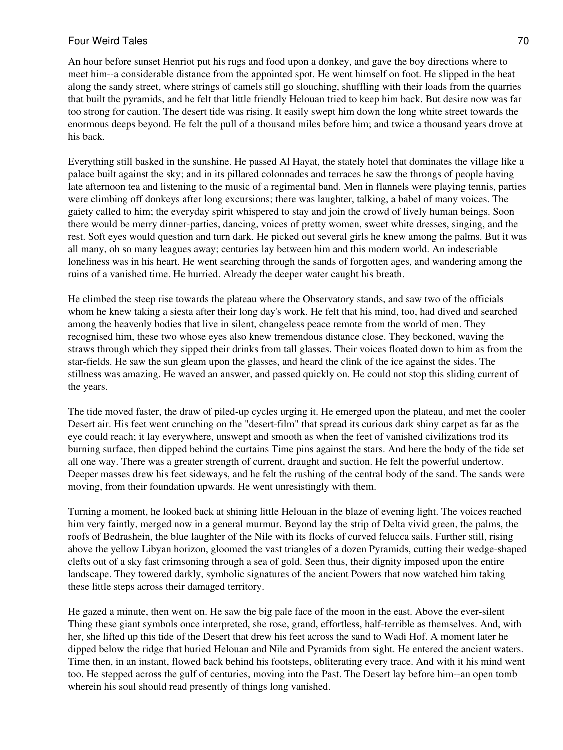An hour before sunset Henriot put his rugs and food upon a donkey, and gave the boy directions where to meet him--a considerable distance from the appointed spot. He went himself on foot. He slipped in the heat along the sandy street, where strings of camels still go slouching, shuffling with their loads from the quarries that built the pyramids, and he felt that little friendly Helouan tried to keep him back. But desire now was far too strong for caution. The desert tide was rising. It easily swept him down the long white street towards the enormous deeps beyond. He felt the pull of a thousand miles before him; and twice a thousand years drove at his back.

Everything still basked in the sunshine. He passed Al Hayat, the stately hotel that dominates the village like a palace built against the sky; and in its pillared colonnades and terraces he saw the throngs of people having late afternoon tea and listening to the music of a regimental band. Men in flannels were playing tennis, parties were climbing off donkeys after long excursions; there was laughter, talking, a babel of many voices. The gaiety called to him; the everyday spirit whispered to stay and join the crowd of lively human beings. Soon there would be merry dinner-parties, dancing, voices of pretty women, sweet white dresses, singing, and the rest. Soft eyes would question and turn dark. He picked out several girls he knew among the palms. But it was all many, oh so many leagues away; centuries lay between him and this modern world. An indescriable loneliness was in his heart. He went searching through the sands of forgotten ages, and wandering among the ruins of a vanished time. He hurried. Already the deeper water caught his breath.

He climbed the steep rise towards the plateau where the Observatory stands, and saw two of the officials whom he knew taking a siesta after their long day's work. He felt that his mind, too, had dived and searched among the heavenly bodies that live in silent, changeless peace remote from the world of men. They recognised him, these two whose eyes also knew tremendous distance close. They beckoned, waving the straws through which they sipped their drinks from tall glasses. Their voices floated down to him as from the star-fields. He saw the sun gleam upon the glasses, and heard the clink of the ice against the sides. The stillness was amazing. He waved an answer, and passed quickly on. He could not stop this sliding current of the years.

The tide moved faster, the draw of piled-up cycles urging it. He emerged upon the plateau, and met the cooler Desert air. His feet went crunching on the "desert-film" that spread its curious dark shiny carpet as far as the eye could reach; it lay everywhere, unswept and smooth as when the feet of vanished civilizations trod its burning surface, then dipped behind the curtains Time pins against the stars. And here the body of the tide set all one way. There was a greater strength of current, draught and suction. He felt the powerful undertow. Deeper masses drew his feet sideways, and he felt the rushing of the central body of the sand. The sands were moving, from their foundation upwards. He went unresistingly with them.

Turning a moment, he looked back at shining little Helouan in the blaze of evening light. The voices reached him very faintly, merged now in a general murmur. Beyond lay the strip of Delta vivid green, the palms, the roofs of Bedrashein, the blue laughter of the Nile with its flocks of curved felucca sails. Further still, rising above the yellow Libyan horizon, gloomed the vast triangles of a dozen Pyramids, cutting their wedge-shaped clefts out of a sky fast crimsoning through a sea of gold. Seen thus, their dignity imposed upon the entire landscape. They towered darkly, symbolic signatures of the ancient Powers that now watched him taking these little steps across their damaged territory.

He gazed a minute, then went on. He saw the big pale face of the moon in the east. Above the ever-silent Thing these giant symbols once interpreted, she rose, grand, effortless, half-terrible as themselves. And, with her, she lifted up this tide of the Desert that drew his feet across the sand to Wadi Hof. A moment later he dipped below the ridge that buried Helouan and Nile and Pyramids from sight. He entered the ancient waters. Time then, in an instant, flowed back behind his footsteps, obliterating every trace. And with it his mind went too. He stepped across the gulf of centuries, moving into the Past. The Desert lay before him--an open tomb wherein his soul should read presently of things long vanished.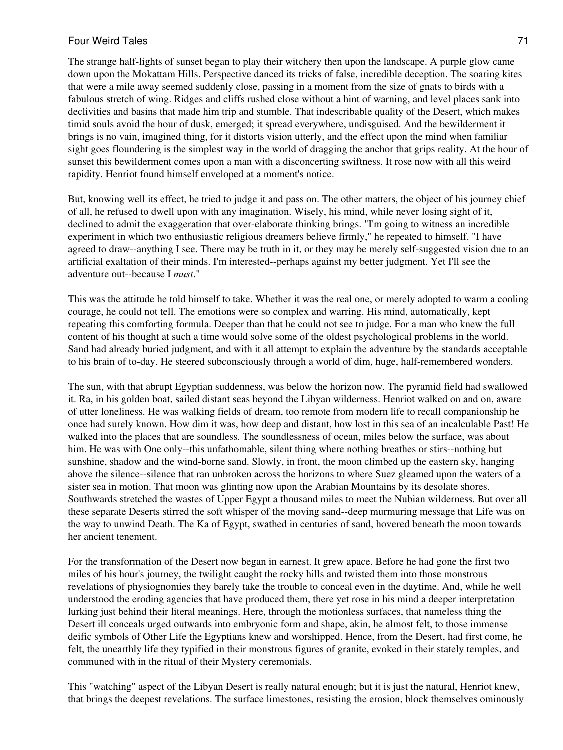The strange half-lights of sunset began to play their witchery then upon the landscape. A purple glow came down upon the Mokattam Hills. Perspective danced its tricks of false, incredible deception. The soaring kites that were a mile away seemed suddenly close, passing in a moment from the size of gnats to birds with a fabulous stretch of wing. Ridges and cliffs rushed close without a hint of warning, and level places sank into declivities and basins that made him trip and stumble. That indescribable quality of the Desert, which makes timid souls avoid the hour of dusk, emerged; it spread everywhere, undisguised. And the bewilderment it brings is no vain, imagined thing, for it distorts vision utterly, and the effect upon the mind when familiar sight goes floundering is the simplest way in the world of dragging the anchor that grips reality. At the hour of sunset this bewilderment comes upon a man with a disconcerting swiftness. It rose now with all this weird rapidity. Henriot found himself enveloped at a moment's notice.

But, knowing well its effect, he tried to judge it and pass on. The other matters, the object of his journey chief of all, he refused to dwell upon with any imagination. Wisely, his mind, while never losing sight of it, declined to admit the exaggeration that over-elaborate thinking brings. "I'm going to witness an incredible experiment in which two enthusiastic religious dreamers believe firmly," he repeated to himself. "I have agreed to draw--anything I see. There may be truth in it, or they may be merely self-suggested vision due to an artificial exaltation of their minds. I'm interested--perhaps against my better judgment. Yet I'll see the adventure out--because I *must*."

This was the attitude he told himself to take. Whether it was the real one, or merely adopted to warm a cooling courage, he could not tell. The emotions were so complex and warring. His mind, automatically, kept repeating this comforting formula. Deeper than that he could not see to judge. For a man who knew the full content of his thought at such a time would solve some of the oldest psychological problems in the world. Sand had already buried judgment, and with it all attempt to explain the adventure by the standards acceptable to his brain of to-day. He steered subconsciously through a world of dim, huge, half-remembered wonders.

The sun, with that abrupt Egyptian suddenness, was below the horizon now. The pyramid field had swallowed it. Ra, in his golden boat, sailed distant seas beyond the Libyan wilderness. Henriot walked on and on, aware of utter loneliness. He was walking fields of dream, too remote from modern life to recall companionship he once had surely known. How dim it was, how deep and distant, how lost in this sea of an incalculable Past! He walked into the places that are soundless. The soundlessness of ocean, miles below the surface, was about him. He was with One only--this unfathomable, silent thing where nothing breathes or stirs--nothing but sunshine, shadow and the wind-borne sand. Slowly, in front, the moon climbed up the eastern sky, hanging above the silence--silence that ran unbroken across the horizons to where Suez gleamed upon the waters of a sister sea in motion. That moon was glinting now upon the Arabian Mountains by its desolate shores. Southwards stretched the wastes of Upper Egypt a thousand miles to meet the Nubian wilderness. But over all these separate Deserts stirred the soft whisper of the moving sand--deep murmuring message that Life was on the way to unwind Death. The Ka of Egypt, swathed in centuries of sand, hovered beneath the moon towards her ancient tenement.

For the transformation of the Desert now began in earnest. It grew apace. Before he had gone the first two miles of his hour's journey, the twilight caught the rocky hills and twisted them into those monstrous revelations of physiognomies they barely take the trouble to conceal even in the daytime. And, while he well understood the eroding agencies that have produced them, there yet rose in his mind a deeper interpretation lurking just behind their literal meanings. Here, through the motionless surfaces, that nameless thing the Desert ill conceals urged outwards into embryonic form and shape, akin, he almost felt, to those immense deific symbols of Other Life the Egyptians knew and worshipped. Hence, from the Desert, had first come, he felt, the unearthly life they typified in their monstrous figures of granite, evoked in their stately temples, and communed with in the ritual of their Mystery ceremonials.

This "watching" aspect of the Libyan Desert is really natural enough; but it is just the natural, Henriot knew, that brings the deepest revelations. The surface limestones, resisting the erosion, block themselves ominously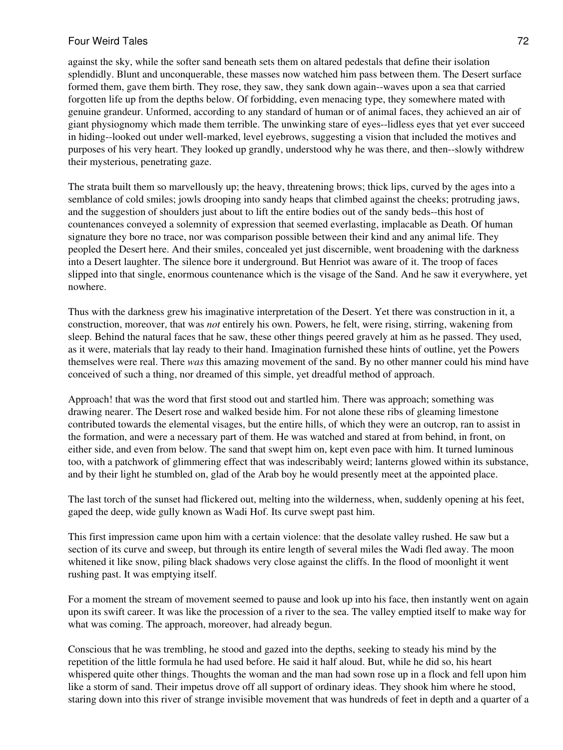against the sky, while the softer sand beneath sets them on altared pedestals that define their isolation splendidly. Blunt and unconquerable, these masses now watched him pass between them. The Desert surface formed them, gave them birth. They rose, they saw, they sank down again--waves upon a sea that carried forgotten life up from the depths below. Of forbidding, even menacing type, they somewhere mated with genuine grandeur. Unformed, according to any standard of human or of animal faces, they achieved an air of giant physiognomy which made them terrible. The unwinking stare of eyes--lidless eyes that yet ever succeed in hiding--looked out under well-marked, level eyebrows, suggesting a vision that included the motives and purposes of his very heart. They looked up grandly, understood why he was there, and then--slowly withdrew their mysterious, penetrating gaze.

The strata built them so marvellously up; the heavy, threatening brows; thick lips, curved by the ages into a semblance of cold smiles; jowls drooping into sandy heaps that climbed against the cheeks; protruding jaws, and the suggestion of shoulders just about to lift the entire bodies out of the sandy beds--this host of countenances conveyed a solemnity of expression that seemed everlasting, implacable as Death. Of human signature they bore no trace, nor was comparison possible between their kind and any animal life. They peopled the Desert here. And their smiles, concealed yet just discernible, went broadening with the darkness into a Desert laughter. The silence bore it underground. But Henriot was aware of it. The troop of faces slipped into that single, enormous countenance which is the visage of the Sand. And he saw it everywhere, yet nowhere.

Thus with the darkness grew his imaginative interpretation of the Desert. Yet there was construction in it, a construction, moreover, that was *not* entirely his own. Powers, he felt, were rising, stirring, wakening from sleep. Behind the natural faces that he saw, these other things peered gravely at him as he passed. They used, as it were, materials that lay ready to their hand. Imagination furnished these hints of outline, yet the Powers themselves were real. There *was* this amazing movement of the sand. By no other manner could his mind have conceived of such a thing, nor dreamed of this simple, yet dreadful method of approach.

Approach! that was the word that first stood out and startled him. There was approach; something was drawing nearer. The Desert rose and walked beside him. For not alone these ribs of gleaming limestone contributed towards the elemental visages, but the entire hills, of which they were an outcrop, ran to assist in the formation, and were a necessary part of them. He was watched and stared at from behind, in front, on either side, and even from below. The sand that swept him on, kept even pace with him. It turned luminous too, with a patchwork of glimmering effect that was indescribably weird; lanterns glowed within its substance, and by their light he stumbled on, glad of the Arab boy he would presently meet at the appointed place.

The last torch of the sunset had flickered out, melting into the wilderness, when, suddenly opening at his feet, gaped the deep, wide gully known as Wadi Hof. Its curve swept past him.

This first impression came upon him with a certain violence: that the desolate valley rushed. He saw but a section of its curve and sweep, but through its entire length of several miles the Wadi fled away. The moon whitened it like snow, piling black shadows very close against the cliffs. In the flood of moonlight it went rushing past. It was emptying itself.

For a moment the stream of movement seemed to pause and look up into his face, then instantly went on again upon its swift career. It was like the procession of a river to the sea. The valley emptied itself to make way for what was coming. The approach, moreover, had already begun.

Conscious that he was trembling, he stood and gazed into the depths, seeking to steady his mind by the repetition of the little formula he had used before. He said it half aloud. But, while he did so, his heart whispered quite other things. Thoughts the woman and the man had sown rose up in a flock and fell upon him like a storm of sand. Their impetus drove off all support of ordinary ideas. They shook him where he stood, staring down into this river of strange invisible movement that was hundreds of feet in depth and a quarter of a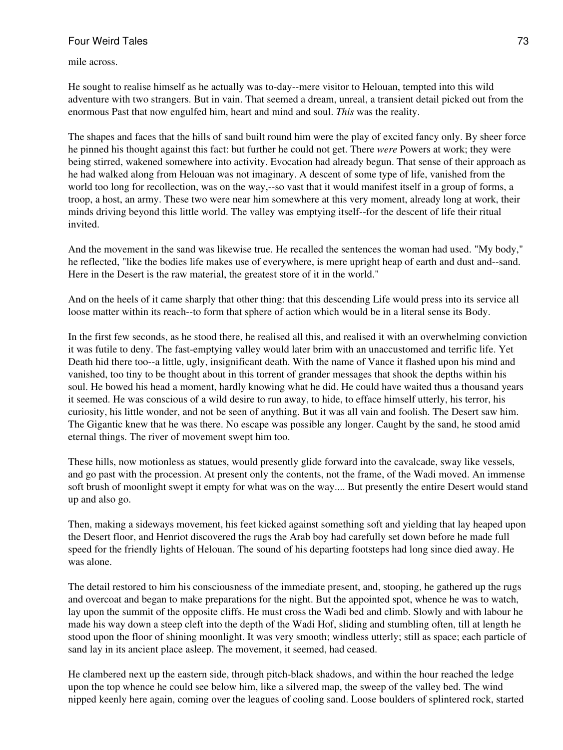mile across.

He sought to realise himself as he actually was to-day--mere visitor to Helouan, tempted into this wild adventure with two strangers. But in vain. That seemed a dream, unreal, a transient detail picked out from the enormous Past that now engulfed him, heart and mind and soul. *This* was the reality.

The shapes and faces that the hills of sand built round him were the play of excited fancy only. By sheer force he pinned his thought against this fact: but further he could not get. There *were* Powers at work; they were being stirred, wakened somewhere into activity. Evocation had already begun. That sense of their approach as he had walked along from Helouan was not imaginary. A descent of some type of life, vanished from the world too long for recollection, was on the way,--so vast that it would manifest itself in a group of forms, a troop, a host, an army. These two were near him somewhere at this very moment, already long at work, their minds driving beyond this little world. The valley was emptying itself--for the descent of life their ritual invited.

And the movement in the sand was likewise true. He recalled the sentences the woman had used. "My body," he reflected, "like the bodies life makes use of everywhere, is mere upright heap of earth and dust and--sand. Here in the Desert is the raw material, the greatest store of it in the world."

And on the heels of it came sharply that other thing: that this descending Life would press into its service all loose matter within its reach--to form that sphere of action which would be in a literal sense its Body.

In the first few seconds, as he stood there, he realised all this, and realised it with an overwhelming conviction it was futile to deny. The fast-emptying valley would later brim with an unaccustomed and terrific life. Yet Death hid there too--a little, ugly, insignificant death. With the name of Vance it flashed upon his mind and vanished, too tiny to be thought about in this torrent of grander messages that shook the depths within his soul. He bowed his head a moment, hardly knowing what he did. He could have waited thus a thousand years it seemed. He was conscious of a wild desire to run away, to hide, to efface himself utterly, his terror, his curiosity, his little wonder, and not be seen of anything. But it was all vain and foolish. The Desert saw him. The Gigantic knew that he was there. No escape was possible any longer. Caught by the sand, he stood amid eternal things. The river of movement swept him too.

These hills, now motionless as statues, would presently glide forward into the cavalcade, sway like vessels, and go past with the procession. At present only the contents, not the frame, of the Wadi moved. An immense soft brush of moonlight swept it empty for what was on the way.... But presently the entire Desert would stand up and also go.

Then, making a sideways movement, his feet kicked against something soft and yielding that lay heaped upon the Desert floor, and Henriot discovered the rugs the Arab boy had carefully set down before he made full speed for the friendly lights of Helouan. The sound of his departing footsteps had long since died away. He was alone.

The detail restored to him his consciousness of the immediate present, and, stooping, he gathered up the rugs and overcoat and began to make preparations for the night. But the appointed spot, whence he was to watch, lay upon the summit of the opposite cliffs. He must cross the Wadi bed and climb. Slowly and with labour he made his way down a steep cleft into the depth of the Wadi Hof, sliding and stumbling often, till at length he stood upon the floor of shining moonlight. It was very smooth; windless utterly; still as space; each particle of sand lay in its ancient place asleep. The movement, it seemed, had ceased.

He clambered next up the eastern side, through pitch-black shadows, and within the hour reached the ledge upon the top whence he could see below him, like a silvered map, the sweep of the valley bed. The wind nipped keenly here again, coming over the leagues of cooling sand. Loose boulders of splintered rock, started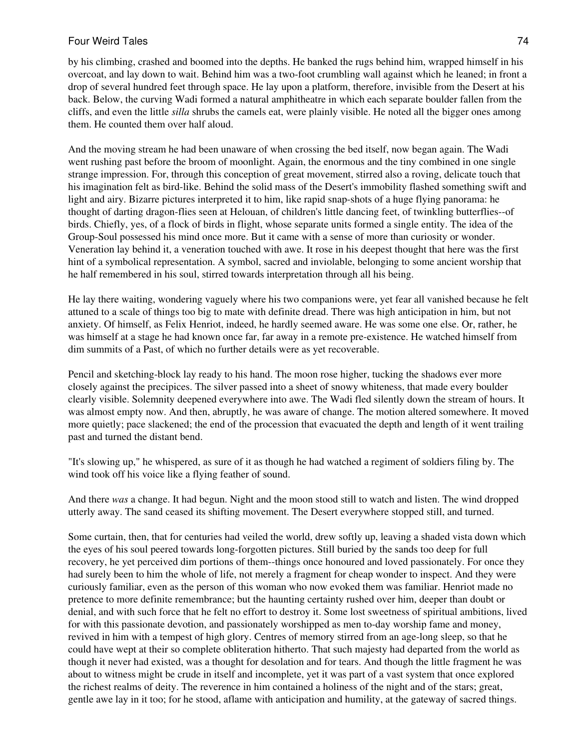by his climbing, crashed and boomed into the depths. He banked the rugs behind him, wrapped himself in his overcoat, and lay down to wait. Behind him was a two-foot crumbling wall against which he leaned; in front a drop of several hundred feet through space. He lay upon a platform, therefore, invisible from the Desert at his back. Below, the curving Wadi formed a natural amphitheatre in which each separate boulder fallen from the cliffs, and even the little *silla* shrubs the camels eat, were plainly visible. He noted all the bigger ones among them. He counted them over half aloud.

And the moving stream he had been unaware of when crossing the bed itself, now began again. The Wadi went rushing past before the broom of moonlight. Again, the enormous and the tiny combined in one single strange impression. For, through this conception of great movement, stirred also a roving, delicate touch that his imagination felt as bird-like. Behind the solid mass of the Desert's immobility flashed something swift and light and airy. Bizarre pictures interpreted it to him, like rapid snap-shots of a huge flying panorama: he thought of darting dragon-flies seen at Helouan, of children's little dancing feet, of twinkling butterflies--of birds. Chiefly, yes, of a flock of birds in flight, whose separate units formed a single entity. The idea of the Group-Soul possessed his mind once more. But it came with a sense of more than curiosity or wonder. Veneration lay behind it, a veneration touched with awe. It rose in his deepest thought that here was the first hint of a symbolical representation. A symbol, sacred and inviolable, belonging to some ancient worship that he half remembered in his soul, stirred towards interpretation through all his being.

He lay there waiting, wondering vaguely where his two companions were, yet fear all vanished because he felt attuned to a scale of things too big to mate with definite dread. There was high anticipation in him, but not anxiety. Of himself, as Felix Henriot, indeed, he hardly seemed aware. He was some one else. Or, rather, he was himself at a stage he had known once far, far away in a remote pre-existence. He watched himself from dim summits of a Past, of which no further details were as yet recoverable.

Pencil and sketching-block lay ready to his hand. The moon rose higher, tucking the shadows ever more closely against the precipices. The silver passed into a sheet of snowy whiteness, that made every boulder clearly visible. Solemnity deepened everywhere into awe. The Wadi fled silently down the stream of hours. It was almost empty now. And then, abruptly, he was aware of change. The motion altered somewhere. It moved more quietly; pace slackened; the end of the procession that evacuated the depth and length of it went trailing past and turned the distant bend.

"It's slowing up," he whispered, as sure of it as though he had watched a regiment of soldiers filing by. The wind took off his voice like a flying feather of sound.

And there *was* a change. It had begun. Night and the moon stood still to watch and listen. The wind dropped utterly away. The sand ceased its shifting movement. The Desert everywhere stopped still, and turned.

Some curtain, then, that for centuries had veiled the world, drew softly up, leaving a shaded vista down which the eyes of his soul peered towards long-forgotten pictures. Still buried by the sands too deep for full recovery, he yet perceived dim portions of them--things once honoured and loved passionately. For once they had surely been to him the whole of life, not merely a fragment for cheap wonder to inspect. And they were curiously familiar, even as the person of this woman who now evoked them was familiar. Henriot made no pretence to more definite remembrance; but the haunting certainty rushed over him, deeper than doubt or denial, and with such force that he felt no effort to destroy it. Some lost sweetness of spiritual ambitions, lived for with this passionate devotion, and passionately worshipped as men to-day worship fame and money, revived in him with a tempest of high glory. Centres of memory stirred from an age-long sleep, so that he could have wept at their so complete obliteration hitherto. That such majesty had departed from the world as though it never had existed, was a thought for desolation and for tears. And though the little fragment he was about to witness might be crude in itself and incomplete, yet it was part of a vast system that once explored the richest realms of deity. The reverence in him contained a holiness of the night and of the stars; great, gentle awe lay in it too; for he stood, aflame with anticipation and humility, at the gateway of sacred things.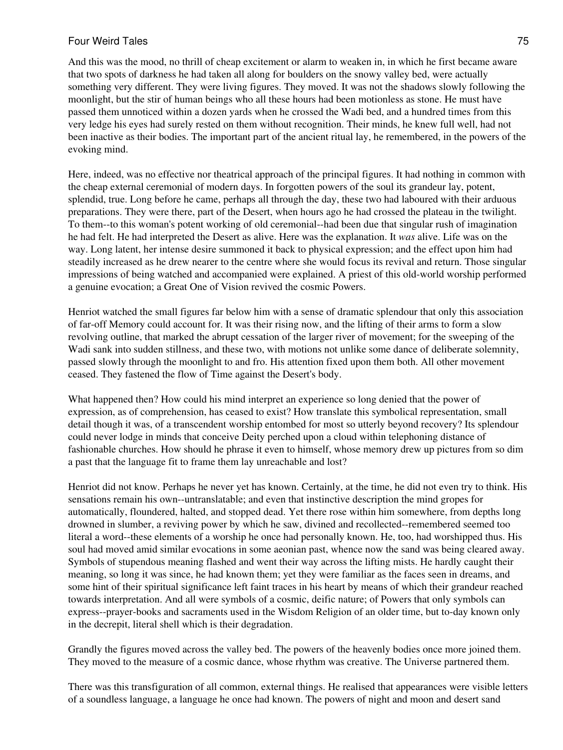And this was the mood, no thrill of cheap excitement or alarm to weaken in, in which he first became aware that two spots of darkness he had taken all along for boulders on the snowy valley bed, were actually something very different. They were living figures. They moved. It was not the shadows slowly following the moonlight, but the stir of human beings who all these hours had been motionless as stone. He must have passed them unnoticed within a dozen yards when he crossed the Wadi bed, and a hundred times from this very ledge his eyes had surely rested on them without recognition. Their minds, he knew full well, had not been inactive as their bodies. The important part of the ancient ritual lay, he remembered, in the powers of the evoking mind.

Here, indeed, was no effective nor theatrical approach of the principal figures. It had nothing in common with the cheap external ceremonial of modern days. In forgotten powers of the soul its grandeur lay, potent, splendid, true. Long before he came, perhaps all through the day, these two had laboured with their arduous preparations. They were there, part of the Desert, when hours ago he had crossed the plateau in the twilight. To them--to this woman's potent working of old ceremonial--had been due that singular rush of imagination he had felt. He had interpreted the Desert as alive. Here was the explanation. It *was* alive. Life was on the way. Long latent, her intense desire summoned it back to physical expression; and the effect upon him had steadily increased as he drew nearer to the centre where she would focus its revival and return. Those singular impressions of being watched and accompanied were explained. A priest of this old-world worship performed a genuine evocation; a Great One of Vision revived the cosmic Powers.

Henriot watched the small figures far below him with a sense of dramatic splendour that only this association of far-off Memory could account for. It was their rising now, and the lifting of their arms to form a slow revolving outline, that marked the abrupt cessation of the larger river of movement; for the sweeping of the Wadi sank into sudden stillness, and these two, with motions not unlike some dance of deliberate solemnity, passed slowly through the moonlight to and fro. His attention fixed upon them both. All other movement ceased. They fastened the flow of Time against the Desert's body.

What happened then? How could his mind interpret an experience so long denied that the power of expression, as of comprehension, has ceased to exist? How translate this symbolical representation, small detail though it was, of a transcendent worship entombed for most so utterly beyond recovery? Its splendour could never lodge in minds that conceive Deity perched upon a cloud within telephoning distance of fashionable churches. How should he phrase it even to himself, whose memory drew up pictures from so dim a past that the language fit to frame them lay unreachable and lost?

Henriot did not know. Perhaps he never yet has known. Certainly, at the time, he did not even try to think. His sensations remain his own--untranslatable; and even that instinctive description the mind gropes for automatically, floundered, halted, and stopped dead. Yet there rose within him somewhere, from depths long drowned in slumber, a reviving power by which he saw, divined and recollected--remembered seemed too literal a word--these elements of a worship he once had personally known. He, too, had worshipped thus. His soul had moved amid similar evocations in some aeonian past, whence now the sand was being cleared away. Symbols of stupendous meaning flashed and went their way across the lifting mists. He hardly caught their meaning, so long it was since, he had known them; yet they were familiar as the faces seen in dreams, and some hint of their spiritual significance left faint traces in his heart by means of which their grandeur reached towards interpretation. And all were symbols of a cosmic, deific nature; of Powers that only symbols can express--prayer-books and sacraments used in the Wisdom Religion of an older time, but to-day known only in the decrepit, literal shell which is their degradation.

Grandly the figures moved across the valley bed. The powers of the heavenly bodies once more joined them. They moved to the measure of a cosmic dance, whose rhythm was creative. The Universe partnered them.

There was this transfiguration of all common, external things. He realised that appearances were visible letters of a soundless language, a language he once had known. The powers of night and moon and desert sand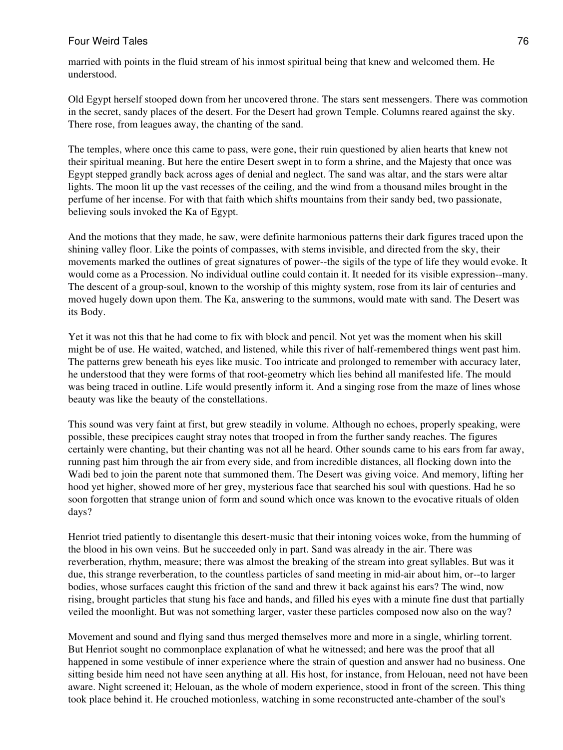married with points in the fluid stream of his inmost spiritual being that knew and welcomed them. He understood.

Old Egypt herself stooped down from her uncovered throne. The stars sent messengers. There was commotion in the secret, sandy places of the desert. For the Desert had grown Temple. Columns reared against the sky. There rose, from leagues away, the chanting of the sand.

The temples, where once this came to pass, were gone, their ruin questioned by alien hearts that knew not their spiritual meaning. But here the entire Desert swept in to form a shrine, and the Majesty that once was Egypt stepped grandly back across ages of denial and neglect. The sand was altar, and the stars were altar lights. The moon lit up the vast recesses of the ceiling, and the wind from a thousand miles brought in the perfume of her incense. For with that faith which shifts mountains from their sandy bed, two passionate, believing souls invoked the Ka of Egypt.

And the motions that they made, he saw, were definite harmonious patterns their dark figures traced upon the shining valley floor. Like the points of compasses, with stems invisible, and directed from the sky, their movements marked the outlines of great signatures of power--the sigils of the type of life they would evoke. It would come as a Procession. No individual outline could contain it. It needed for its visible expression--many. The descent of a group-soul, known to the worship of this mighty system, rose from its lair of centuries and moved hugely down upon them. The Ka, answering to the summons, would mate with sand. The Desert was its Body.

Yet it was not this that he had come to fix with block and pencil. Not yet was the moment when his skill might be of use. He waited, watched, and listened, while this river of half-remembered things went past him. The patterns grew beneath his eyes like music. Too intricate and prolonged to remember with accuracy later, he understood that they were forms of that root-geometry which lies behind all manifested life. The mould was being traced in outline. Life would presently inform it. And a singing rose from the maze of lines whose beauty was like the beauty of the constellations.

This sound was very faint at first, but grew steadily in volume. Although no echoes, properly speaking, were possible, these precipices caught stray notes that trooped in from the further sandy reaches. The figures certainly were chanting, but their chanting was not all he heard. Other sounds came to his ears from far away, running past him through the air from every side, and from incredible distances, all flocking down into the Wadi bed to join the parent note that summoned them. The Desert was giving voice. And memory, lifting her hood yet higher, showed more of her grey, mysterious face that searched his soul with questions. Had he so soon forgotten that strange union of form and sound which once was known to the evocative rituals of olden days?

Henriot tried patiently to disentangle this desert-music that their intoning voices woke, from the humming of the blood in his own veins. But he succeeded only in part. Sand was already in the air. There was reverberation, rhythm, measure; there was almost the breaking of the stream into great syllables. But was it due, this strange reverberation, to the countless particles of sand meeting in mid-air about him, or--to larger bodies, whose surfaces caught this friction of the sand and threw it back against his ears? The wind, now rising, brought particles that stung his face and hands, and filled his eyes with a minute fine dust that partially veiled the moonlight. But was not something larger, vaster these particles composed now also on the way?

Movement and sound and flying sand thus merged themselves more and more in a single, whirling torrent. But Henriot sought no commonplace explanation of what he witnessed; and here was the proof that all happened in some vestibule of inner experience where the strain of question and answer had no business. One sitting beside him need not have seen anything at all. His host, for instance, from Helouan, need not have been aware. Night screened it; Helouan, as the whole of modern experience, stood in front of the screen. This thing took place behind it. He crouched motionless, watching in some reconstructed ante-chamber of the soul's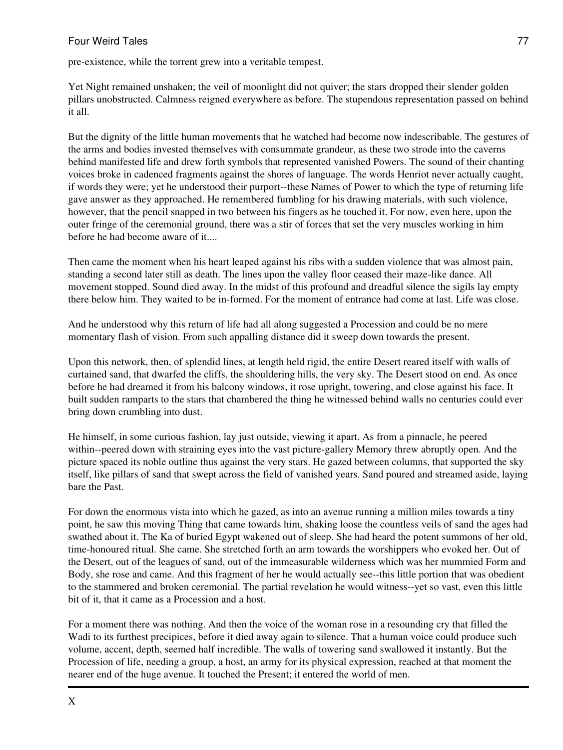pre-existence, while the torrent grew into a veritable tempest.

Yet Night remained unshaken; the veil of moonlight did not quiver; the stars dropped their slender golden pillars unobstructed. Calmness reigned everywhere as before. The stupendous representation passed on behind it all.

But the dignity of the little human movements that he watched had become now indescribable. The gestures of the arms and bodies invested themselves with consummate grandeur, as these two strode into the caverns behind manifested life and drew forth symbols that represented vanished Powers. The sound of their chanting voices broke in cadenced fragments against the shores of language. The words Henriot never actually caught, if words they were; yet he understood their purport--these Names of Power to which the type of returning life gave answer as they approached. He remembered fumbling for his drawing materials, with such violence, however, that the pencil snapped in two between his fingers as he touched it. For now, even here, upon the outer fringe of the ceremonial ground, there was a stir of forces that set the very muscles working in him before he had become aware of it....

Then came the moment when his heart leaped against his ribs with a sudden violence that was almost pain, standing a second later still as death. The lines upon the valley floor ceased their maze-like dance. All movement stopped. Sound died away. In the midst of this profound and dreadful silence the sigils lay empty there below him. They waited to be in-formed. For the moment of entrance had come at last. Life was close.

And he understood why this return of life had all along suggested a Procession and could be no mere momentary flash of vision. From such appalling distance did it sweep down towards the present.

Upon this network, then, of splendid lines, at length held rigid, the entire Desert reared itself with walls of curtained sand, that dwarfed the cliffs, the shouldering hills, the very sky. The Desert stood on end. As once before he had dreamed it from his balcony windows, it rose upright, towering, and close against his face. It built sudden ramparts to the stars that chambered the thing he witnessed behind walls no centuries could ever bring down crumbling into dust.

He himself, in some curious fashion, lay just outside, viewing it apart. As from a pinnacle, he peered within--peered down with straining eyes into the vast picture-gallery Memory threw abruptly open. And the picture spaced its noble outline thus against the very stars. He gazed between columns, that supported the sky itself, like pillars of sand that swept across the field of vanished years. Sand poured and streamed aside, laying bare the Past.

For down the enormous vista into which he gazed, as into an avenue running a million miles towards a tiny point, he saw this moving Thing that came towards him, shaking loose the countless veils of sand the ages had swathed about it. The Ka of buried Egypt wakened out of sleep. She had heard the potent summons of her old, time-honoured ritual. She came. She stretched forth an arm towards the worshippers who evoked her. Out of the Desert, out of the leagues of sand, out of the immeasurable wilderness which was her mummied Form and Body, she rose and came. And this fragment of her he would actually see--this little portion that was obedient to the stammered and broken ceremonial. The partial revelation he would witness--yet so vast, even this little bit of it, that it came as a Procession and a host.

For a moment there was nothing. And then the voice of the woman rose in a resounding cry that filled the Wadi to its furthest precipices, before it died away again to silence. That a human voice could produce such volume, accent, depth, seemed half incredible. The walls of towering sand swallowed it instantly. But the Procession of life, needing a group, a host, an army for its physical expression, reached at that moment the nearer end of the huge avenue. It touched the Present; it entered the world of men.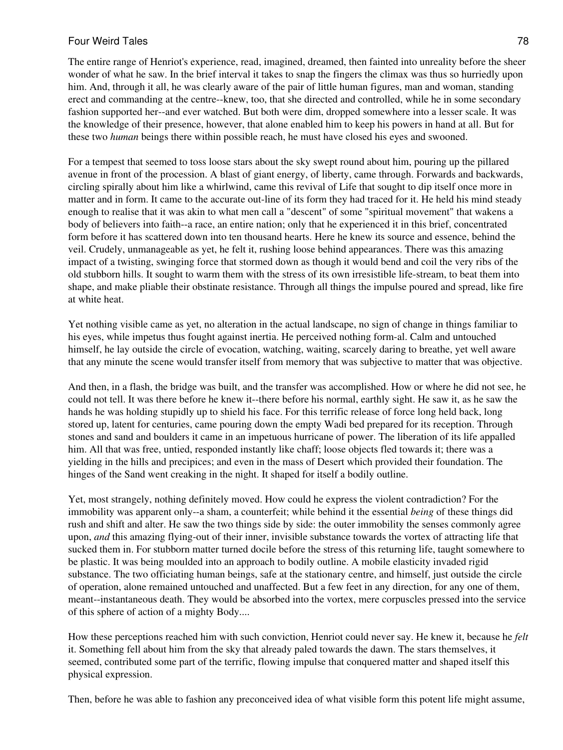The entire range of Henriot's experience, read, imagined, dreamed, then fainted into unreality before the sheer wonder of what he saw. In the brief interval it takes to snap the fingers the climax was thus so hurriedly upon him. And, through it all, he was clearly aware of the pair of little human figures, man and woman, standing erect and commanding at the centre--knew, too, that she directed and controlled, while he in some secondary fashion supported her--and ever watched. But both were dim, dropped somewhere into a lesser scale. It was the knowledge of their presence, however, that alone enabled him to keep his powers in hand at all. But for these two *human* beings there within possible reach, he must have closed his eyes and swooned.

For a tempest that seemed to toss loose stars about the sky swept round about him, pouring up the pillared avenue in front of the procession. A blast of giant energy, of liberty, came through. Forwards and backwards, circling spirally about him like a whirlwind, came this revival of Life that sought to dip itself once more in matter and in form. It came to the accurate out-line of its form they had traced for it. He held his mind steady enough to realise that it was akin to what men call a "descent" of some "spiritual movement" that wakens a body of believers into faith--a race, an entire nation; only that he experienced it in this brief, concentrated form before it has scattered down into ten thousand hearts. Here he knew its source and essence, behind the veil. Crudely, unmanageable as yet, he felt it, rushing loose behind appearances. There was this amazing impact of a twisting, swinging force that stormed down as though it would bend and coil the very ribs of the old stubborn hills. It sought to warm them with the stress of its own irresistible life-stream, to beat them into shape, and make pliable their obstinate resistance. Through all things the impulse poured and spread, like fire at white heat.

Yet nothing visible came as yet, no alteration in the actual landscape, no sign of change in things familiar to his eyes, while impetus thus fought against inertia. He perceived nothing form-al. Calm and untouched himself, he lay outside the circle of evocation, watching, waiting, scarcely daring to breathe, yet well aware that any minute the scene would transfer itself from memory that was subjective to matter that was objective.

And then, in a flash, the bridge was built, and the transfer was accomplished. How or where he did not see, he could not tell. It was there before he knew it--there before his normal, earthly sight. He saw it, as he saw the hands he was holding stupidly up to shield his face. For this terrific release of force long held back, long stored up, latent for centuries, came pouring down the empty Wadi bed prepared for its reception. Through stones and sand and boulders it came in an impetuous hurricane of power. The liberation of its life appalled him. All that was free, untied, responded instantly like chaff; loose objects fled towards it; there was a yielding in the hills and precipices; and even in the mass of Desert which provided their foundation. The hinges of the Sand went creaking in the night. It shaped for itself a bodily outline.

Yet, most strangely, nothing definitely moved. How could he express the violent contradiction? For the immobility was apparent only--a sham, a counterfeit; while behind it the essential *being* of these things did rush and shift and alter. He saw the two things side by side: the outer immobility the senses commonly agree upon, *and* this amazing flying-out of their inner, invisible substance towards the vortex of attracting life that sucked them in. For stubborn matter turned docile before the stress of this returning life, taught somewhere to be plastic. It was being moulded into an approach to bodily outline. A mobile elasticity invaded rigid substance. The two officiating human beings, safe at the stationary centre, and himself, just outside the circle of operation, alone remained untouched and unaffected. But a few feet in any direction, for any one of them, meant--instantaneous death. They would be absorbed into the vortex, mere corpuscles pressed into the service of this sphere of action of a mighty Body....

How these perceptions reached him with such conviction, Henriot could never say. He knew it, because he *felt* it. Something fell about him from the sky that already paled towards the dawn. The stars themselves, it seemed, contributed some part of the terrific, flowing impulse that conquered matter and shaped itself this physical expression.

Then, before he was able to fashion any preconceived idea of what visible form this potent life might assume,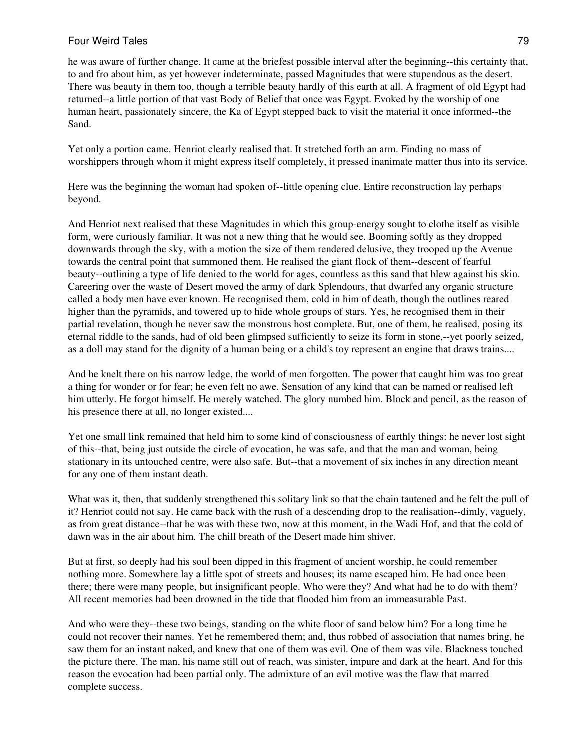he was aware of further change. It came at the briefest possible interval after the beginning--this certainty that, to and fro about him, as yet however indeterminate, passed Magnitudes that were stupendous as the desert. There was beauty in them too, though a terrible beauty hardly of this earth at all. A fragment of old Egypt had returned--a little portion of that vast Body of Belief that once was Egypt. Evoked by the worship of one human heart, passionately sincere, the Ka of Egypt stepped back to visit the material it once informed--the Sand.

Yet only a portion came. Henriot clearly realised that. It stretched forth an arm. Finding no mass of worshippers through whom it might express itself completely, it pressed inanimate matter thus into its service.

Here was the beginning the woman had spoken of--little opening clue. Entire reconstruction lay perhaps beyond.

And Henriot next realised that these Magnitudes in which this group-energy sought to clothe itself as visible form, were curiously familiar. It was not a new thing that he would see. Booming softly as they dropped downwards through the sky, with a motion the size of them rendered delusive, they trooped up the Avenue towards the central point that summoned them. He realised the giant flock of them--descent of fearful beauty--outlining a type of life denied to the world for ages, countless as this sand that blew against his skin. Careering over the waste of Desert moved the army of dark Splendours, that dwarfed any organic structure called a body men have ever known. He recognised them, cold in him of death, though the outlines reared higher than the pyramids, and towered up to hide whole groups of stars. Yes, he recognised them in their partial revelation, though he never saw the monstrous host complete. But, one of them, he realised, posing its eternal riddle to the sands, had of old been glimpsed sufficiently to seize its form in stone,--yet poorly seized, as a doll may stand for the dignity of a human being or a child's toy represent an engine that draws trains....

And he knelt there on his narrow ledge, the world of men forgotten. The power that caught him was too great a thing for wonder or for fear; he even felt no awe. Sensation of any kind that can be named or realised left him utterly. He forgot himself. He merely watched. The glory numbed him. Block and pencil, as the reason of his presence there at all, no longer existed....

Yet one small link remained that held him to some kind of consciousness of earthly things: he never lost sight of this--that, being just outside the circle of evocation, he was safe, and that the man and woman, being stationary in its untouched centre, were also safe. But--that a movement of six inches in any direction meant for any one of them instant death.

What was it, then, that suddenly strengthened this solitary link so that the chain tautened and he felt the pull of it? Henriot could not say. He came back with the rush of a descending drop to the realisation--dimly, vaguely, as from great distance--that he was with these two, now at this moment, in the Wadi Hof, and that the cold of dawn was in the air about him. The chill breath of the Desert made him shiver.

But at first, so deeply had his soul been dipped in this fragment of ancient worship, he could remember nothing more. Somewhere lay a little spot of streets and houses; its name escaped him. He had once been there; there were many people, but insignificant people. Who were they? And what had he to do with them? All recent memories had been drowned in the tide that flooded him from an immeasurable Past.

And who were they--these two beings, standing on the white floor of sand below him? For a long time he could not recover their names. Yet he remembered them; and, thus robbed of association that names bring, he saw them for an instant naked, and knew that one of them was evil. One of them was vile. Blackness touched the picture there. The man, his name still out of reach, was sinister, impure and dark at the heart. And for this reason the evocation had been partial only. The admixture of an evil motive was the flaw that marred complete success.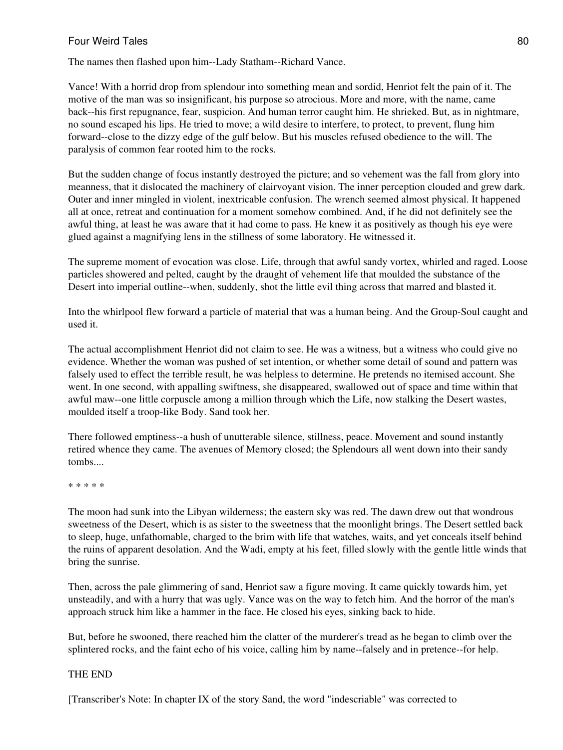The names then flashed upon him--Lady Statham--Richard Vance.

Vance! With a horrid drop from splendour into something mean and sordid, Henriot felt the pain of it. The motive of the man was so insignificant, his purpose so atrocious. More and more, with the name, came back--his first repugnance, fear, suspicion. And human terror caught him. He shrieked. But, as in nightmare, no sound escaped his lips. He tried to move; a wild desire to interfere, to protect, to prevent, flung him forward--close to the dizzy edge of the gulf below. But his muscles refused obedience to the will. The paralysis of common fear rooted him to the rocks.

But the sudden change of focus instantly destroyed the picture; and so vehement was the fall from glory into meanness, that it dislocated the machinery of clairvoyant vision. The inner perception clouded and grew dark. Outer and inner mingled in violent, inextricable confusion. The wrench seemed almost physical. It happened all at once, retreat and continuation for a moment somehow combined. And, if he did not definitely see the awful thing, at least he was aware that it had come to pass. He knew it as positively as though his eye were glued against a magnifying lens in the stillness of some laboratory. He witnessed it.

The supreme moment of evocation was close. Life, through that awful sandy vortex, whirled and raged. Loose particles showered and pelted, caught by the draught of vehement life that moulded the substance of the Desert into imperial outline--when, suddenly, shot the little evil thing across that marred and blasted it.

Into the whirlpool flew forward a particle of material that was a human being. And the Group-Soul caught and used it.

The actual accomplishment Henriot did not claim to see. He was a witness, but a witness who could give no evidence. Whether the woman was pushed of set intention, or whether some detail of sound and pattern was falsely used to effect the terrible result, he was helpless to determine. He pretends no itemised account. She went. In one second, with appalling swiftness, she disappeared, swallowed out of space and time within that awful maw--one little corpuscle among a million through which the Life, now stalking the Desert wastes, moulded itself a troop-like Body. Sand took her.

There followed emptiness--a hush of unutterable silence, stillness, peace. Movement and sound instantly retired whence they came. The avenues of Memory closed; the Splendours all went down into their sandy tombs....

\* \* \* \* \*

The moon had sunk into the Libyan wilderness; the eastern sky was red. The dawn drew out that wondrous sweetness of the Desert, which is as sister to the sweetness that the moonlight brings. The Desert settled back to sleep, huge, unfathomable, charged to the brim with life that watches, waits, and yet conceals itself behind the ruins of apparent desolation. And the Wadi, empty at his feet, filled slowly with the gentle little winds that bring the sunrise.

Then, across the pale glimmering of sand, Henriot saw a figure moving. It came quickly towards him, yet unsteadily, and with a hurry that was ugly. Vance was on the way to fetch him. And the horror of the man's approach struck him like a hammer in the face. He closed his eyes, sinking back to hide.

But, before he swooned, there reached him the clatter of the murderer's tread as he began to climb over the splintered rocks, and the faint echo of his voice, calling him by name--falsely and in pretence--for help.

## THE END

[Transcriber's Note: In chapter IX of the story Sand, the word "indescriable" was corrected to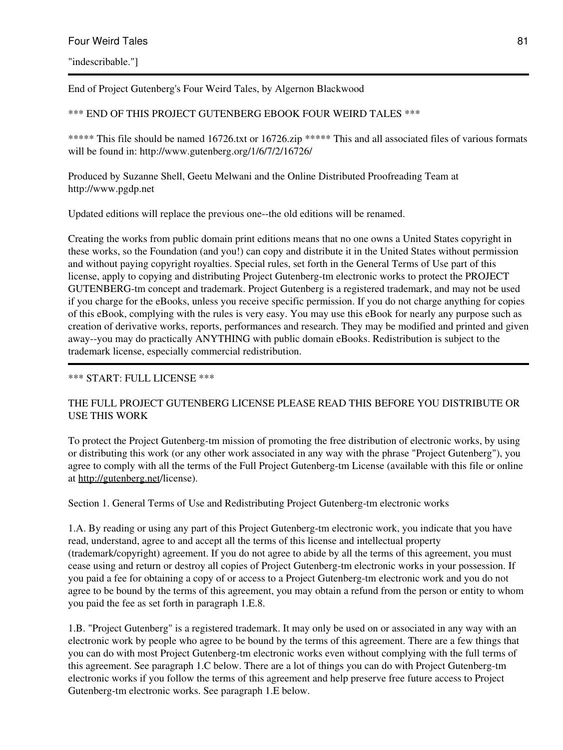End of Project Gutenberg's Four Weird Tales, by Algernon Blackwood

## \*\*\* END OF THIS PROJECT GUTENBERG EBOOK FOUR WEIRD TALES \*\*\*

\*\*\*\*\* This file should be named 16726.txt or 16726.zip \*\*\*\*\* This and all associated files of various formats will be found in: http://www.gutenberg.org/1/6/7/2/16726/

Produced by Suzanne Shell, Geetu Melwani and the Online Distributed Proofreading Team at http://www.pgdp.net

Updated editions will replace the previous one--the old editions will be renamed.

Creating the works from public domain print editions means that no one owns a United States copyright in these works, so the Foundation (and you!) can copy and distribute it in the United States without permission and without paying copyright royalties. Special rules, set forth in the General Terms of Use part of this license, apply to copying and distributing Project Gutenberg-tm electronic works to protect the PROJECT GUTENBERG-tm concept and trademark. Project Gutenberg is a registered trademark, and may not be used if you charge for the eBooks, unless you receive specific permission. If you do not charge anything for copies of this eBook, complying with the rules is very easy. You may use this eBook for nearly any purpose such as creation of derivative works, reports, performances and research. They may be modified and printed and given away--you may do practically ANYTHING with public domain eBooks. Redistribution is subject to the trademark license, especially commercial redistribution.

## \*\*\* START: FULL LICENSE \*\*\*

## THE FULL PROJECT GUTENBERG LICENSE PLEASE READ THIS BEFORE YOU DISTRIBUTE OR USE THIS WORK

To protect the Project Gutenberg-tm mission of promoting the free distribution of electronic works, by using or distributing this work (or any other work associated in any way with the phrase "Project Gutenberg"), you agree to comply with all the terms of the Full Project Gutenberg-tm License (available with this file or online at <http://gutenberg.net>/license).

Section 1. General Terms of Use and Redistributing Project Gutenberg-tm electronic works

1.A. By reading or using any part of this Project Gutenberg-tm electronic work, you indicate that you have read, understand, agree to and accept all the terms of this license and intellectual property (trademark/copyright) agreement. If you do not agree to abide by all the terms of this agreement, you must cease using and return or destroy all copies of Project Gutenberg-tm electronic works in your possession. If you paid a fee for obtaining a copy of or access to a Project Gutenberg-tm electronic work and you do not agree to be bound by the terms of this agreement, you may obtain a refund from the person or entity to whom you paid the fee as set forth in paragraph 1.E.8.

1.B. "Project Gutenberg" is a registered trademark. It may only be used on or associated in any way with an electronic work by people who agree to be bound by the terms of this agreement. There are a few things that you can do with most Project Gutenberg-tm electronic works even without complying with the full terms of this agreement. See paragraph 1.C below. There are a lot of things you can do with Project Gutenberg-tm electronic works if you follow the terms of this agreement and help preserve free future access to Project Gutenberg-tm electronic works. See paragraph 1.E below.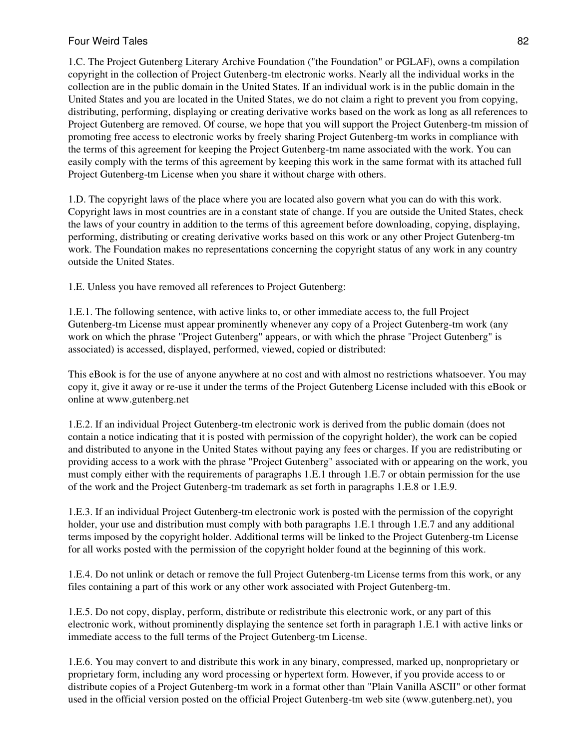1.C. The Project Gutenberg Literary Archive Foundation ("the Foundation" or PGLAF), owns a compilation copyright in the collection of Project Gutenberg-tm electronic works. Nearly all the individual works in the collection are in the public domain in the United States. If an individual work is in the public domain in the United States and you are located in the United States, we do not claim a right to prevent you from copying, distributing, performing, displaying or creating derivative works based on the work as long as all references to Project Gutenberg are removed. Of course, we hope that you will support the Project Gutenberg-tm mission of promoting free access to electronic works by freely sharing Project Gutenberg-tm works in compliance with the terms of this agreement for keeping the Project Gutenberg-tm name associated with the work. You can easily comply with the terms of this agreement by keeping this work in the same format with its attached full Project Gutenberg-tm License when you share it without charge with others.

1.D. The copyright laws of the place where you are located also govern what you can do with this work. Copyright laws in most countries are in a constant state of change. If you are outside the United States, check the laws of your country in addition to the terms of this agreement before downloading, copying, displaying, performing, distributing or creating derivative works based on this work or any other Project Gutenberg-tm work. The Foundation makes no representations concerning the copyright status of any work in any country outside the United States.

1.E. Unless you have removed all references to Project Gutenberg:

1.E.1. The following sentence, with active links to, or other immediate access to, the full Project Gutenberg-tm License must appear prominently whenever any copy of a Project Gutenberg-tm work (any work on which the phrase "Project Gutenberg" appears, or with which the phrase "Project Gutenberg" is associated) is accessed, displayed, performed, viewed, copied or distributed:

This eBook is for the use of anyone anywhere at no cost and with almost no restrictions whatsoever. You may copy it, give it away or re-use it under the terms of the Project Gutenberg License included with this eBook or online at www.gutenberg.net

1.E.2. If an individual Project Gutenberg-tm electronic work is derived from the public domain (does not contain a notice indicating that it is posted with permission of the copyright holder), the work can be copied and distributed to anyone in the United States without paying any fees or charges. If you are redistributing or providing access to a work with the phrase "Project Gutenberg" associated with or appearing on the work, you must comply either with the requirements of paragraphs 1.E.1 through 1.E.7 or obtain permission for the use of the work and the Project Gutenberg-tm trademark as set forth in paragraphs 1.E.8 or 1.E.9.

1.E.3. If an individual Project Gutenberg-tm electronic work is posted with the permission of the copyright holder, your use and distribution must comply with both paragraphs 1.E.1 through 1.E.7 and any additional terms imposed by the copyright holder. Additional terms will be linked to the Project Gutenberg-tm License for all works posted with the permission of the copyright holder found at the beginning of this work.

1.E.4. Do not unlink or detach or remove the full Project Gutenberg-tm License terms from this work, or any files containing a part of this work or any other work associated with Project Gutenberg-tm.

1.E.5. Do not copy, display, perform, distribute or redistribute this electronic work, or any part of this electronic work, without prominently displaying the sentence set forth in paragraph 1.E.1 with active links or immediate access to the full terms of the Project Gutenberg-tm License.

1.E.6. You may convert to and distribute this work in any binary, compressed, marked up, nonproprietary or proprietary form, including any word processing or hypertext form. However, if you provide access to or distribute copies of a Project Gutenberg-tm work in a format other than "Plain Vanilla ASCII" or other format used in the official version posted on the official Project Gutenberg-tm web site (www.gutenberg.net), you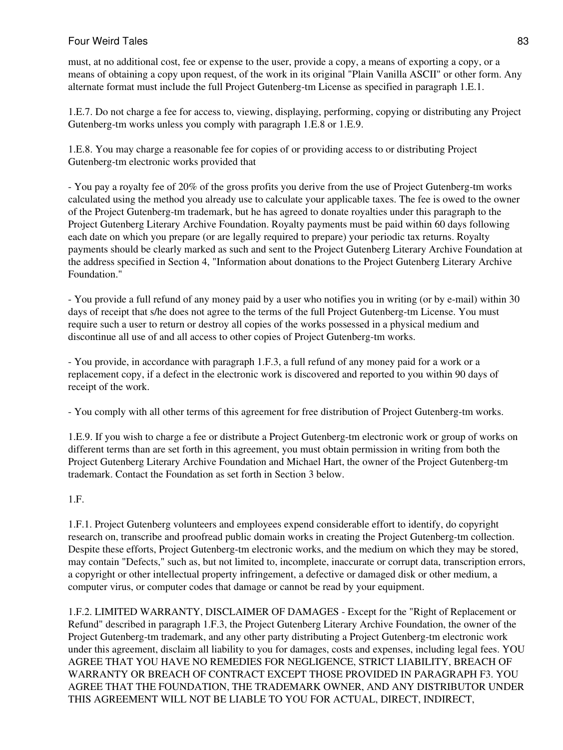must, at no additional cost, fee or expense to the user, provide a copy, a means of exporting a copy, or a means of obtaining a copy upon request, of the work in its original "Plain Vanilla ASCII" or other form. Any alternate format must include the full Project Gutenberg-tm License as specified in paragraph 1.E.1.

1.E.7. Do not charge a fee for access to, viewing, displaying, performing, copying or distributing any Project Gutenberg-tm works unless you comply with paragraph 1.E.8 or 1.E.9.

1.E.8. You may charge a reasonable fee for copies of or providing access to or distributing Project Gutenberg-tm electronic works provided that

- You pay a royalty fee of 20% of the gross profits you derive from the use of Project Gutenberg-tm works calculated using the method you already use to calculate your applicable taxes. The fee is owed to the owner of the Project Gutenberg-tm trademark, but he has agreed to donate royalties under this paragraph to the Project Gutenberg Literary Archive Foundation. Royalty payments must be paid within 60 days following each date on which you prepare (or are legally required to prepare) your periodic tax returns. Royalty payments should be clearly marked as such and sent to the Project Gutenberg Literary Archive Foundation at the address specified in Section 4, "Information about donations to the Project Gutenberg Literary Archive Foundation."

- You provide a full refund of any money paid by a user who notifies you in writing (or by e-mail) within 30 days of receipt that s/he does not agree to the terms of the full Project Gutenberg-tm License. You must require such a user to return or destroy all copies of the works possessed in a physical medium and discontinue all use of and all access to other copies of Project Gutenberg-tm works.

- You provide, in accordance with paragraph 1.F.3, a full refund of any money paid for a work or a replacement copy, if a defect in the electronic work is discovered and reported to you within 90 days of receipt of the work.

- You comply with all other terms of this agreement for free distribution of Project Gutenberg-tm works.

1.E.9. If you wish to charge a fee or distribute a Project Gutenberg-tm electronic work or group of works on different terms than are set forth in this agreement, you must obtain permission in writing from both the Project Gutenberg Literary Archive Foundation and Michael Hart, the owner of the Project Gutenberg-tm trademark. Contact the Foundation as set forth in Section 3 below.

1.F.

1.F.1. Project Gutenberg volunteers and employees expend considerable effort to identify, do copyright research on, transcribe and proofread public domain works in creating the Project Gutenberg-tm collection. Despite these efforts, Project Gutenberg-tm electronic works, and the medium on which they may be stored, may contain "Defects," such as, but not limited to, incomplete, inaccurate or corrupt data, transcription errors, a copyright or other intellectual property infringement, a defective or damaged disk or other medium, a computer virus, or computer codes that damage or cannot be read by your equipment.

1.F.2. LIMITED WARRANTY, DISCLAIMER OF DAMAGES - Except for the "Right of Replacement or Refund" described in paragraph 1.F.3, the Project Gutenberg Literary Archive Foundation, the owner of the Project Gutenberg-tm trademark, and any other party distributing a Project Gutenberg-tm electronic work under this agreement, disclaim all liability to you for damages, costs and expenses, including legal fees. YOU AGREE THAT YOU HAVE NO REMEDIES FOR NEGLIGENCE, STRICT LIABILITY, BREACH OF WARRANTY OR BREACH OF CONTRACT EXCEPT THOSE PROVIDED IN PARAGRAPH F3. YOU AGREE THAT THE FOUNDATION, THE TRADEMARK OWNER, AND ANY DISTRIBUTOR UNDER THIS AGREEMENT WILL NOT BE LIABLE TO YOU FOR ACTUAL, DIRECT, INDIRECT,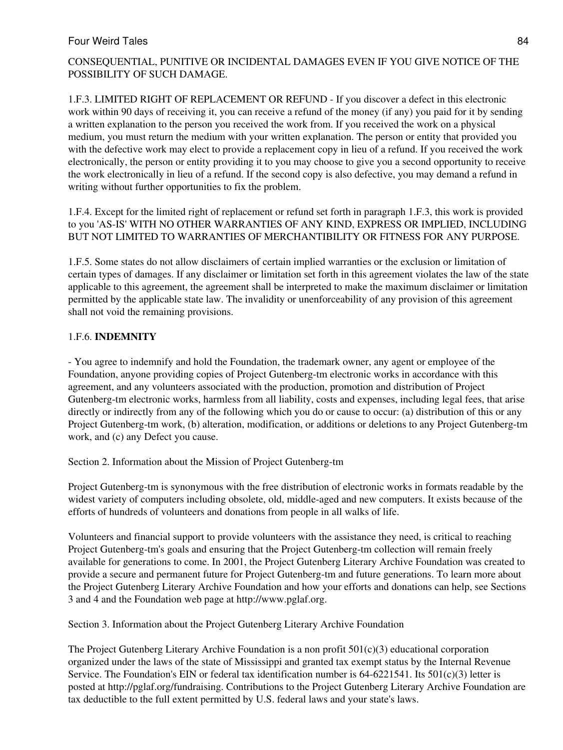CONSEQUENTIAL, PUNITIVE OR INCIDENTAL DAMAGES EVEN IF YOU GIVE NOTICE OF THE POSSIBILITY OF SUCH DAMAGE.

1.F.3. LIMITED RIGHT OF REPLACEMENT OR REFUND - If you discover a defect in this electronic work within 90 days of receiving it, you can receive a refund of the money (if any) you paid for it by sending a written explanation to the person you received the work from. If you received the work on a physical medium, you must return the medium with your written explanation. The person or entity that provided you with the defective work may elect to provide a replacement copy in lieu of a refund. If you received the work electronically, the person or entity providing it to you may choose to give you a second opportunity to receive the work electronically in lieu of a refund. If the second copy is also defective, you may demand a refund in writing without further opportunities to fix the problem.

1.F.4. Except for the limited right of replacement or refund set forth in paragraph 1.F.3, this work is provided to you 'AS-IS' WITH NO OTHER WARRANTIES OF ANY KIND, EXPRESS OR IMPLIED, INCLUDING BUT NOT LIMITED TO WARRANTIES OF MERCHANTIBILITY OR FITNESS FOR ANY PURPOSE.

1.F.5. Some states do not allow disclaimers of certain implied warranties or the exclusion or limitation of certain types of damages. If any disclaimer or limitation set forth in this agreement violates the law of the state applicable to this agreement, the agreement shall be interpreted to make the maximum disclaimer or limitation permitted by the applicable state law. The invalidity or unenforceability of any provision of this agreement shall not void the remaining provisions.

# 1.F.6. **INDEMNITY**

- You agree to indemnify and hold the Foundation, the trademark owner, any agent or employee of the Foundation, anyone providing copies of Project Gutenberg-tm electronic works in accordance with this agreement, and any volunteers associated with the production, promotion and distribution of Project Gutenberg-tm electronic works, harmless from all liability, costs and expenses, including legal fees, that arise directly or indirectly from any of the following which you do or cause to occur: (a) distribution of this or any Project Gutenberg-tm work, (b) alteration, modification, or additions or deletions to any Project Gutenberg-tm work, and (c) any Defect you cause.

Section 2. Information about the Mission of Project Gutenberg-tm

Project Gutenberg-tm is synonymous with the free distribution of electronic works in formats readable by the widest variety of computers including obsolete, old, middle-aged and new computers. It exists because of the efforts of hundreds of volunteers and donations from people in all walks of life.

Volunteers and financial support to provide volunteers with the assistance they need, is critical to reaching Project Gutenberg-tm's goals and ensuring that the Project Gutenberg-tm collection will remain freely available for generations to come. In 2001, the Project Gutenberg Literary Archive Foundation was created to provide a secure and permanent future for Project Gutenberg-tm and future generations. To learn more about the Project Gutenberg Literary Archive Foundation and how your efforts and donations can help, see Sections 3 and 4 and the Foundation web page at http://www.pglaf.org.

Section 3. Information about the Project Gutenberg Literary Archive Foundation

The Project Gutenberg Literary Archive Foundation is a non profit  $501(c)(3)$  educational corporation organized under the laws of the state of Mississippi and granted tax exempt status by the Internal Revenue Service. The Foundation's EIN or federal tax identification number is  $64-6221541$ . Its  $501(c)(3)$  letter is posted at http://pglaf.org/fundraising. Contributions to the Project Gutenberg Literary Archive Foundation are tax deductible to the full extent permitted by U.S. federal laws and your state's laws.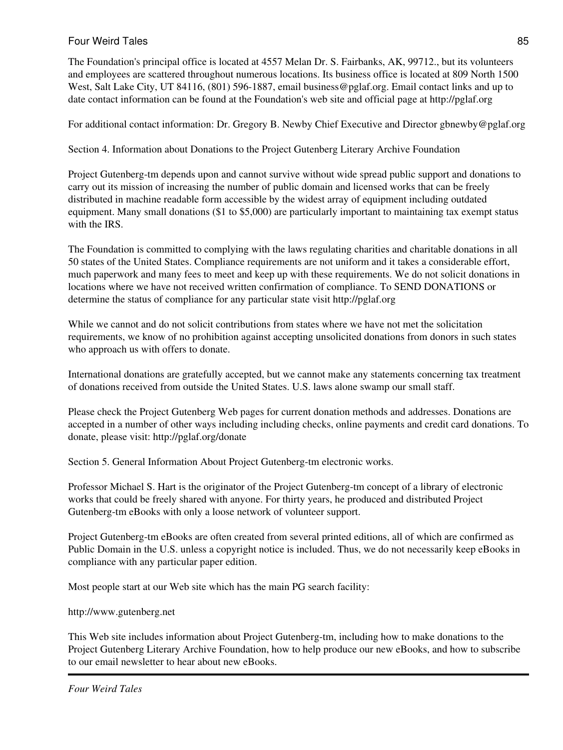The Foundation's principal office is located at 4557 Melan Dr. S. Fairbanks, AK, 99712., but its volunteers and employees are scattered throughout numerous locations. Its business office is located at 809 North 1500 West, Salt Lake City, UT 84116, (801) 596-1887, email business@pglaf.org. Email contact links and up to date contact information can be found at the Foundation's web site and official page at http://pglaf.org

For additional contact information: Dr. Gregory B. Newby Chief Executive and Director gbnewby@pglaf.org

Section 4. Information about Donations to the Project Gutenberg Literary Archive Foundation

Project Gutenberg-tm depends upon and cannot survive without wide spread public support and donations to carry out its mission of increasing the number of public domain and licensed works that can be freely distributed in machine readable form accessible by the widest array of equipment including outdated equipment. Many small donations (\$1 to \$5,000) are particularly important to maintaining tax exempt status with the IRS.

The Foundation is committed to complying with the laws regulating charities and charitable donations in all 50 states of the United States. Compliance requirements are not uniform and it takes a considerable effort, much paperwork and many fees to meet and keep up with these requirements. We do not solicit donations in locations where we have not received written confirmation of compliance. To SEND DONATIONS or determine the status of compliance for any particular state visit http://pglaf.org

While we cannot and do not solicit contributions from states where we have not met the solicitation requirements, we know of no prohibition against accepting unsolicited donations from donors in such states who approach us with offers to donate.

International donations are gratefully accepted, but we cannot make any statements concerning tax treatment of donations received from outside the United States. U.S. laws alone swamp our small staff.

Please check the Project Gutenberg Web pages for current donation methods and addresses. Donations are accepted in a number of other ways including including checks, online payments and credit card donations. To donate, please visit: http://pglaf.org/donate

Section 5. General Information About Project Gutenberg-tm electronic works.

Professor Michael S. Hart is the originator of the Project Gutenberg-tm concept of a library of electronic works that could be freely shared with anyone. For thirty years, he produced and distributed Project Gutenberg-tm eBooks with only a loose network of volunteer support.

Project Gutenberg-tm eBooks are often created from several printed editions, all of which are confirmed as Public Domain in the U.S. unless a copyright notice is included. Thus, we do not necessarily keep eBooks in compliance with any particular paper edition.

Most people start at our Web site which has the main PG search facility:

http://www.gutenberg.net

This Web site includes information about Project Gutenberg-tm, including how to make donations to the Project Gutenberg Literary Archive Foundation, how to help produce our new eBooks, and how to subscribe to our email newsletter to hear about new eBooks.